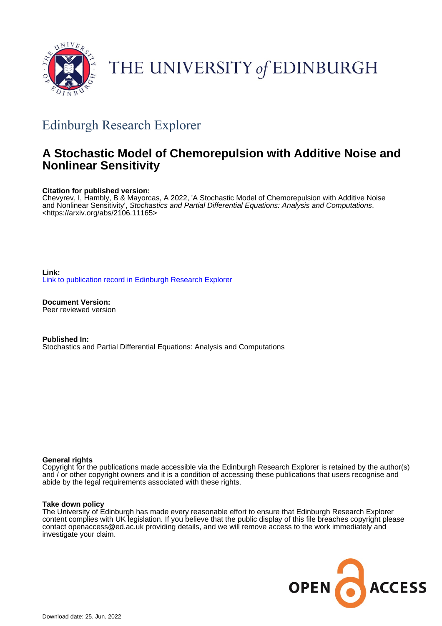

# THE UNIVERSITY of EDINBURGH

## Edinburgh Research Explorer

## **A Stochastic Model of Chemorepulsion with Additive Noise and Nonlinear Sensitivity**

## **Citation for published version:**

Chevyrev, I, Hambly, B & Mayorcas, A 2022, 'A Stochastic Model of Chemorepulsion with Additive Noise and Nonlinear Sensitivity', Stochastics and Partial Differential Equations: Analysis and Computations. <[https://arxiv.org/abs/2106.11165>](https://arxiv.org/abs/2106.11165)

**Link:** [Link to publication record in Edinburgh Research Explorer](https://www.research.ed.ac.uk/en/publications/3c89e177-67aa-4da6-88a4-c9ce1ded1a17)

**Document Version:** Peer reviewed version

**Published In:** Stochastics and Partial Differential Equations: Analysis and Computations

### **General rights**

Copyright for the publications made accessible via the Edinburgh Research Explorer is retained by the author(s) and / or other copyright owners and it is a condition of accessing these publications that users recognise and abide by the legal requirements associated with these rights.

### **Take down policy**

The University of Edinburgh has made every reasonable effort to ensure that Edinburgh Research Explorer content complies with UK legislation. If you believe that the public display of this file breaches copyright please contact openaccess@ed.ac.uk providing details, and we will remove access to the work immediately and investigate your claim.

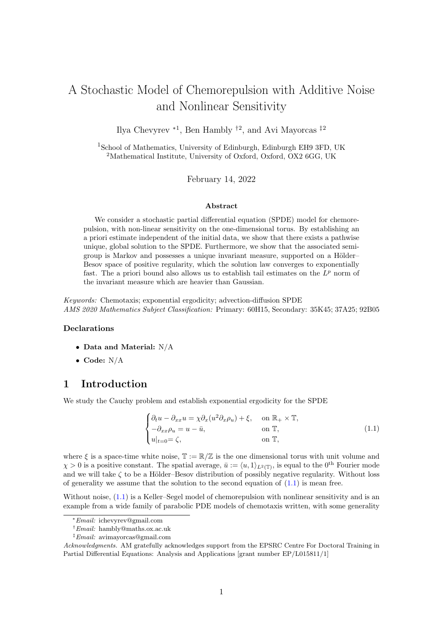## A Stochastic Model of Chemorepulsion with Additive Noise and Nonlinear Sensitivity

Ilya Chevyrev <sup>∗</sup><sup>1</sup> , Ben Hambly †<sup>2</sup> , and Avi Mayorcas ‡<sup>2</sup>

<sup>1</sup>School of Mathematics, University of Edinburgh, Edinburgh EH9 3FD, UK <sup>2</sup>Mathematical Institute, University of Oxford, Oxford, OX2 6GG, UK

February 14, 2022

#### Abstract

We consider a stochastic partial differential equation (SPDE) model for chemorepulsion, with non-linear sensitivity on the one-dimensional torus. By establishing an a priori estimate independent of the initial data, we show that there exists a pathwise unique, global solution to the SPDE. Furthermore, we show that the associated semigroup is Markov and possesses a unique invariant measure, supported on a Hölder– Besov space of positive regularity, which the solution law converges to exponentially fast. The a priori bound also allows us to establish tail estimates on the  $L^p$  norm of the invariant measure which are heavier than Gaussian.

Keywords: Chemotaxis; exponential ergodicity; advection-diffusion SPDE AMS 2020 Mathematics Subject Classification: Primary: 60H15, Secondary: 35K45; 37A25; 92B05

#### Declarations

- Data and Material: N/A
- Code: N/A

## 1 Introduction

We study the Cauchy problem and establish exponential ergodicity for the SPDE

<span id="page-1-0"></span>
$$
\begin{cases} \partial_t u - \partial_{xx} u = \chi \partial_x (u^2 \partial_x \rho_u) + \xi, & \text{on } \mathbb{R}_+ \times \mathbb{T}, \\ -\partial_{xx} \rho_u = u - \bar{u}, & \text{on } \mathbb{T}, \\ u|_{t=0} = \zeta, & \text{on } \mathbb{T}, \end{cases}
$$
 (1.1)

where  $\xi$  is a space-time white noise,  $\mathbb{T} := \mathbb{R}/\mathbb{Z}$  is the one dimensional torus with unit volume and  $\chi > 0$  is a positive constant. The spatial average,  $\bar{u} := \langle u, 1 \rangle_{L^2(\mathbb{T})}$ , is equal to the 0<sup>th</sup> Fourier mode and we will take  $\zeta$  to be a Hölder–Besov distribution of possibly negative regularity. Without loss of generality we assume that the solution to the second equation of  $(1.1)$  is mean free.

Without noise,  $(1.1)$  is a Keller–Segel model of chemorepulsion with nonlinear sensitivity and is an example from a wide family of parabolic PDE models of chemotaxis written, with some generality

<sup>∗</sup>Email: ichevyrev@gmail.com

<sup>†</sup>Email: hambly@maths.ox.ac.uk

<sup>‡</sup>Email: avimayorcas@gmail.com

Acknowledgments. AM gratefully acknowledges support from the EPSRC Centre For Doctoral Training in Partial Differential Equations: Analysis and Applications [grant number EP/L015811/1]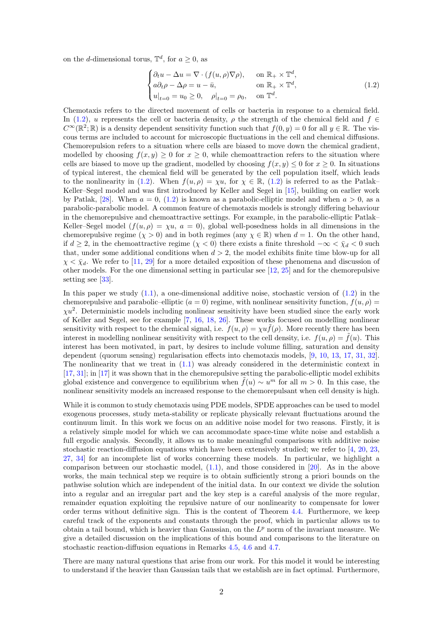on the *d*-dimensional torus,  $\mathbb{T}^d$ , for  $a \geq 0$ , as

<span id="page-2-0"></span>
$$
\begin{cases} \partial_t u - \Delta u = \nabla \cdot (f(u, \rho) \nabla \rho), & \text{on } \mathbb{R}_+ \times \mathbb{T}^d, \\ a \partial_t \rho - \Delta \rho = u - \bar{u}, & \text{on } \mathbb{R}_+ \times \mathbb{T}^d, \\ u|_{t=0} = u_0 \ge 0, & \rho|_{t=0} = \rho_0, & \text{on } \mathbb{T}^d. \end{cases}
$$
(1.2)

Chemotaxis refers to the directed movement of cells or bacteria in response to a chemical field. In [\(1.2\)](#page-2-0), u represents the cell or bacteria density,  $\rho$  the strength of the chemical field and  $f \in$  $C^{\infty}(\mathbb{R}^2;\mathbb{R})$  is a density dependent sensitivity function such that  $f(0, y) = 0$  for all  $y \in \mathbb{R}$ . The viscous terms are included to account for microscopic fluctuations in the cell and chemical diffusions. Chemorepulsion refers to a situation where cells are biased to move down the chemical gradient, modelled by choosing  $f(x, y) \geq 0$  for  $x \geq 0$ , while chemoattraction refers to the situation where cells are biased to move up the gradient, modelled by choosing  $f(x, y) \leq 0$  for  $x \geq 0$ . In situations of typical interest, the chemical field will be generated by the cell population itself, which leads to the nonlinearity in [\(1.2\)](#page-2-0). When  $f(u, \rho) = \chi u$ , for  $\chi \in \mathbb{R}$ , (1.2) is referred to as the Patlak-Keller–Segel model and was first introduced by Keller and Segel in [\[15\]](#page-30-0), building on earlier work by Patlak, [\[28\]](#page-31-0). When  $a = 0$ , [\(1.2\)](#page-2-0) is known as a parabolic-elliptic model and when  $a > 0$ , as a parabolic-parabolic model. A common feature of chemotaxis models is strongly differing behaviour in the chemorepulsive and chemoattractive settings. For example, in the parabolic-elliptic Patlak– Keller–Segel model  $(f(u, \rho) = \chi u, a = 0)$ , global well-posedness holds in all dimensions in the chemorepulsive regime  $(\chi > 0)$  and in both regimes (any  $\chi \in \mathbb{R}$ ) when  $d = 1$ . On the other hand, if  $d \geq 2$ , in the chemoattractive regime  $(\chi < 0)$  there exists a finite threshold  $-\infty < \bar{\chi}_d < 0$  such that, under some additional conditions when  $d > 2$ , the model exhibits finite time blow-up for all  $\chi < \bar{\chi}_d$ . We refer to [\[11,](#page-30-1) [29\]](#page-31-1) for a more detailed exposition of these phenomena and discussion of other models. For the one dimensional setting in particular see [\[12,](#page-30-2) [25\]](#page-30-3) and for the chemorepulsive setting see [\[33\]](#page-31-2).

In this paper we study  $(1.1)$ , a one-dimensional additive noise, stochastic version of  $(1.2)$  in the chemorepulsive and parabolic–elliptic  $(a = 0)$  regime, with nonlinear sensitivity function,  $f(u, \rho)$  $\chi u^2$ . Deterministic models including nonlinear sensitivity have been studied since the early work of Keller and Segel, see for example [\[7,](#page-30-4) [16,](#page-30-5) [18,](#page-30-6) [26\]](#page-30-7). These works focused on modelling nonlinear sensitivity with respect to the chemical signal, i.e.  $f(u, \rho) = \chi u \tilde{f}(\rho)$ . More recently there has been interest in modelling nonlinear sensitivity with respect to the cell density, i.e.  $f(u, \rho) = f(u)$ . This interest has been motivated, in part, by desires to include volume filling, saturation and density dependent (quorum sensing) regularisation effects into chemotaxis models, [\[9,](#page-30-8) [10,](#page-30-9) [13,](#page-30-10) [17,](#page-30-11) [31,](#page-31-3) [32\]](#page-31-4). The nonlinearity that we treat in  $(1.1)$  was already considered in the deterministic context in [\[17,](#page-30-11) [31\]](#page-31-3); in [\[17\]](#page-30-11) it was shown that in the chemorepulsive setting the parabolic-elliptic model exhibits global existence and convergence to equilibrium when  $\tilde{f}(u) \sim u^m$  for all  $m > 0$ . In this case, the nonlinear sensitivity models an increased response to the chemorepulsant when cell density is high.

While it is common to study chemotaxis using PDE models, SPDE approaches can be used to model exogenous processes, study meta-stability or replicate physically relevant fluctuations around the continuum limit. In this work we focus on an additive noise model for two reasons. Firstly, it is a relatively simple model for which we can accommodate space-time white noise and establish a full ergodic analysis. Secondly, it allows us to make meaningful comparisons with additive noise stochastic reaction-diffusion equations which have been extensively studied; we refer to [\[4,](#page-29-0) [20,](#page-30-12) [23,](#page-30-13) [27,](#page-30-14) [34\]](#page-31-5) for an incomplete list of works concerning these models. In particular, we highlight a comparison between our stochastic model,  $(1.1)$ , and those considered in [\[20\]](#page-30-12). As in the above works, the main technical step we require is to obtain sufficiently strong a priori bounds on the pathwise solution which are independent of the initial data. In our context we divide the solution into a regular and an irregular part and the key step is a careful analysis of the more regular, remainder equation exploiting the repulsive nature of our nonlinearity to compensate for lower order terms without definitive sign. This is the content of Theorem [4.4.](#page-11-0) Furthermore, we keep careful track of the exponents and constants through the proof, which in particular allows us to obtain a tail bound, which is heavier than Gaussian, on the  $L^p$  norm of the invariant measure. We give a detailed discussion on the implications of this bound and comparisons to the literature on stochastic reaction-diffusion equations in Remarks [4.5,](#page-14-0) [4.6](#page-14-1) and [4.7.](#page-14-2)

There are many natural questions that arise from our work. For this model it would be interesting to understand if the heavier than Gaussian tails that we establish are in fact optimal. Furthermore,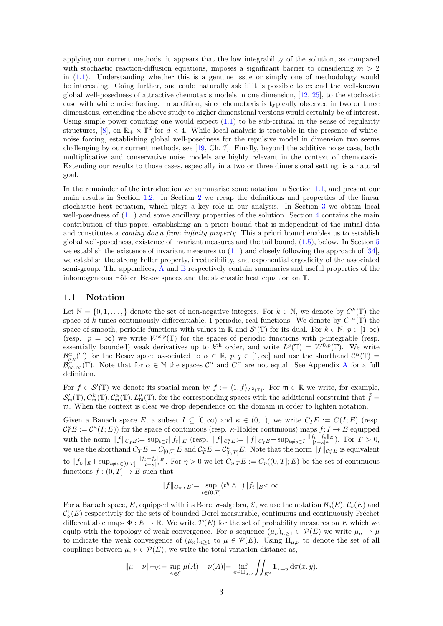applying our current methods, it appears that the low integrability of the solution, as compared with stochastic reaction-diffusion equations, imposes a significant barrier to considering  $m > 2$ in  $(1.1)$ . Understanding whether this is a genuine issue or simply one of methodology would be interesting. Going further, one could naturally ask if it is possible to extend the well-known global well-posedness of attractive chemotaxis models in one dimension, [\[12,](#page-30-2) [25\]](#page-30-3), to the stochastic case with white noise forcing. In addition, since chemotaxis is typically observed in two or three dimensions, extending the above study to higher dimensional versions would certainly be of interest. Using simple power counting one would expect  $(1.1)$  to be sub-critical in the sense of regularity structures, [\[8\]](#page-30-15), on  $\mathbb{R}_+ \times \mathbb{T}^d$  for  $d < 4$ . While local analysis is tractable in the presence of whitenoise forcing, establishing global well-posedness for the repulsive model in dimension two seems challenging by our current methods, see [\[19,](#page-30-16) Ch. 7]. Finally, beyond the additive noise case, both multiplicative and conservative noise models are highly relevant in the context of chemotaxis. Extending our results to those cases, especially in a two or three dimensional setting, is a natural goal.

In the remainder of the introduction we summarise some notation in Section [1.1,](#page-3-0) and present our main results in Section [1.2.](#page-4-0) In Section [2](#page-4-1) we recap the definitions and properties of the linear stochastic heat equation, which plays a key role in our analysis. In Section [3](#page-5-0) we obtain local well-posedness of  $(1.1)$  and some ancillary properties of the solution. Section [4](#page-9-0) contains the main contribution of this paper, establishing an a priori bound that is independent of the initial data and constitutes a *coming down from infinity property*. This a priori bound enables us to establish global well-posedness, existence of invariant measures and the tail bound, [\(1.5\)](#page-4-2), below. In Section [5](#page-15-0) we establish the existence of invariant measures to  $(1.1)$  and closely following the approach of  $[34]$ , we establish the strong Feller property, irreducibility, and exponential ergodicity of the associated semi-group. The appendices, [A](#page-27-0) and [B](#page-28-0) respectively contain summaries and useful properties of the inhomogeneous Hölder–Besov spaces and the stochastic heat equation on  $\mathbb{T}$ .

#### <span id="page-3-0"></span>1.1 Notation

Let  $\mathbb{N} = \{0, 1, \ldots\}$  denote the set of non-negative integers. For  $k \in \mathbb{N}$ , we denote by  $C^k(\mathbb{T})$  the space of k times continuously differentiable, 1-periodic, real functions. We denote by  $C^{\infty}(\mathbb{T})$  the space of smooth, periodic functions with values in R and  $\mathcal{S}'(\mathbb{T})$  for its dual. For  $k \in \mathbb{N}$ ,  $p \in [1,\infty)$ (resp.  $p = \infty$ ) we write  $W^{k,p}(\mathbb{T})$  for the spaces of periodic functions with p-integrable (resp. essentially bounded) weak derivatives up to  $k^{\text{th}}$  order, and write  $L^p(\mathbb{T}) = W^{0,p}(\mathbb{T})$ . We write  $\mathcal{B}_{p,q}^{\alpha}(\mathbb{T})$  for the Besov space associated to  $\alpha \in \mathbb{R}$ ,  $p,q \in [1,\infty]$  and use the shorthand  $\mathcal{C}^{\alpha}(\mathbb{T}) =$  $\mathcal{B}_{\infty,\infty}^{\alpha}(\mathbb{T})$ . Note that for  $\alpha \in \mathbb{N}$  the spaces  $\mathcal{C}^{\alpha}$  and  $C^{\alpha}$  are not equal. See [A](#page-27-0)ppendix A for a full definition.

For  $f \in \mathcal{S}'(\mathbb{T})$  we denote its spatial mean by  $\bar{f} := \langle 1, f \rangle_{L^2(\mathbb{T})}$ . For  $\mathfrak{m} \in \mathbb{R}$  we write, for example,  $\mathcal{S}'_{\mathfrak{m}}(\mathbb{T}), C^k_{\mathfrak{m}}(\mathbb{T}), \mathcal{C}^{\alpha}_{\mathfrak{m}}(\mathbb{T}), L^p_{\mathfrak{m}}(\mathbb{T})$ , for the corresponding spaces with the additional constraint that  $\bar{f}$ m. When the context is clear we drop dependence on the domain in order to lighten notation.

Given a Banach space E, a subset  $I \subseteq [0, \infty)$  and  $\kappa \in (0, 1)$ , we write  $C_I E := C(I; E)$  (resp.  $\mathcal{C}_I^{\kappa}E:=\mathcal{C}^{\kappa}(I;E))$  for the space of continuous (resp.  $\kappa$ -Hölder continuous) maps  $f: I \to E$  equipped with the norm  $||f||_{C_IE} := \sup_{t \in I} ||f_t||_E$  (resp.  $||f||_{C_I^*E} := ||f||_{C_IE} + \sup_{t \neq s \in I} \frac{||f_t - f_s||_E}{|t - s|^{\kappa}}$ ). For  $T > 0$ , we use the shorthand  $C_T E = C_{[0,T]} E$  and  $C_T^{\kappa} E = C_{[0,T]}^{\kappa} E$ . Note that the norm  $||f||_{C_T^{\kappa} E}$  is equivalent to  $||f_0||_E + \sup_{t \neq s \in [0,T]} \frac{||f_t - f_s||_E}{|t - s|^{\kappa}}$ . For  $\eta > 0$  we let  $C_{\eta;T}E := C_{\eta}((0,T]; E)$  be the set of continuous functions  $f:(0,T] \to E$  such that

$$
||f||_{C_{\eta;T}E} := \sup_{t \in (0,T]} (t^{\eta} \wedge 1) ||f_t||_E < \infty.
$$

For a Banach space, E, equipped with its Borel  $\sigma$ -algebra, E, we use the notation  $\mathcal{B}_h(E), \mathcal{C}_h(E)$  and  $\mathcal{C}_b^1(E)$  respectively for the sets of bounded Borel measurable, continuous and continuously Fréchet differentiable maps  $\Phi: E \to \mathbb{R}$ . We write  $\mathcal{P}(E)$  for the set of probability measures on E which we equip with the topology of weak convergence. For a sequence  $(\mu_n)_{n\geq 1} \subset \mathcal{P}(E)$  we write  $\mu_n \to \mu$ to indicate the weak convergence of  $(\mu_n)_{n>1}$  to  $\mu \in \mathcal{P}(E)$ . Using  $\overline{\Pi}_{\mu,\nu}$  to denote the set of all couplings between  $\mu, \nu \in \mathcal{P}(E)$ , we write the total variation distance as,

$$
\|\mu - \nu\|_{\text{TV}} := \sup_{A \in \mathcal{E}} |\mu(A) - \nu(A)| = \inf_{\pi \in \Pi_{\mu,\nu}} \iint_{E^2} \mathbb{1}_{x = y} \, \mathrm{d}\pi(x, y).
$$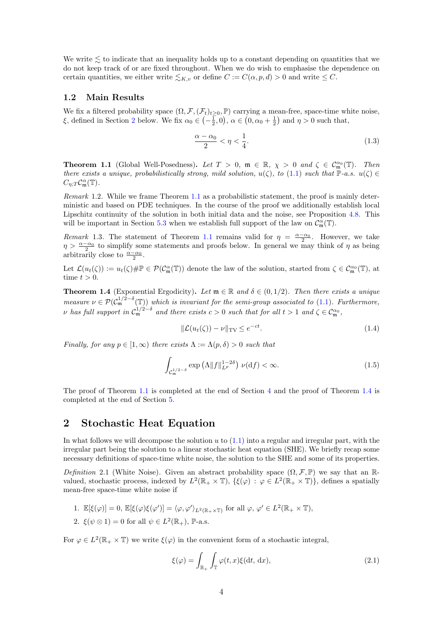We write  $\lesssim$  to indicate that an inequality holds up to a constant depending on quantities that we do not keep track of or are fixed throughout. When we do wish to emphasise the dependence on certain quantities, we either write  $\leq_{K,v}$  or define  $C := C(\alpha, p, d) > 0$  and write  $\leq C$ .

#### <span id="page-4-0"></span>1.2 Main Results

We fix a filtered probability space  $(\Omega, \mathcal{F}, (\mathcal{F}_t)_{t\geq 0}, \mathbb{P})$  carrying a mean-free, space-time white noise, ξ, defined in Section [2](#page-4-1) below. We fix  $\alpha_0 \in \left(-\frac{1}{2}, 0\right)$ ,  $\alpha \in \left(0, \alpha_0 + \frac{1}{2}\right)$  and  $\eta > 0$  such that,

<span id="page-4-6"></span>
$$
\frac{\alpha - \alpha_0}{2} < \eta < \frac{1}{4}.\tag{1.3}
$$

<span id="page-4-3"></span>**Theorem 1.1** (Global Well-Posedness). Let  $T > 0$ ,  $\mathfrak{m} \in \mathbb{R}$ ,  $\chi > 0$  and  $\zeta \in C^{\alpha_0}_{\mathfrak{m}}(\mathbb{T})$ . Then there exists a unique, probabilistically strong, mild solution,  $u(\zeta)$ , to [\(1.1\)](#page-1-0) such that P-a.s.  $u(\zeta) \in$  $C_{\eta;T} \mathcal{C}_{\mathfrak{m}}^{\alpha}(\mathbb{T}).$ 

Remark 1.2. While we frame Theorem [1.1](#page-4-3) as a probabilistic statement, the proof is mainly deterministic and based on PDE techniques. In the course of the proof we additionally establish local Lipschitz continuity of the solution in both initial data and the noise, see Proposition [4.8.](#page-14-3) This will be important in Section [5.3](#page-25-0) when we establish full support of the law on  $\mathcal{C}_{\mathfrak{m}}^{\alpha}(\mathbb{T})$ .

Remark 1.3. The statement of Theorem [1.1](#page-4-3) remains valid for  $\eta = \frac{\alpha - \alpha_0}{2}$ . However, we take  $\eta > \frac{\alpha - \alpha_0}{2}$  to simplify some statements and proofs below. In general we may think of  $\eta$  as being arbitrarily close to  $\frac{\alpha-\alpha_0}{2}$ .

Let  $\mathcal{L}(u_t(\zeta)) := u_t(\zeta) \# \mathbb{P} \in \mathcal{P}(\mathcal{C}^{\alpha}_{\mathfrak{m}}(\mathbb{T}))$  denote the law of the solution, started from  $\zeta \in \mathcal{C}^{\alpha_0}_{\mathfrak{m}}(\mathbb{T})$ , at time  $t > 0$ .

<span id="page-4-4"></span>**Theorem 1.4** (Exponential Ergodicity). Let  $\mathfrak{m} \in \mathbb{R}$  and  $\delta \in (0, 1/2)$ . Then there exists a unique measure  $\nu \in \mathcal{P}(\mathcal{C}_{\mathfrak{m}}^{1/2-\delta}(\mathbb{T}))$  which is invariant for the semi-group associated to [\(1.1\)](#page-1-0). Furthermore, v has full support in  $C_{\mathfrak{m}}^{1/2-\delta}$  and there exists  $c > 0$  such that for all  $t > 1$  and  $\zeta \in C_{\mathfrak{m}}^{\alpha_0}$ ,

<span id="page-4-7"></span>
$$
\|\mathcal{L}(u_t(\zeta)) - \nu\|_{\text{TV}} \le e^{-ct}.\tag{1.4}
$$

Finally, for any  $p \in [1,\infty)$  there exists  $\Lambda := \Lambda(p,\delta) > 0$  such that

<span id="page-4-2"></span>
$$
\int_{\mathcal{C}_{\mathfrak{m}}^{1/2-\delta}} \exp\left(\Lambda \|f\|_{L^p}^{1-2\delta}\right) \,\nu(\mathrm{d}f) < \infty. \tag{1.5}
$$

The proof of Theorem [1.1](#page-4-3) is completed at the end of Section [4](#page-9-0) and the proof of Theorem [1.4](#page-4-4) is completed at the end of Section [5.](#page-15-0)

## <span id="page-4-1"></span>2 Stochastic Heat Equation

In what follows we will decompose the solution  $u$  to  $(1.1)$  into a regular and irregular part, with the irregular part being the solution to a linear stochastic heat equation (SHE). We briefly recap some necessary definitions of space-time white noise, the solution to the SHE and some of its properties.

Definition 2.1 (White Noise). Given an abstract probability space  $(\Omega, \mathcal{F}, \mathbb{P})$  we say that an Rvalued, stochastic process, indexed by  $L^2(\mathbb{R}_+ \times \mathbb{T})$ ,  $\{\xi(\varphi) : \varphi \in L^2(\mathbb{R}_+ \times \mathbb{T})\}$ , defines a spatially mean-free space-time white noise if

1. 
$$
\mathbb{E}[\xi(\varphi)] = 0
$$
,  $\mathbb{E}[\xi(\varphi)\xi(\varphi')] = \langle \varphi, \varphi' \rangle_{L^2(\mathbb{R}_+\times\mathbb{T})}$  for all  $\varphi, \varphi' \in L^2(\mathbb{R}_+\times\mathbb{T})$ ,

2.  $\xi(\psi \otimes 1) = 0$  for all  $\psi \in L^2(\mathbb{R}_+),$  P-a.s.

For  $\varphi \in L^2(\mathbb{R}_+ \times \mathbb{T})$  we write  $\xi(\varphi)$  in the convenient form of a stochastic integral,

<span id="page-4-5"></span>
$$
\xi(\varphi) = \int_{\mathbb{R}_+} \int_{\mathbb{T}} \varphi(t, x) \xi(\mathrm{d}t, \, \mathrm{d}x), \tag{2.1}
$$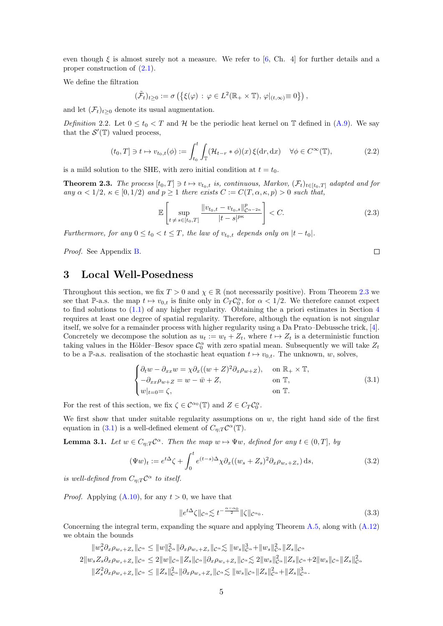even though  $\xi$  is almost surely not a measure. We refer to [\[6,](#page-30-17) Ch. 4] for further details and a proper construction of [\(2.1\)](#page-4-5).

We define the filtration

$$
(\tilde{\mathcal{F}}_t)_{t\geq 0} := \sigma\left(\left\{\xi(\varphi) \,:\, \varphi \in L^2(\mathbb{R}_+ \times \mathbb{T}), \, \varphi|_{(t,\infty)} \equiv 0\right\}\right),
$$

and let  $(\mathcal{F}_t)_{t>0}$  denote its usual augmentation.

<span id="page-5-4"></span>Definition 2.2. Let  $0 \le t_0 < T$  and H be the periodic heat kernel on T defined in [\(A.9\)](#page-28-1). We say that the  $\mathcal{S}'(\mathbb{T})$  valued process,

$$
(t_0, T] \ni t \mapsto v_{t_0, t}(\phi) := \int_{t_0}^t \int_{\mathbb{T}} (\mathcal{H}_{t-r} * \phi)(x) \, \xi(\mathrm{d}r, \mathrm{d}x) \quad \forall \phi \in C^\infty(\mathbb{T}), \tag{2.2}
$$

is a mild solution to the SHE, with zero initial condition at  $t = t_0$ .

<span id="page-5-1"></span>**Theorem 2.3.** The process  $[t_0, T] \ni t \mapsto v_{t_0,t}$  is, continuous, Markov,  $(\mathcal{F}_t)_{t \in [t_0, T]}$  adapted and for any  $\alpha < 1/2$ ,  $\kappa \in [0, 1/2)$  and  $p \ge 1$  there exists  $C := C(T, \alpha, \kappa, p) > 0$  such that,

$$
\mathbb{E}\left[\sup_{t \neq s \in [t_0, T]} \frac{\|v_{t_0, t} - v_{t_0, s}\|_{\mathcal{C}^{\alpha - 2\kappa}}^p}{|t - s|^{p\kappa}}\right] < C. \tag{2.3}
$$

 $\Box$ 

Furthermore, for any  $0 \le t_0 < t \le T$ , the law of  $v_{t_0,t}$  depends only on  $|t-t_0|$ .

Proof. See Appendix [B.](#page-28-0)

## <span id="page-5-0"></span>3 Local Well-Posedness

Throughout this section, we fix  $T > 0$  and  $\chi \in \mathbb{R}$  (not necessarily positive). From Theorem [2.3](#page-5-1) we see that P-a.s. the map  $t \mapsto v_{0,t}$  is finite only in  $C_T C_0^{\alpha}$ , for  $\alpha < 1/2$ . We therefore cannot expect to find solutions to [\(1.1\)](#page-1-0) of any higher regularity. Obtaining the a priori estimates in Section [4](#page-9-0) requires at least one degree of spatial regularity. Therefore, although the equation is not singular itself, we solve for a remainder process with higher regularity using a Da Prato–Debussche trick, [\[4\]](#page-29-0). Concretely we decompose the solution as  $u_t := w_t + Z_t$ , where  $t \mapsto Z_t$  is a deterministic function taking values in the Hölder–Besov space  $\mathcal{C}_0^{\alpha}$  with zero spatial mean. Subsequently we will take  $Z_t$ to be a P-a.s. realisation of the stochastic heat equation  $t \mapsto v_{0,t}$ . The unknown, w, solves,

<span id="page-5-2"></span>
$$
\begin{cases} \partial_t w - \partial_{xx} w = \chi \partial_x ((w+Z)^2 \partial_x \rho_{w+Z}), & \text{on } \mathbb{R}_+ \times \mathbb{T}, \\ -\partial_{xx} \rho_{w+Z} = w - \bar{w} + Z, & \text{on } \mathbb{T}, \\ w|_{t=0} = \zeta, & \text{on } \mathbb{T}. \end{cases}
$$
(3.1)

For the rest of this section, we fix  $\zeta \in C^{\alpha_0}(\mathbb{T})$  and  $Z \in C_T C_0^{\alpha}$ .

We first show that under suitable regularity assumptions on  $w$ , the right hand side of the first equation in [\(3.1\)](#page-5-2) is a well-defined element of  $C_{\eta;T} C^{\alpha}(\mathbb{T})$ .

<span id="page-5-3"></span>**Lemma 3.1.** Let  $w \in C_{\eta;T} C^{\alpha}$ . Then the map  $w \mapsto \Psi w$ , defined for any  $t \in (0,T]$ , by

$$
(\Psi w)_t := e^{t\Delta} \zeta + \int_0^t e^{(t-s)\Delta} \chi \partial_x ((w_s + Z_s)^2 \partial_x \rho_{w_s + Z_s}) ds,
$$
\n(3.2)

is well-defined from  $C_{\eta;T} \mathcal{C}^{\alpha}$  to itself.

*Proof.* Applying  $(A.10)$ , for any  $t > 0$ , we have that

$$
||e^{t\Delta}\zeta||_{\mathcal{C}^{\alpha}} \lesssim t^{-\frac{\alpha-\alpha_0}{2}} ||\zeta||_{\mathcal{C}^{\alpha_0}}.
$$
\n(3.3)

Concerning the integral term, expanding the square and applying Theorem  $A.5$ , along with  $(A.12)$ we obtain the bounds

$$
||w_s^2 \partial_x \rho_{w_s+Z_s}||_{\mathcal{C}^{\alpha}} \le ||w||_{\mathcal{C}^{\alpha}}^2 ||\partial_x \rho_{w_s+Z_s}||_{\mathcal{C}^{\alpha}} \lesssim ||w_s||_{\mathcal{C}^{\alpha}}^3 + ||w_s||_{\mathcal{C}^{\alpha}}^2 ||Z_s||_{\mathcal{C}^{\alpha}}
$$
  
\n
$$
2||w_s Z_s \partial_x \rho_{w_s+Z_s}||_{\mathcal{C}^{\alpha}} \le 2||w||_{\mathcal{C}^{\alpha}} ||Z_s||_{\mathcal{C}^{\alpha}} ||\partial_x \rho_{w_s+Z_s}||_{\mathcal{C}^{\alpha}} \lesssim 2||w_s||_{\mathcal{C}^{\alpha}}^2 ||Z_s||_{\mathcal{C}^{\alpha}} + 2||w_s||_{\mathcal{C}^{\alpha}} ||Z_s||_{\mathcal{C}^{\alpha}}^2
$$
  
\n
$$
||Z_s^2 \partial_x \rho_{w_s+Z_s}||_{\mathcal{C}^{\alpha}} \le ||Z_s||_{\mathcal{C}^{\alpha}}^2 ||\partial_x \rho_{w_s+Z_s}||_{\mathcal{C}^{\alpha}} \lesssim ||w_s||_{\mathcal{C}^{\alpha}} ||Z_s||_{\mathcal{C}^{\alpha}}^2 + ||Z_s||_{\mathcal{C}^{\alpha}}^3.
$$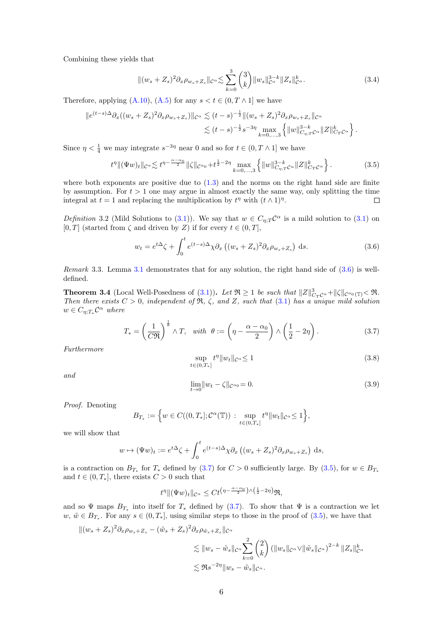Combining these yields that

<span id="page-6-6"></span>
$$
\|(w_s + Z_s)^2 \partial_x \rho_{w_s + Z_s} \|_{C^\alpha} \lesssim \sum_{k=0}^3 \binom{3}{k} \|w_s\|_{C^\alpha}^{3-k} \|Z_s\|_{C^\alpha}^k. \tag{3.4}
$$

Therefore, applying  $(A.10)$ ,  $(A.5)$  for any  $s < t \in (0, T \wedge 1]$  we have

$$
\|e^{(t-s)\Delta}\partial_x((w_s+Z_s)^2\partial_x\rho_{w_s+Z_s})\|_{\mathcal{C}^{\alpha}} \lesssim (t-s)^{-\frac{1}{2}} \|(w_s+Z_s)^2\partial_x\rho_{w_s+Z_s}\|_{\mathcal{C}^{\alpha}} \leq (t-s)^{-\frac{1}{2}}s^{-3\eta} \max_{k=0,\ldots,3} \left\{\|w\|_{C_{\eta;T}\mathcal{C}^{\alpha}}^{3-k} \|Z\|_{C_T\mathcal{C}^{\alpha}}^k\right\}.
$$

Since  $\eta < \frac{1}{4}$  we may integrate  $s^{-3\eta}$  near 0 and so for  $t \in (0, T \wedge 1]$  we have

<span id="page-6-2"></span>
$$
t^{\eta} \| (\Psi w)_t \|_{\mathcal{C}^{\alpha}} \lesssim t^{\eta - \frac{\alpha - \alpha_0}{2}} \| \zeta \|_{\mathcal{C}^{\alpha_0}} + t^{\frac{1}{2} - 2\eta} \max_{k=0,\dots,3} \left\{ \| w \|_{C_{\eta;T}C^{\alpha}}^{3-k} \| Z \|_{C_T C^{\alpha}}^k \right\}.
$$
 (3.5)

where both exponents are positive due to  $(1.3)$  and the norms on the right hand side are finite by assumption. For  $t > 1$  one may argue in almost exactly the same way, only splitting the time integral at  $t = 1$  and replacing the multiplication by  $t^{\eta}$  with  $(t \wedge 1)^{\eta}$ .  $\Box$ 

<span id="page-6-3"></span>Definition 3.2 (Mild Solutions to [\(3.1\)](#page-5-2)). We say that  $w \in C_{\eta, T} C^{\alpha}$  is a mild solution to (3.1) on [0, T] (started from  $\zeta$  and driven by Z) if for every  $t \in (0, T]$ ,

<span id="page-6-0"></span>
$$
w_t = e^{t\Delta}\zeta + \int_0^t e^{(t-s)\Delta}\chi \partial_x \left( (w_s + Z_s)^2 \partial_x \rho_{w_s + Z_s} \right) ds.
$$
 (3.6)

Remark 3.3. Lemma [3.1](#page-5-3) demonstrates that for any solution, the right hand side of [\(3.6\)](#page-6-0) is welldefined.

<span id="page-6-7"></span>**Theorem 3.4** (Local Well-Posedness of [\(3.1\)](#page-5-2)). Let  $\Re \ge 1$  be such that  $||Z||_{C_TC^{\alpha}}^3 + ||\zeta||_{C^{\alpha_0}}(T) \le \Re$ . Then there exists  $C > 0$ , independent of  $\Re$ ,  $\zeta$ , and Z, such that  $(3.1)$  has a unique mild solution  $w \in C_{\eta;T_*} \mathcal{C}^{\alpha}$  where

<span id="page-6-1"></span>
$$
T_* = \left(\frac{1}{C\Re}\right)^{\frac{1}{\theta}} \wedge T, \quad \text{with} \quad \theta := \left(\eta - \frac{\alpha - \alpha_0}{2}\right) \wedge \left(\frac{1}{2} - 2\eta\right). \tag{3.7}
$$

Furthermore

<span id="page-6-4"></span>
$$
\sup_{t \in (0,T_*]} t^{\eta} \|w_t\|_{\mathcal{C}^{\alpha}} \le 1 \tag{3.8}
$$

and

<span id="page-6-5"></span>
$$
\lim_{t \to 0} \|w_t - \zeta\|_{\mathcal{C}^{\alpha_0}} = 0. \tag{3.9}
$$

Proof. Denoting

$$
B_{T_*} := \Big\{ w \in C((0,T_*];\mathcal{C}^{\alpha}(\mathbb{T})) : \sup_{t \in (0,T_*]} t^{\eta} ||w_t||_{\mathcal{C}^{\alpha}} \leq 1 \Big\},\
$$

we will show that

$$
w \mapsto (\Psi w)_t := e^{t\Delta} \zeta + \int_0^t e^{(t-s)\Delta} \chi \partial_x ((w_s + Z_s)^2 \partial_x \rho_{w_s + Z_s}) ds,
$$

is a contraction on  $B_{T_*}$  for  $T_*$  defined by [\(3.7\)](#page-6-1) for  $C > 0$  sufficiently large. By [\(3.5\)](#page-6-2), for  $w \in B_{T_*}$ and  $t \in (0, T_*]$ , there exists  $C > 0$  such that

$$
t^{\eta} \Vert (\Psi w)_t \Vert_{\mathcal{C}^{\alpha}} \leq C t^{\left(\eta - \frac{\alpha - \alpha_0}{2}\right) \wedge \left(\frac{1}{2} - 2\eta\right)} \mathfrak{R},
$$

and so  $\Psi$  maps  $B_{T_*}$  into itself for  $T_*$  defined by [\(3.7\)](#page-6-1). To show that  $\Psi$  is a contraction we let  $w, \tilde{w} \in B_{T_*}$ . For any  $s \in (0, T_*]$ , using similar steps to those in the proof of  $(3.5)$ , we have that

$$
\begin{split} \|(w_s + Z_s)^2 \partial_x \rho_{w_s + Z_s} - (\tilde{w}_s + Z_s)^2 \partial_x \rho_{\tilde{w}_s + Z_s} \|_{\mathcal{C}^{\alpha}} \\ &\lesssim \|w_s - \tilde{w}_s\|_{\mathcal{C}^{\alpha}} \sum_{k=0}^2 {2 \choose k} \left(\|w_s\|_{\mathcal{C}^{\alpha}} \vee \|\tilde{w}_s\|_{\mathcal{C}^{\alpha}}\right)^{2-k} \|Z_s\|_{\mathcal{C}^{\alpha}}^k \\ &\lesssim \Re s^{-2\eta} \|w_s - \tilde{w}_s\|_{\mathcal{C}^{\alpha}}. \end{split}
$$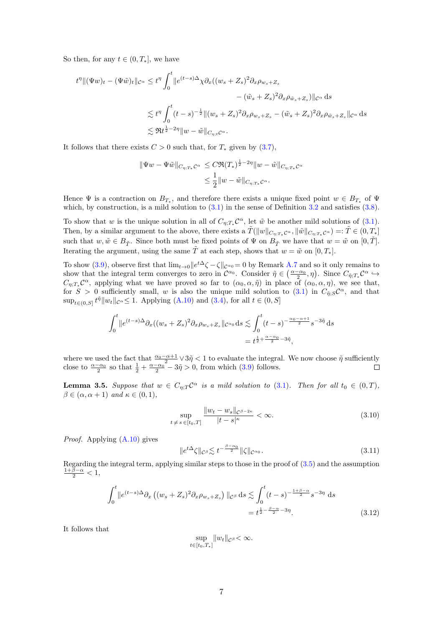So then, for any  $t \in (0, T_*]$ , we have

$$
t^{\eta} \| (\Psi w)_t - (\Psi \tilde{w})_t \|_{\mathcal{C}^{\alpha}} \leq t^{\eta} \int_0^t \| e^{(t-s)\Delta} \chi \partial_x ((w_s + Z_s)^2 \partial_x \rho_{w_s + Z_s} - (\tilde{w}_s + Z_s)^2 \partial_x \rho_{\tilde{w}_s + Z_s}) \|_{\mathcal{C}^{\alpha}} ds
$$
  

$$
\lesssim t^{\eta} \int_0^t (t-s)^{-\frac{1}{2}} \| (w_s + Z_s)^2 \partial_x \rho_{w_s + Z_s} - (\tilde{w}_s + Z_s)^2 \partial_x \rho_{\tilde{w}_s + Z_s} \|_{\mathcal{C}^{\alpha}} ds
$$
  

$$
\lesssim \Re t^{\frac{1}{2} - 2\eta} \| w - \tilde{w} \|_{C_{\eta; t} \mathcal{C}^{\alpha}}.
$$

It follows that there exists  $C > 0$  such that, for  $T_*$  given by [\(3.7\)](#page-6-1),

$$
\|\Psi w - \Psi \tilde{w}\|_{C_{\eta;T_*}\mathcal{C}^{\alpha}} \leq C \Re(T_*)^{\frac{1}{2}-2\eta} \|w - \tilde{w}\|_{C_{\eta;T_*}\mathcal{C}^{\alpha}}
$$
  

$$
\leq \frac{1}{2} \|w - \tilde{w}\|_{C_{\eta;T_*}\mathcal{C}^{\alpha}}.
$$

Hence  $\Psi$  is a contraction on  $B_{T_*}$ , and therefore there exists a unique fixed point  $w \in B_{T_*}$  of  $\Psi$ which, by construction, is a mild solution to  $(3.1)$  in the sense of Definition [3.2](#page-6-3) and satisfies  $(3.8)$ .

To show that w is the unique solution in all of  $C_{\eta;T_*} \mathcal{C}^{\alpha}$ , let  $\tilde{w}$  be another mild solutions of [\(3.1\)](#page-5-2). Then, by a similar argument to the above, there exists a  $\tilde{T}(\|w\|_{C_{\eta;T_*}\mathcal{C}^{\alpha}},\|\tilde{w}\|_{C_{\eta;T_*}\mathcal{C}^{\alpha}})=:\tilde{T}\in(0,T_*]$ such that  $w, \tilde{w} \in B_{\tilde{T}}$ . Since both must be fixed points of  $\Psi$  on  $B_{\tilde{T}}$  we have that  $w = \tilde{w}$  on  $[0, \tilde{T}]$ . Iterating the argument, using the same  $\tilde{T}$  at each step, shows that  $w = \tilde{w}$  on  $[0, T_*]$ .

To show [\(3.9\)](#page-6-5), observe first that  $\lim_{t\to 0} ||e^{t\Delta}\zeta - \zeta||_{\mathcal{C}^{\alpha_0}} = 0$  by Remark [A.7](#page-28-4) and so it only remains to show that the integral term converges to zero in  $\mathcal{C}^{\alpha_0}$ . Consider  $\tilde{\eta} \in \left(\frac{\alpha-\alpha_0}{2},\eta\right)$ . Since  $C_{\tilde{\eta};T_*}\mathcal{C}^{\alpha} \hookrightarrow$  $C_{\eta;T_*}$  $\mathcal{C}^{\alpha}$ , applying what we have proved so far to  $(\alpha_0,\alpha,\tilde{\eta})$  in place of  $(\alpha_0,\alpha,\eta)$ , we see that, for  $S > 0$  sufficiently small, w is also the unique mild solution to [\(3.1\)](#page-5-2) in  $C_{\tilde{\eta}$ ;  $S\mathcal{C}^{\alpha}$ , and that  $\sup_{t \in (0, S]} t^{\tilde{\eta}} \|w_t\|_{\mathcal{C}^{\alpha}} \leq 1.$  Applying [\(A.10\)](#page-28-2) and [\(3.4\)](#page-6-6), for all  $t \in (0, S]$ 

$$
\int_0^t \|e^{(t-s)\Delta} \partial_x ((w_s + Z_s)^2 \partial_x \rho_{w_s + Z_s} \|c^{\alpha_0} ds \lesssim \int_0^t (t-s)^{-\frac{\alpha_0 - \alpha + 1}{2}} s^{-3\tilde{\eta}} ds
$$
  
=  $t^{\frac{1}{2} + \frac{\alpha - \alpha_0}{2} - 3\tilde{\eta}}$ ,

where we used the fact that  $\frac{\alpha_0 - \alpha + 1}{2} \vee 3\tilde{\eta} < 1$  to evaluate the integral. We now choose  $\tilde{\eta}$  sufficiently close to  $\frac{\alpha-\alpha_0}{2}$  so that  $\frac{1}{2}+\frac{\alpha-\alpha_0}{2}-3\tilde{\eta}>0$ , from which  $(3.9)$  follows.

<span id="page-7-1"></span>**Lemma 3.5.** Suppose that  $w \in C_{\eta;T}C^{\alpha}$  is a mild solution to [\(3.1\)](#page-5-2). Then for all  $t_0 \in (0,T)$ ,  $\beta \in (\alpha, \alpha + 1)$  and  $\kappa \in (0, 1)$ ,

<span id="page-7-0"></span>
$$
\sup_{t \neq s \in [t_0, T]} \frac{\|w_t - w_s\|_{\mathcal{C}^{\beta - 2\kappa}}}{|t - s|^{\kappa}} < \infty. \tag{3.10}
$$

Proof. Applying [\(A.10\)](#page-28-2) gives

$$
||e^{t\Delta}\zeta||_{\mathcal{C}^{\beta}} \lesssim t^{-\frac{\beta-\alpha_0}{2}} ||\zeta||_{\mathcal{C}^{\alpha_0}}.
$$
\n(3.11)

Regarding the integral term, applying similar steps to those in the proof of  $(3.5)$  and the assumption  $\frac{1+\beta-\alpha}{2} < 1$ ,

$$
\int_0^t \|e^{(t-s)\Delta} \partial_x \left( (w_s + Z_s)^2 \partial_x \rho_{w_s + Z_s} \right) \|_{\mathcal{C}^\beta} ds \lesssim \int_0^t (t-s)^{-\frac{1+\beta-\alpha}{2}} s^{-3\eta} ds
$$
  
=  $t^{\frac{1}{2} - \frac{\beta-\alpha}{2} - 3\eta}$ . (3.12)

It follows that

$$
\sup_{t\in[t_0,T_*]} \|w_t\|_{\mathcal{C}^\beta}<\infty.
$$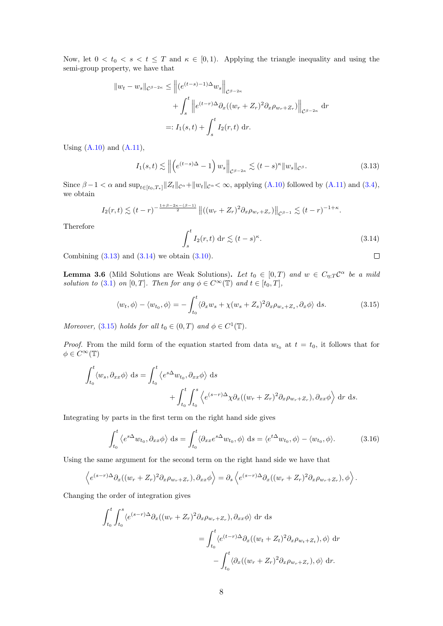Now, let  $0 < t_0 < s < t \leq T$  and  $\kappa \in [0,1)$ . Applying the triangle inequality and using the semi-group property, we have that

$$
||w_t - w_s||_{\mathcal{C}^{\beta - 2\kappa}} \le ||(e^{(t-s)-1)\Delta}w_s||_{\mathcal{C}^{\beta - 2\kappa}}
$$
  
+  $\int_s^t ||e^{(t-r)\Delta} \partial_x ((w_r + Z_r)^2 \partial_x \rho_{w_r + Z_r})||_{\mathcal{C}^{\beta - 2\kappa}}$  dr  
=:  $I_1(s, t) + \int_s^t I_2(r, t) dr$ .

Using  $(A.10)$  and  $(A.11)$ ,

$$
I_1(s,t) \lesssim \left\| \left( e^{(t-s)\Delta} - 1 \right) w_s \right\|_{\mathcal{C}^{\beta - 2\kappa}} \lesssim (t-s)^{\kappa} \|w_s\|_{\mathcal{C}^{\beta}}.
$$
 (3.13)

Since  $\beta - 1 < \alpha$  and  $\sup_{t \in [t_0, T_*]} ||Z_t||_{\mathcal{C}^{\alpha}} + ||w_t||_{\mathcal{C}^{\alpha}} < \infty$ , applying [\(A.10\)](#page-28-2) followed by [\(A.11\)](#page-28-5) and [\(3.4\)](#page-6-6), we obtain

$$
I_2(r,t) \lesssim (t-r)^{-\frac{1+\beta-2\kappa-(\beta-1)}{2}} \left\| ((w_r+Z_r)^2 \partial_x \rho_{w_r+Z_r}) \right\|_{\mathcal{C}^{\beta-1}} \lesssim (t-r)^{-1+\kappa}.
$$

Therefore

<span id="page-8-1"></span>
$$
\int_{s}^{t} I_{2}(r,t) \, \mathrm{d}r \lesssim (t-s)^{\kappa}.\tag{3.14}
$$

<span id="page-8-0"></span> $\Box$ 

Combining  $(3.13)$  and  $(3.14)$  we obtain  $(3.10)$ .

<span id="page-8-4"></span>**Lemma 3.6** (Mild Solutions are Weak Solutions). Let  $t_0 \in [0,T)$  and  $w \in C_{\eta;T}C^{\alpha}$  be a mild solution to [\(3.1\)](#page-5-2) on [0, T]. Then for any  $\phi \in C^{\infty}(\mathbb{T})$  and  $t \in [t_0, T]$ ,

<span id="page-8-2"></span>
$$
\langle w_t, \phi \rangle - \langle w_{t_0}, \phi \rangle = -\int_{t_0}^t \langle \partial_x w_s + \chi (w_s + Z_s)^2 \partial_x \rho_{w_s + Z_s}, \partial_x \phi \rangle \, \mathrm{d}s. \tag{3.15}
$$

Moreover, [\(3.15\)](#page-8-2) holds for all  $t_0 \in (0,T)$  and  $\phi \in C^1(\mathbb{T})$ .

*Proof.* From the mild form of the equation started from data  $w_{t_0}$  at  $t = t_0$ , it follows that for  $\phi \in C^{\infty}(\mathbb{T})$ 

$$
\int_{t_0}^t \langle w_s, \partial_{xx} \phi \rangle \, ds = \int_{t_0}^t \langle e^{s\Delta} w_{t_0}, \partial_{xx} \phi \rangle \, ds
$$

$$
+ \int_{t_0}^t \int_{t_0}^s \langle e^{(s-r)\Delta} \chi \partial_x ((w_r + Z_r)^2 \partial_x \rho_{w_r + Z_r}), \partial_{xx} \phi \rangle \, dr \, ds.
$$

Integrating by parts in the first term on the right hand side gives

<span id="page-8-3"></span>
$$
\int_{t_0}^t \langle e^{s\Delta} w_{t_0}, \partial_{xx} \phi \rangle \, \mathrm{d}s = \int_{t_0}^t \langle \partial_{xx} e^{s\Delta} w_{t_0}, \phi \rangle \, \mathrm{d}s = \langle e^{t\Delta} w_{t_0}, \phi \rangle - \langle w_{t_0}, \phi \rangle. \tag{3.16}
$$

Using the same argument for the second term on the right hand side we have that

$$
\left\langle e^{(s-r)\Delta}\partial_x((w_r+Z_r)^2\partial_x\rho_{w_r+Z_r}),\partial_{xx}\phi\right\rangle = \partial_s\left\langle e^{(s-r)\Delta}\partial_x((w_r+Z_r)^2\partial_x\rho_{w_r+Z_r}),\phi\right\rangle.
$$

Changing the order of integration gives

$$
\int_{t_0}^t \int_{t_0}^s \langle e^{(s-r)\Delta} \partial_x ((w_r + Z_r)^2 \partial_x \rho_{w_r + Z_r}), \partial_{xx} \phi \rangle \, dr \, ds
$$
  

$$
= \int_{t_0}^t \langle e^{(t-r)\Delta} \partial_x ((w_t + Z_t)^2 \partial_x \rho_{w_t + Z_t}), \phi \rangle \, dr
$$
  

$$
- \int_{t_0}^t \langle \partial_x ((w_r + Z_r)^2 \partial_x \rho_{w_r + Z_r}), \phi \rangle \, dr.
$$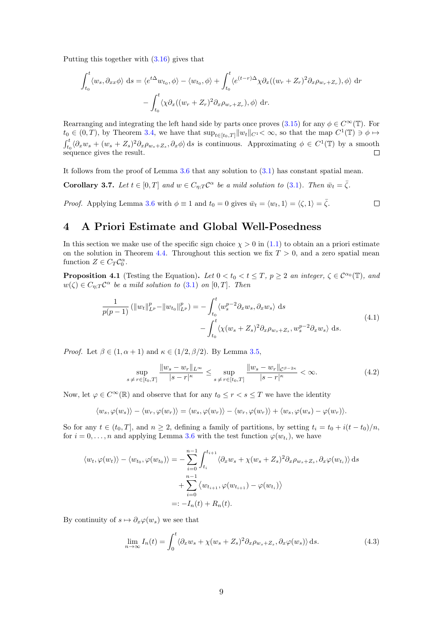Putting this together with [\(3.16\)](#page-8-3) gives that

$$
\int_{t_0}^t \langle w_s, \partial_{xx} \phi \rangle \, ds = \langle e^{t\Delta} w_{t_0}, \phi \rangle - \langle w_{t_0}, \phi \rangle + \int_{t_0}^t \langle e^{(t-r)\Delta} \chi \partial_x ((w_r + Z_r)^2 \partial_x \rho_{w_r + Z_r}), \phi \rangle \, dr
$$

$$
- \int_{t_0}^t \langle \chi \partial_x ((w_r + Z_r)^2 \partial_x \rho_{w_r + Z_r}), \phi \rangle \, dr.
$$

Rearranging and integrating the left hand side by parts once proves [\(3.15\)](#page-8-2) for any  $\phi \in C^{\infty}(\mathbb{T})$ . For  $t_0 \in (0,T)$ , by Theorem [3.4,](#page-6-7) we have that  $\sup_{t \in [t_0,T]} ||w_t||_{C^1} < \infty$ , so that the map  $C^1(\mathbb{T}) \ni \phi \mapsto$  $\int_{t_0}^t \langle \partial_x w_s + (w_s + Z_s)^2 \partial_x \rho_{w_s + Z_s}, \partial_x \phi \rangle ds$  is continuous. Approximating  $\phi \in C^1(\mathbb{T})$  by a smooth sequence gives the result.  $\Box$ 

It follows from the proof of Lemma [3.6](#page-8-4) that any solution to [\(3.1\)](#page-5-2) has constant spatial mean.

<span id="page-9-4"></span>**Corollary 3.7.** Let  $t \in [0, T]$  and  $w \in C_{\eta;T} C^{\alpha}$  be a mild solution to [\(3.1\)](#page-5-2). Then  $\bar{w}_t = \bar{\zeta}$ .

*Proof.* Applying Lemma [3.6](#page-8-4) with  $\phi \equiv 1$  and  $t_0 = 0$  gives  $\bar{w}_t = \langle w_t, 1 \rangle = \langle \zeta, 1 \rangle = \bar{\zeta}$ .

#### $\Box$

## <span id="page-9-0"></span>4 A Priori Estimate and Global Well-Posedness

In this section we make use of the specific sign choice  $\chi > 0$  in [\(1.1\)](#page-1-0) to obtain an a priori estimate on the solution in Theorem [4.4.](#page-11-0) Throughout this section we fix  $T > 0$ , and a zero spatial mean function  $Z \in C_T C_0^{\alpha}$ .

**Proposition 4.1** (Testing the Equation). Let  $0 < t_0 < t \leq T$ ,  $p \geq 2$  an integer,  $\zeta \in C^{\alpha_0}(\mathbb{T})$ , and  $w(\zeta) \in C_{\eta;T} C^{\alpha}$  be a mild solution to [\(3.1\)](#page-5-2) on [0, T]. Then

<span id="page-9-3"></span>
$$
\frac{1}{p(p-1)} \left( \|w_t\|_{L^p}^p - \|w_{t_0}\|_{L^p}^p \right) = -\int_{t_0}^t \langle w_s^{p-2} \partial_x w_s, \partial_x w_s \rangle \, ds \n- \int_{t_0}^t \langle \chi(w_s + Z_s)^2 \partial_x \rho_{w_s + Z_s}, w_s^{p-2} \partial_x w_s \rangle \, ds.
$$
\n(4.1)

*Proof.* Let  $\beta \in (1, \alpha + 1)$  and  $\kappa \in (1/2, \beta/2)$ . By Lemma [3.5,](#page-7-1)

<span id="page-9-1"></span>
$$
\sup_{s \neq r \in [t_0, T]} \frac{\|w_s - w_r\|_{L^\infty}}{|s - r|^\kappa} \le \sup_{s \neq r \in [t_0, T]} \frac{\|w_s - w_r\|_{\mathcal{C}^{\beta - 2\kappa}}}{|s - r|^\kappa} < \infty. \tag{4.2}
$$

Now, let  $\varphi \in C^{\infty}(\mathbb{R})$  and observe that for any  $t_0 \leq r < s \leq T$  we have the identity

$$
\langle w_s, \varphi(w_s) \rangle - \langle w_r, \varphi(w_r) \rangle = \langle w_s, \varphi(w_r) \rangle - \langle w_r, \varphi(w_r) \rangle + \langle w_s, \varphi(w_s) - \varphi(w_r) \rangle.
$$

So for any  $t \in (t_0, T]$ , and  $n \geq 2$ , defining a family of partitions, by setting  $t_i = t_0 + i(t - t_0)/n$ , for  $i = 0, \ldots, n$  and applying Lemma [3.6](#page-8-4) with the test function  $\varphi(w_{t_i})$ , we have

$$
\langle w_t, \varphi(w_t) \rangle - \langle w_{t_0}, \varphi(w_{t_0}) \rangle = -\sum_{i=0}^{n-1} \int_{t_i}^{t_{i+1}} \langle \partial_x w_s + \chi(w_s + Z_s)^2 \partial_x \rho_{w_s + Z_s}, \partial_x \varphi(w_{t_i}) \rangle ds
$$
  
+ 
$$
\sum_{i=0}^{n-1} \langle w_{t_{i+1}}, \varphi(w_{t_{i+1}}) - \varphi(w_{t_i}) \rangle
$$
  
=: 
$$
-I_n(t) + R_n(t).
$$

By continuity of  $s \mapsto \partial_x \varphi(w_s)$  we see that

<span id="page-9-2"></span>
$$
\lim_{n \to \infty} I_n(t) = \int_0^t \langle \partial_x w_s + \chi (w_s + Z_s)^2 \partial_x \rho_{w_s + Z_s}, \partial_x \varphi (w_s) \rangle \, ds. \tag{4.3}
$$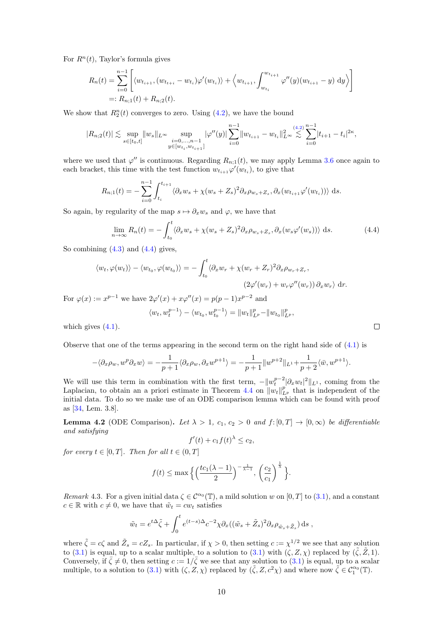For  $R<sup>n</sup>(t)$ , Taylor's formula gives

$$
R_n(t) = \sum_{i=0}^{n-1} \left[ \langle w_{t_{i+1}}, (w_{t_{i+1}} - w_{t_i}) \varphi'(w_{t_i}) \rangle + \langle w_{t_{i+1}}, \int_{w_{t_i}}^{w_{t_{i+1}}} \varphi''(y) (w_{t_{i+1}} - y) dy \rangle \right]
$$
  
=:  $R_{n;1}(t) + R_{n;2}(t)$ .

We show that  $R_2^n(t)$  converges to zero. Using  $(4.2)$ , we have the bound

$$
|R_{n;2}(t)| \lesssim \sup_{s \in [t_0,t]} \|w_s\|_{L^{\infty}} \sup_{\substack{i=0,\ldots,n-1 \\ y \in [w_{t_i},w_{t_{i+1}}]}} |\varphi''(y)| \sum_{i=0}^{n-1} \|w_{t_{i+1}} - w_{t_i}\|_{L^{\infty}}^2 \lesssim \sum_{i=0}^{(4,2)} |t_{i+1} - t_i|^{2\kappa},
$$

where we used that  $\varphi''$  is continuous. Regarding  $R_{n;1}(t)$ , we may apply Lemma [3.6](#page-8-4) once again to each bracket, this time with the test function  $w_{t_{i+1}}\varphi'(w_{t_i})$ , to give that

$$
R_{n;1}(t) = -\sum_{i=0}^{n-1} \int_{t_i}^{t_{i+1}} \langle \partial_x w_s + \chi(w_s + Z_s)^2 \partial_x \rho_{w_s + Z_s}, \partial_x (w_{t_{i+1}} \varphi'(w_{t_i})) \rangle ds.
$$

So again, by regularity of the map  $s \mapsto \partial_x w_s$  and  $\varphi$ , we have that

<span id="page-10-0"></span>
$$
\lim_{n \to \infty} R_n(t) = -\int_{t_0}^t \langle \partial_x w_s + \chi(w_s + Z_s)^2 \partial_x \rho_{w_s + Z_s}, \partial_x (w_s \varphi'(w_s)) \rangle \, ds. \tag{4.4}
$$

So combining  $(4.3)$  and  $(4.4)$  gives,

$$
\langle w_t, \varphi(w_t) \rangle - \langle w_{t_0}, \varphi(w_{t_0}) \rangle = -\int_{t_0}^t \langle \partial_x w_r + \chi(w_r + Z_r)^2 \partial_x \rho_{w_r + Z_r},
$$
  

$$
(2\varphi'(w_r) + w_r \varphi''(w_r)) \partial_x w_r \rangle \, dr.
$$

For  $\varphi(x) := x^{p-1}$  we have  $2\varphi'(x) + x\varphi''(x) = p(p-1)x^{p-2}$  and

$$
\langle w_t, w_t^{p-1} \rangle - \langle w_{t_0}, w_{t_0}^{p-1} \rangle = ||w_t||_{L^p}^p - ||w_{t_0}||_{L^p}^p,
$$

which gives  $(4.1)$ .

Observe that one of the terms appearing in the second term on the right hand side of [\(4.1\)](#page-9-3) is

$$
-\langle \partial_x \rho_w, w^p \partial_x w \rangle = -\frac{1}{p+1} \langle \partial_x \rho_w, \partial_x w^{p+1} \rangle = -\frac{1}{p+1} ||w^{p+2}||_{L^1} + \frac{1}{p+2} \langle \bar{w}, w^{p+1} \rangle.
$$

We will use this term in combination with the first term,  $-||w_t^{p-2}|\partial_x w_t|^2||_{L^1}$ , coming from the Laplacian, to obtain an a priori estimate in Theorem [4.4](#page-11-0) on  $||w_t||_{L^p}^p$  that is independent of the initial data. To do so we make use of an ODE comparison lemma which can be found with proof as [\[34,](#page-31-5) Lem. 3.8].

<span id="page-10-2"></span>**Lemma 4.2** (ODE Comparison). Let  $\lambda > 1$ ,  $c_1$ ,  $c_2 > 0$  and  $f:[0,T] \to [0,\infty)$  be differentiable and satisfying

$$
f'(t) + c_1 f(t)^{\lambda} \le c_2,
$$

for every  $t \in [0, T]$ . Then for all  $t \in (0, T]$ 

$$
f(t) \le \max\left\{ \left( \frac{tc_1(\lambda - 1)}{2} \right)^{-\frac{1}{\lambda - 1}}, \left( \frac{c_2}{c_1} \right)^{\frac{1}{\lambda}} \right\}.
$$

<span id="page-10-1"></span>Remark 4.3. For a given initial data  $\zeta \in C^{\alpha_0}(\mathbb{T})$ , a mild solution w on  $[0, T]$  to  $(3.1)$ , and a constant  $c \in \mathbb{R}$  with  $c \neq 0$ , we have that  $\tilde{w}_t = c w_t$  satisfies

$$
\tilde{w}_t = e^{t\Delta} \tilde{\zeta} + \int_0^t e^{(t-s)\Delta} c^{-2} \chi \partial_x ((\tilde{w}_s + \tilde{Z}_s)^2 \partial_x \rho_{\tilde{w}_s + \tilde{Z}_s}) ds ,
$$

where  $\tilde{\zeta} = c\zeta$  and  $\tilde{Z}_s = cZ_s$ . In particular, if  $\chi > 0$ , then setting  $c := \chi^{1/2}$  we see that any solution to [\(3.1\)](#page-5-2) is equal, up to a scalar multiple, to a solution to (3.1) with  $(\zeta, Z, \chi)$  replaced by  $(\tilde{\zeta}, \tilde{Z}, 1)$ . Conversely, if  $\bar{\zeta} \neq 0$ , then setting  $c := 1/\bar{\zeta}$  we see that any solution to [\(3.1\)](#page-5-2) is equal, up to a scalar multiple, to a solution to [\(3.1\)](#page-5-2) with  $(\zeta, Z, \chi)$  replaced by  $(\tilde{\zeta}, Z, c^2\chi)$  and where now  $\tilde{\zeta} \in C_1^{\alpha_0}(\mathbb{T})$ .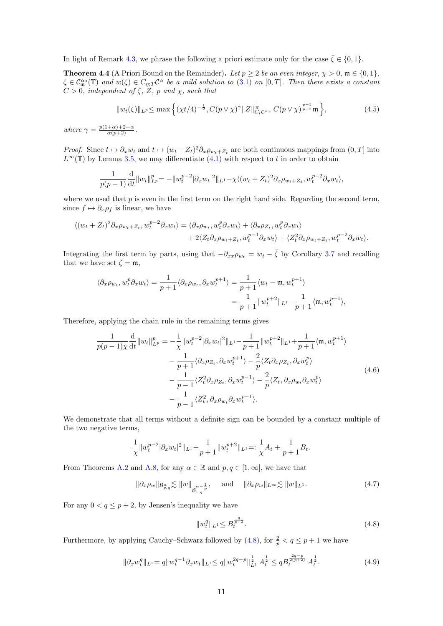In light of Remark [4.3,](#page-10-1) we phrase the following a priori estimate only for the case  $\bar{\zeta} \in \{0, 1\}.$ 

<span id="page-11-0"></span>**Theorem 4.4** (A Priori Bound on the Remainder). Let  $p \ge 2$  be an even integer,  $\chi > 0$ ,  $\mathfrak{m} \in \{0,1\}$ ,  $\zeta \in \mathcal{C}_{\mathfrak{m}}^{\alpha_0}(\mathbb{T})$  and  $w(\zeta) \in C_{\eta;T} \mathcal{C}^{\alpha}$  be a mild solution to  $(3.1)$  on  $[0,T]$ . Then there exists a constant  $C > 0$ , independent of  $\zeta$ ,  $\overline{Z}$ ,  $p$  and  $\chi$ , such that

<span id="page-11-5"></span>
$$
||w_t(\zeta)||_{L^p} \le \max\left\{ (\chi t/4)^{-\frac{1}{2}}, C(p \vee \chi)^{\gamma} ||Z||_{C_t}^{\frac{1}{\alpha}} c^{\alpha}, C(p \vee \chi)^{\frac{p+1}{p+2}} \mathfrak{m} \right\},\tag{4.5}
$$

where  $\gamma = \frac{p(1+\alpha)+2+\alpha}{\alpha(p+2)}$ .

*Proof.* Since  $t \mapsto \partial_x w_t$  and  $t \mapsto (w_t + Z_t)^2 \partial_x \rho_{w_t + Z_t}$  are both continuous mappings from  $(0, T]$  into  $L^{\infty}(\mathbb{T})$  by Lemma [3.5,](#page-7-1) we may differentiate  $(4.1)$  with respect to t in order to obtain

$$
\frac{1}{p(p-1)}\frac{\mathrm{d}}{\mathrm{d}t}||w_t||_{L^p}^p = -||w_t^{p-2}|\partial_x w_t|^2||_{L^1} - \chi \langle (w_t + Z_t)^2 \partial_x \rho_{w_t + Z_t}, w_t^{p-2} \partial_x w_t \rangle,
$$

where we used that  $p$  is even in the first term on the right hand side. Regarding the second term, since  $f \mapsto \partial_x \rho_f$  is linear, we have

$$
\langle (w_t + Z_t)^2 \partial_x \rho_{w_t + Z_t}, w_t^{p-2} \partial_x w_t \rangle = \langle \partial_x \rho_{w_t}, w_t^p \partial_x w_t \rangle + \langle \partial_x \rho_{Z_t}, w_t^p \partial_x w_t \rangle + 2 \langle Z_t \partial_x \rho_{w_t + Z_t}, w_t^{p-1} \partial_x w_t \rangle + \langle Z_t^2 \partial_x \rho_{w_t + Z_t}, w_t^{p-2} \partial_x w_t \rangle.
$$

Integrating the first term by parts, using that  $-\partial_{xx}\rho_{w_t} = w_t - \bar{\zeta}$  by Corollary [3.7](#page-9-4) and recalling that we have set  $\zeta = \mathfrak{m}$ ,

$$
\langle \partial_x \rho_{w_t}, w_t^p \partial_x w_t \rangle = \frac{1}{p+1} \langle \partial_x \rho_{w_t}, \partial_x w_t^{p+1} \rangle = \frac{1}{p+1} \langle w_t - \mathfrak{m}, w_t^{p+1} \rangle
$$
  
= 
$$
\frac{1}{p+1} ||w_t^{p+2}||_{L^1} - \frac{1}{p+1} \langle \mathfrak{m}, w_t^{p+1} \rangle,
$$

Therefore, applying the chain rule in the remaining terms gives

<span id="page-11-2"></span>
$$
\frac{1}{p(p-1)\chi} \frac{d}{dt} \|w_t\|_{L^p}^p = -\frac{1}{\chi} \|w_t^{p-2}|\partial_x w_t|^2\|_{L^1} - \frac{1}{p+1} \|w_t^{p+2}\|_{L^1} + \frac{1}{p+1} \langle \mathfrak{m}, w_t^{p+1} \rangle \n- \frac{1}{p+1} \langle \partial_x \rho_{Z_t}, \partial_x w_t^{p+1} \rangle - \frac{2}{p} \langle Z_t \partial_x \rho_{Z_t}, \partial_x w_t^p \rangle \n- \frac{1}{p-1} \langle Z_t^2 \partial_x \rho_{Z_t}, \partial_x w_t^{p-1} \rangle - \frac{2}{p} \langle Z_t, \partial_x \rho_{w_t} \partial_x w_t^p \rangle \n- \frac{1}{p-1} \langle Z_t^2, \partial_x \rho_{w_t} \partial_x w_t^{p-1} \rangle.
$$
\n(4.6)

We demonstrate that all terms without a definite sign can be bounded by a constant multiple of the two negative terms,

$$
\frac{1}{\chi}\|w_t^{p-2}|\partial_x w_t|^2\|_{L^1}+\frac{1}{p+1}\|w_t^{p+2}\|_{L^1}=:\frac{1}{\chi}A_t+\frac{1}{p+1}B_t.
$$

From Theorems [A.2](#page-27-3) and [A.8,](#page-28-6) for any  $\alpha \in \mathbb{R}$  and  $p, q \in [1, \infty]$ , we have that

<span id="page-11-4"></span>
$$
\|\partial_x \rho_w\|_{\mathcal{B}^{\alpha}_{p,q}} \lesssim \|w\|_{\mathcal{B}^{\alpha-\frac{1}{p}}_{1,q}}, \quad \text{and} \quad \|\partial_x \rho_w\|_{L^\infty} \lesssim \|w\|_{L^1}.
$$
 (4.7)

For any  $0 < q \leq p+2$ , by Jensen's inequality we have

<span id="page-11-1"></span>
$$
||w_t^q||_{L^1} \le B_t^{\frac{q}{p+2}}.\tag{4.8}
$$

Furthermore, by applying Cauchy–Schwarz followed by  $(4.8)$ , for  $\frac{2}{p} < q \leq p+1$  we have

<span id="page-11-3"></span>
$$
\|\partial_x w_t^q\|_{L^1} = q \|w_t^{q-1} \partial_x w_t\|_{L^1} \le q \|w_t^{2q-p}\|_{L^1}^{\frac{1}{2}} A_t^{\frac{1}{2}} \le q B_t^{\frac{2q-p}{2(p+2)}} A_t^{\frac{1}{2}}.
$$
\n
$$
(4.9)
$$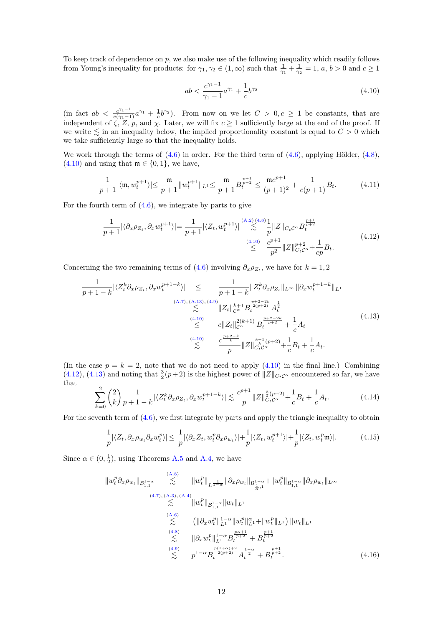To keep track of dependence on  $p$ , we also make use of the following inequality which readily follows from Young's inequality for products: for  $\gamma_1, \gamma_2 \in (1, \infty)$  such that  $\frac{1}{\gamma_1} + \frac{1}{\gamma_2} = 1$ ,  $a, b > 0$  and  $c \ge 1$ 

<span id="page-12-0"></span>
$$
ab < \frac{c^{\gamma_1 - 1}}{\gamma_1 - 1} a^{\gamma_1} + \frac{1}{c} b^{\gamma_2} \tag{4.10}
$$

(in fact  $ab < \frac{c^{\gamma_1-1}}{e(\gamma_1-1)}a^{\gamma_1} + \frac{1}{c}b^{\gamma_2}$ ). From now on we let  $C > 0, c \ge 1$  be constants, that are independent of  $\zeta$ , Z, p, and  $\chi$ . Later, we will fix  $c \geq 1$  sufficiently large at the end of the proof. If we write  $\leq$  in an inequality below, the implied proportionality constant is equal to  $C > 0$  which we take sufficiently large so that the inequality holds.

We work through the terms of  $(4.6)$  in order. For the third term of  $(4.6)$ , applying Hölder,  $(4.8)$ ,  $(4.10)$  and using that  $\mathfrak{m} \in \{0,1\}$ , we have,

<span id="page-12-5"></span>
$$
\frac{1}{p+1} |\langle \mathfrak{m}, w_t^{p+1} \rangle| \le \frac{\mathfrak{m}}{p+1} \| w_t^{p+1} \|_{L^1} \le \frac{\mathfrak{m}}{p+1} B_t^{\frac{p+1}{p+2}} \le \frac{\mathfrak{m} c^{p+1}}{(p+1)^2} + \frac{1}{c(p+1)} B_t. \tag{4.11}
$$

For the fourth term of  $(4.6)$ , we integrate by parts to give

<span id="page-12-1"></span>
$$
\frac{1}{p+1} |\langle \partial_x \rho_{Z_t}, \partial_x w_t^{p+1} \rangle| = \frac{1}{p+1} |\langle Z_t, w_t^{p+1} \rangle| \stackrel{(A.2)(4.8)}{\lesssim} \frac{1}{p} ||Z||_{C_t C^\alpha} B_t^{\frac{p+1}{p+2}} \n\leq \frac{C^{p+1}}{p^2} ||Z||_{C_t C^\alpha}^{\frac{p+2}{p+2}} + \frac{1}{cp} B_t.
$$
\n(4.12)

Concerning the two remaining terms of  $(4.6)$  involving  $\partial_x \rho_{Z_t}$ , we have for  $k = 1, 2$ 

<span id="page-12-2"></span>1 p + 1 − k |hZ k <sup>t</sup> ∂xρZ<sup>t</sup> , ∂xw p+1−k t i| ≤ <sup>1</sup> p + 1 − k kZ k <sup>t</sup> ∂xρZ<sup>t</sup> kL<sup>∞</sup> k∂xw p+1−k <sup>t</sup> kL<sup>1</sup> [\(A.7\)](#page-27-5), [\(A.13\)](#page-28-7), [\(4.9\)](#page-11-3) . kZtk k+1 <sup>C</sup><sup>α</sup> B p+2−2k 2(p+2) <sup>t</sup> A 1 2 t [\(4.10\)](#page-12-0) ≤ ckZtk 2(k+1) <sup>C</sup><sup>α</sup> B p+2−2k p+2 <sup>t</sup> + 1 c At [\(4.10\)](#page-12-0) . c p+2−k k p kZk k+1 k (p+2) <sup>C</sup>tC<sup>α</sup> + 1 c B<sup>t</sup> + 1 c At. (4.13)

(In the case  $p = k = 2$ , note that we do not need to apply  $(4.10)$  in the final line.) Combining [\(4.12\)](#page-12-1), [\(4.13\)](#page-12-2) and noting that  $\frac{3}{2}(p+2)$  is the highest power of  $||Z||_{C_tC^{\alpha}}$  encountered so far, we have that

<span id="page-12-6"></span>
$$
\sum_{k=0}^{2} \binom{2}{k} \frac{1}{p+1-k} |\langle Z_t^k \partial_x \rho_{Z_t}, \partial_x w_t^{p+1-k} \rangle| \lesssim \frac{c^{p+1}}{p} \|Z\|_{C_t C^\alpha}^{\frac{3}{2}(p+2)} + \frac{1}{c} B_t + \frac{1}{c} A_t. \tag{4.14}
$$

For the seventh term of [\(4.6\)](#page-11-2), we first integrate by parts and apply the triangle inequality to obtain

<span id="page-12-3"></span>
$$
\frac{1}{p}|\langle Z_t, \partial_x \rho_{w_t} \partial_x w_t^p \rangle| \leq \frac{1}{p} |\langle \partial_x Z_t, w_t^p \partial_x \rho_{w_t} \rangle| + \frac{1}{p} |\langle Z_t, w_t^{p+1} \rangle| + \frac{1}{p} |\langle Z_t, w_t^p \mathfrak{m} \rangle|.
$$
 (4.15)

Since  $\alpha \in (0, \frac{1}{2})$ , using Theorems [A.5](#page-27-1) and [A.4,](#page-27-6) we have

<span id="page-12-4"></span>
$$
||w_t^p \partial_x \rho_{w_t}||_{\mathcal{B}_{1,1}^{1-\alpha}} \leq ||w_t^p||_{L^{\frac{1}{1-\alpha}}} ||\partial_x \rho_{w_t}||_{\mathcal{B}_{\frac{1}{\alpha},1}^{1-\alpha}} + ||w_t^p||_{\mathcal{B}_{1,1}^{1-\alpha}} ||\partial_x \rho_{w_t}||_{L^{\infty}}
$$
\n
$$
\leq ||w_t^p||_{\mathcal{B}_{1,1}^{1-\alpha}} ||w_t||_{L^1}
$$
\n
$$
\leq ||\partial_x w_t^p||_{L^1}^{1-\alpha} ||w_t^p||_{L^1} + ||w_t^p||_{L^1} ||w_t||_{L^1}
$$
\n
$$
\leq ||\partial_x w_t^p||_{L^1}^{1-\alpha} ||w_t^p||_{L^1}^{1} + ||w_t^p||_{L^1} ||w_t||_{L^1}
$$
\n
$$
\leq ||\partial_x w_t^p||_{L^1}^{1-\alpha} B_t^{\frac{p\alpha+1}{p+2}} + B_t^{\frac{p+1}{p+2}}
$$
\n
$$
\leq p^{1-\alpha} B_t^{\frac{p(1+\alpha)+2}{2(p+2)}} A_t^{\frac{1-\alpha}{2}} + B_t^{\frac{p+1}{p+2}}.
$$
\n
$$
(4.16)
$$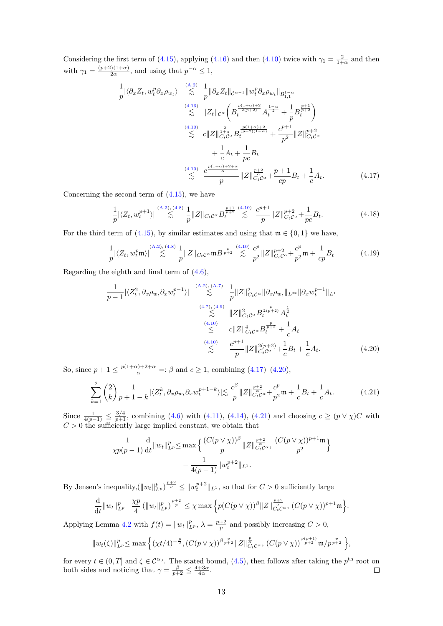Considering the first term of [\(4.15\)](#page-12-3), applying [\(4.16\)](#page-12-4) and then [\(4.10\)](#page-12-0) twice with  $\gamma_1 = \frac{2}{1+\alpha}$  and then with  $\gamma_1 = \frac{(p+2)(1+\alpha)}{2\alpha}$  $\frac{2(1+\alpha)}{2\alpha}$ , and using that  $p^{-\alpha} \leq 1$ ,

$$
\frac{1}{p} |\langle \partial_x Z_t, w_t^p \partial_x \rho_{w_t} \rangle| \underset{\leq}{\leq} \frac{1}{p} ||\partial_x Z_t||_{C^{\alpha-1}} ||w_t^p \partial_x \rho_{w_t}||_{\mathcal{B}_{1,1}^{1-\alpha}} \n\overset{(4.16)}{\leq} ||Z_t||_{C^{\alpha}} \left( B_t^{\frac{p(1+\alpha)+2}{2(p+2)}} A_t^{\frac{1-\alpha}{2}} + \frac{1}{p} B_t^{\frac{p+1}{p+2}} \right) \n\overset{(4.10)}{\leq} c ||Z||_{C_t C^{\alpha}}^{\frac{2}{1+\alpha}} B_t^{\frac{p(1+\alpha)+2}{(p+2)(1+\alpha)}} + \frac{c^{p+1}}{p^2} ||Z||_{C_t C^{\alpha}}^{p+2} \n+ \frac{1}{c} A_t + \frac{1}{p c} B_t \n\overset{(4.10)}{\leq} \frac{c^{\frac{p(1+\alpha)+2+\alpha}{\alpha}}}{p} ||Z||_{C_t C^{\alpha}}^{\frac{p+2}{\alpha}} + \frac{p+1}{cp} B_t + \frac{1}{c} A_t.
$$
\n(4.17)

Concerning the second term of  $(4.15)$ , we have

<span id="page-13-0"></span>
$$
\frac{1}{p} |\langle Z_t, w_t^{p+1} \rangle| \stackrel{(A.2), (4.8)}{\lesssim} \frac{1}{p} ||Z||_{C_t C^\alpha} B_t^{\frac{p+1}{p+2}} \stackrel{(4.10)}{\lesssim} \frac{c^{p+1}}{p} ||Z||_{C_t C^\alpha}^{p+2} + \frac{1}{pc} B_t. \tag{4.18}
$$

For the third term of [\(4.15\)](#page-12-3), by similar estimates and using that  $\mathfrak{m} \in \{0,1\}$  we have,

$$
\frac{1}{p} |\langle Z_t, w_t^p \mathfrak{m} \rangle| \stackrel{\text{(A.2)},\text{(4.8)}}{\lesssim} \frac{1}{p} \|Z\|_{C_t C^\alpha} \|B^{\frac{p}{p+2}} \stackrel{\text{(4.10)}}{\lesssim} \frac{c^p}{p^2} \|Z\|_{C_t C^\alpha}^{p+2} + \frac{c^p}{p^2} \mathfrak{m} + \frac{1}{cp} B_t \tag{4.19}
$$

Regarding the eighth and final term of [\(4.6\)](#page-11-2),

<span id="page-13-1"></span>
$$
\frac{1}{p-1} |\langle Z_t^2, \partial_x \rho_{w_t} \partial_x w_t^{p-1} \rangle| \underset{\leq}{\overset{(A,2),(A,7)}{\leq}} \frac{1}{p} \|Z\|_{C_t C^{\alpha}}^2 \|\partial_x \rho_{w_t}\|_{L^{\infty}} \|\partial_x w_t^{p-1}\|_{L^1}
$$
\n
$$
\overset{(4,7),(4,9)}{\leq} \|Z\|_{C_t C^{\alpha}}^2 B_t^{\frac{p}{2(p+2)}} A_t^{\frac{1}{2}}
$$
\n
$$
\overset{(4,10)}{\leq} c \|Z\|_{C_t C^{\alpha}}^4 B_t^{\frac{p}{p+2}} + \frac{1}{c} A_t
$$
\n
$$
\overset{(4,10)}{\leq} \frac{c^{p+1}}{p} \|Z\|_{C_t C^{\alpha}}^{2(p+2)} + \frac{1}{c} B_t + \frac{1}{c} A_t. \tag{4.20}
$$

So, since  $p + 1 \leq \frac{p(1+\alpha)+2+\alpha}{\alpha} =: \beta$  and  $c \geq 1$ , combining  $(4.17)-(4.20)$  $(4.17)-(4.20)$  $(4.17)-(4.20)$ ,

<span id="page-13-2"></span>
$$
\sum_{k=1}^{2} {2 \choose k} \frac{1}{p+1-k} |\langle Z_t^k, \partial_x \rho_{w_t} \partial_x w_t^{p+1-k} \rangle| \lesssim \frac{c^{\beta}}{p} \|Z\|_{C_t^i C^\alpha}^{\frac{p+2}{\alpha}} + \frac{c^p}{p^2} \mathfrak{m} + \frac{1}{c} B_t + \frac{1}{c} A_t. \tag{4.21}
$$

Since  $\frac{1}{4(p-1)} \leq \frac{3/4}{p+1}$ , combining [\(4.6\)](#page-11-2) with [\(4.11\)](#page-12-5), [\(4.14\)](#page-12-6), [\(4.21\)](#page-13-2) and choosing  $c \geq (p \vee \chi)C$  with  $C > 0$  the sufficiently large implied constant, we obtain that

$$
\frac{1}{\chi p(p-1)} \frac{d}{dt} ||w_t||_{L^p}^p \le \max \left\{ \frac{(C(p \vee \chi))^{\beta}}{p} ||Z||_{C_t^r}^{\frac{p+2}{\alpha}} , \frac{(C(p \vee \chi))^{p+1} \mathfrak{m}}{p^2} \right\}
$$

$$
- \frac{1}{4(p-1)} ||w_t^{p+2}||_{L^1}.
$$

By Jensen's inequality,  $(\|w_t\|_{L^p}^p)^{\frac{p+2}{p}} \leq \|w_t^{p+2}\|_{L^1}$ , so that for  $C > 0$  sufficiently large

$$
\frac{\mathrm{d}}{\mathrm{d}t}||w_t||_{L^p}^p + \frac{\chi p}{4} (||w_t||_{L^p}^p)^{\frac{p+2}{p}} \leq \chi \max \Big\{ p(C(p \vee \chi))^{\beta} ||Z||_{C_t^r}^{\frac{p+2}{\alpha}} , (C(p \vee \chi))^{p+1} \mathfrak{m} \Big\}.
$$

Applying Lemma [4.2](#page-10-2) with  $f(t) = ||w_t||_{L^p}^p$ ,  $\lambda = \frac{p+2}{p}$  and possibly increasing  $C > 0$ ,

$$
||w_t(\zeta)||_{L^p}^p \leq \max \left\{ (\chi t/4)^{-\frac{p}{2}}, (C(p \vee \chi))^{\beta_{\frac{p}{p+2}}} ||Z||_{C_tC^{\alpha}}^{\frac{p}{\alpha}}, (C(p \vee \chi))^{\frac{p(p+1)}{p+2}} \mathfrak{m}/p^{\frac{p}{p+2}} \right\},\
$$

for every  $t \in (0,T]$  and  $\zeta \in \mathcal{C}^{\alpha_0}$ . The stated bound, [\(4.5\)](#page-11-5), then follows after taking the  $p^{\text{th}}$  root on both sides and noticing that  $\gamma = \frac{\beta}{p+2} \leq \frac{4+3\alpha}{4\alpha}$ .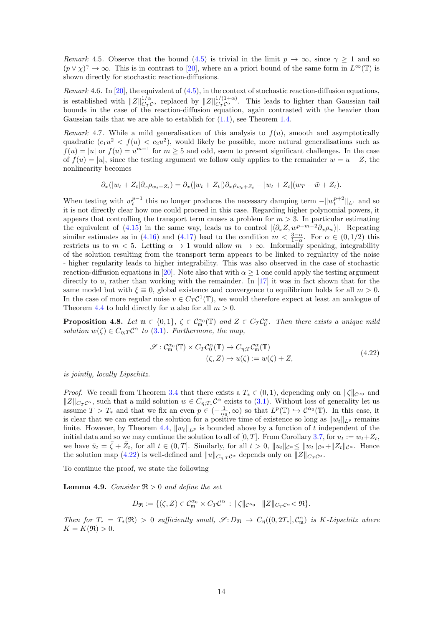<span id="page-14-0"></span>Remark 4.5. Observe that the bound [\(4.5\)](#page-11-5) is trivial in the limit  $p \to \infty$ , since  $\gamma \ge 1$  and so  $(p \vee \chi)^{\gamma} \to \infty$ . This is in contrast to [\[20\]](#page-30-12), where an a priori bound of the same form in  $L^{\infty}(\mathbb{T})$  is shown directly for stochastic reaction-diffusions.

<span id="page-14-1"></span>Remark 4.6. In  $[20]$ , the equivalent of  $(4.5)$ , in the context of stochastic reaction-diffusion equations, is established with  $||Z||_{C_T C^{\alpha}}^{1/\alpha}$  replaced by  $||Z||_{C_T C^{\alpha}}^{1/(1+\alpha)}$ . This leads to lighter than Gaussian tail bounds in the case of the reaction-diffusion equation, again contrasted with the heavier than Gaussian tails that we are able to establish for  $(1.1)$ , see Theorem [1.4.](#page-4-4)

<span id="page-14-2"></span>Remark 4.7. While a mild generalisation of this analysis to  $f(u)$ , smooth and asymptotically quadratic  $(c_1u^2 < f(u) < c_2u^2)$ , would likely be possible, more natural generalisations such as  $f(u) = |u|$  or  $f(u) = u^{m-1}$  for  $m \geq 5$  and odd, seem to present significant challenges. In the case of  $f(u) = |u|$ , since the testing argument we follow only applies to the remainder  $w = u - Z$ , the nonlinearity becomes

$$
\partial_x(|w_t + Z_t|\partial_x \rho_{w_t + Z_t}) = \partial_x(|w_t + Z_t|)\partial_x \rho_{w_t + Z_t} - |w_t + Z_t|(w_T - \bar{w} + Z_t).
$$

When testing with  $w_t^{p-1}$  this no longer produces the necessary damping term  $-\|w_t^{p+2}\|_{L^1}$  and so it is not directly clear how one could proceed in this case. Regarding higher polynomial powers, it appears that controlling the transport term causes a problem for  $m > 3$ . In particular estimating the equivalent of [\(4.15\)](#page-12-3) in the same way, leads us to control  $|\langle \partial_x Z, w^{p+m-2} \partial_x \rho_w \rangle|$ . Repeating similar estimates as in [\(4.16\)](#page-12-4) and [\(4.17\)](#page-13-0) lead to the condition  $m < \frac{3-\alpha}{1-\alpha}$ . For  $\alpha \in (0,1/2)$  this restricts us to  $m < 5$ . Letting  $\alpha \to 1$  would allow  $m \to \infty$ . Informally speaking, integrability of the solution resulting from the transport term appears to be linked to regularity of the noise - higher regularity leads to higher integrability. This was also observed in the case of stochastic reaction-diffusion equations in [\[20\]](#page-30-12). Note also that with  $\alpha \geq 1$  one could apply the testing argument directly to u, rather than working with the remainder. In [\[17\]](#page-30-11) it was in fact shown that for the same model but with  $\xi \equiv 0$ , global existence and convergence to equilibrium holds for all  $m > 0$ . In the case of more regular noise  $v \in C_T C^1(\mathbb{T})$ , we would therefore expect at least an analogue of Theorem [4.4](#page-11-0) to hold directly for u also for all  $m > 0$ .

<span id="page-14-3"></span>**Proposition 4.8.** Let  $\mathfrak{m} \in \{0,1\}$ ,  $\zeta \in C^{\alpha_0}_{\mathfrak{m}}(\mathbb{T})$  and  $Z \in C_T C_0^{\alpha}$ . Then there exists a unique mild solution  $w(\zeta) \in C_{\eta;T} C^{\alpha}$  to [\(3.1\)](#page-5-2). Furthermore, the map,

<span id="page-14-4"></span>
$$
\mathcal{S}: \mathcal{C}_{\mathfrak{m}}^{\alpha_{0}}(\mathbb{T}) \times C_{T} \mathcal{C}_{0}^{\alpha}(\mathbb{T}) \to C_{\eta;T} \mathcal{C}_{\mathfrak{m}}^{\alpha}(\mathbb{T})
$$
\n
$$
(\zeta, Z) \mapsto u(\zeta) := w(\zeta) + Z,
$$
\n(4.22)

is jointly, locally Lipschitz.

*Proof.* We recall from Theorem [3.4](#page-6-7) that there exists a  $T_* \in (0,1)$ , depending only on  $\|\zeta\|_{\mathcal{C}^{\alpha_0}}$  and  $||Z||_{C_T\mathcal{C}^{\alpha}}$ , such that a mild solution  $w \in C_{\eta;T_*}\mathcal{C}^{\alpha}$  exists to [\(3.1\)](#page-5-2). Without loss of generality let us assume  $T > T_*$  and that we fix an even  $p \in (-\frac{1}{\alpha_0}, \infty)$  so that  $L^p(\mathbb{T}) \hookrightarrow \mathcal{C}^{\alpha_0}(\mathbb{T})$ . In this case, it is clear that we can extend the solution for a positive time of existence so long as  $||w_t||_{L^p}$  remains finite. However, by Theorem [4.4,](#page-11-0)  $||w_t||_{L^p}$  is bounded above by a function of t independent of the initial data and so we may continue the solution to all of [0, T]. From Corollary [3.7,](#page-9-4) for  $u_t := w_t + Z_t$ , we have  $\bar{u}_t = \bar{\zeta} + \bar{Z}_t$ , for all  $t \in (0,T]$ . Similarly, for all  $t > 0$ ,  $||u_t||_{\mathcal{C}^{\alpha}} \le ||w_t||_{\mathcal{C}^{\alpha}} + ||Z_t||_{\mathcal{C}^{\alpha}}$ . Hence the solution map [\(4.22\)](#page-14-4) is well-defined and  $||u||_{C_{n,T}\mathcal{C}^{\alpha}}$  depends only on  $||Z||_{C_T\mathcal{C}^{\alpha}}$ .

To continue the proof, we state the following

<span id="page-14-5"></span>**Lemma 4.9.** Consider  $\Re$  > 0 and define the set

$$
D_{\mathfrak{R}} := \{(\zeta, Z) \in \mathcal{C}_{\mathfrak{m}}^{\alpha_0} \times C_T \mathcal{C}^{\alpha} : ||\zeta||_{\mathcal{C}^{\alpha_0}} + ||Z||_{C_T \mathcal{C}^{\alpha}} < \mathfrak{R}\}.
$$

Then for  $T_* = T_*(\mathfrak{R}) > 0$  sufficiently small,  $\mathscr{S}: D_{\mathfrak{R}} \to C_{\eta}((0, 2T_*)^{\mathfrak{L}}$  is K-Lipschitz where  $K = K(\mathfrak{R}) > 0.$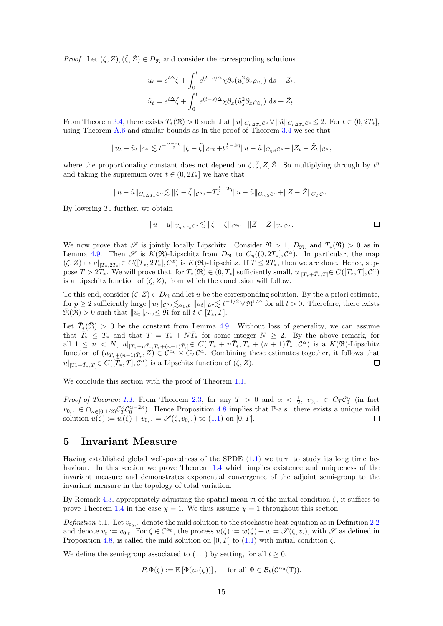*Proof.* Let  $(\zeta, Z), (\tilde{\zeta}, \tilde{Z}) \in D_{\Re}$  and consider the corresponding solutions

$$
u_t = e^{t\Delta}\zeta + \int_0^t e^{(t-s)\Delta}\chi \partial_x (u_s^2 \partial_x \rho_{u_s}) ds + Z_t,
$$
  

$$
\tilde{u}_t = e^{t\Delta}\tilde{\zeta} + \int_0^t e^{(t-s)\Delta}\chi \partial_x (\tilde{u}_s^2 \partial_x \rho_{\tilde{u}_s}) ds + \tilde{Z}_t.
$$

From Theorem [3.4,](#page-6-7) there exists  $T_*(\mathfrak{R}) > 0$  such that  $||u||_{C_{\eta;2T_*}\mathcal{C}^{\alpha}} \vee ||\tilde{u}||_{C_{\eta;2T_*}\mathcal{C}^{\alpha}} \leq 2$ . For  $t \in (0, 2T_*],$ using Theorem  $A.6$  and similar bounds as in the proof of Theorem  $3.4$  we see that

$$
||u_t - \tilde{u}_t||_{\mathcal{C}^{\alpha}} \lesssim t^{-\frac{\alpha-\alpha_0}{2}} ||\zeta - \tilde{\zeta}||_{\mathcal{C}^{\alpha_0}} + t^{\frac{1}{2}-3\eta} ||u - \tilde{u}||_{C_{\eta;t} \mathcal{C}^{\alpha}} + ||Z_t - \tilde{Z}_t||_{\mathcal{C}^{\alpha}},
$$

where the proportionality constant does not depend on  $\zeta, \tilde{\zeta}, Z, \tilde{Z}$ . So multiplying through by  $t^{\eta}$ and taking the supremum over  $t \in (0, 2T_*]$  we have that

$$
||u-\tilde{u}||_{C_{\eta;2T_*}\mathcal{C}^{\alpha}}\lesssim ||\zeta-\tilde{\zeta}||_{\mathcal{C}^{\alpha_0}}+T_*^{\frac{1}{2}-2\eta}||u-\tilde{u}||_{C_{\eta;S}\mathcal{C}^{\alpha}}+||Z-\tilde{Z}||_{C_T\mathcal{C}^{\alpha}}.
$$

By lowering  $T_*$  further, we obtain

$$
||u - \tilde{u}||_{C_{\eta;2T_*}\mathcal{C}^{\alpha}} \lesssim ||\zeta - \tilde{\zeta}||_{\mathcal{C}^{\alpha_0}} + ||Z - \tilde{Z}||_{C_T\mathcal{C}^{\alpha}}.
$$

We now prove that S is jointly locally Lipschitz. Consider  $\mathfrak{R} > 1$ ,  $D_{\mathfrak{R}}$ , and  $T_*(\mathfrak{R}) > 0$  as in Lemma [4.9.](#page-14-5) Then  $\mathscr S$  is  $K(\mathfrak R)$ -Lipschitz from  $D_{\mathfrak R}$  to  $C_{\eta}((0,2T_*)\mathcal{C}^{\alpha})$ . In particular, the map  $(\zeta, Z) \mapsto u|_{[T_*,2T_*]} \in C([T_*, 2T_*], \mathcal{C}^{\alpha})$  is  $K(\mathfrak{R})$ -Lipschitz. If  $T \leq 2T_*$ , then we are done. Hence, suppose  $T > 2T_*$ . We will prove that, for  $\overline{T}_*(\Re) \in (0,T_*)$  sufficiently small,  $u|_{[T_*+\overline{T}_*,T]} \in C([\overline{T}_*,T],\mathcal{C}^{\alpha})$ is a Lipschitz function of  $(\zeta, Z)$ , from which the conclusion will follow.

To this end, consider  $(\zeta, Z) \in D_{\Re}$  and let u be the corresponding solution. By the a priori estimate, for  $p \geq 2$  sufficiently large  $||u_t||_{\mathcal{C}^{\alpha_0}} \lesssim_{\alpha_0,p} ||u_t||_{L^p} \lesssim t^{-1/2} \vee \mathfrak{R}^{1/\alpha}$  for all  $t > 0$ . Therefore, there exists  $\overline{\mathfrak{R}}(\mathfrak{R}) > 0$  such that  $||u_t||_{\mathcal{C}^{\alpha_0}} \leq \overline{\mathfrak{R}}$  for all  $t \in [T_*, T]$ .

Let  $\bar{T}_{*}(\bar{\mathfrak{R}}) > 0$  be the constant from Lemma [4.9.](#page-14-5) Without loss of generality, we can assume that  $\overline{T}_* \leq T_*$  and that  $T = T_* + N \overline{T}_*$  for some integer  $N \geq 2$ . By the above remark, for all  $1 \leq n \langle N, u |_{[T_{*}+n\bar{T}_{*},T_{*}+(n+1)\bar{T}_{*}]} \in C([T_{*}+n\bar{T}_{*},T_{*}+(n+1)\bar{T}_{*}],\mathcal{C}^{\alpha})$  is a  $K(\mathfrak{R})$ -Lipschitz function of  $(u_{T_*+(n-1)\bar{T}_*}, Z) \in \mathcal{C}^{\alpha_0} \times C_T \mathcal{C}^{\alpha}$ . Combining these estimates together, it follows that  $u|_{[T_*+\bar{T}_*,T]} \in C([\bar{T}_*,T],\mathcal{C}^{\alpha})$  is a Lipschitz function of  $(\zeta, Z)$ .

We conclude this section with the proof of Theorem [1.1.](#page-4-3)

*Proof of Theorem [1.1.](#page-4-3)* From Theorem [2.3,](#page-5-1) for any  $T > 0$  and  $\alpha < \frac{1}{2}$ ,  $v_{0}$ ,  $\in C_T C_0^{\alpha}$  (in fact  $v_{0,+} \in \bigcap_{\kappa \in [0,1/2]} C_T^{\kappa} C_0^{\alpha-2\kappa}$ . Hence Proposition [4.8](#page-14-3) implies that P-a.s. there exists a unique mild solution  $u(\zeta) := w(\zeta) + v_{0,+} = \mathscr{S}(\zeta, v_{0,+})$  to [\(1.1\)](#page-1-0) on [0, T].  $\Box$ 

## <span id="page-15-0"></span>5 Invariant Measure

Having established global well-posedness of the SPDE  $(1.1)$  we turn to study its long time be-haviour. In this section we prove Theorem [1.4](#page-4-4) which implies existence and uniqueness of the invariant measure and demonstrates exponential convergence of the adjoint semi-group to the invariant measure in the topology of total variation.

By Remark [4.3,](#page-10-1) appropriately adjusting the spatial mean  $\mathfrak m$  of the initial condition  $\zeta$ , it suffices to prove Theorem [1.4](#page-4-4) in the case  $\chi = 1$ . We thus assume  $\chi = 1$  throughout this section.

<span id="page-15-1"></span>Definition 5.1. Let  $v_{t_0}$ , denote the mild solution to the stochastic heat equation as in Definition [2.2](#page-5-4) and denote  $v_t := v_{0,t}$ . For  $\zeta \in \mathcal{C}^{\alpha_0}$ , the process  $u(\zeta) := w(\zeta) + v = \mathscr{S}(\zeta, v)$ , with  $\mathscr{S}$  as defined in Proposition [4.8,](#page-14-3) is called the mild solution on [0, T] to [\(1.1\)](#page-1-0) with initial condition  $\zeta$ .

We define the semi-group associated to  $(1.1)$  by setting, for all  $t \geq 0$ ,

$$
P_t \Phi(\zeta) := \mathbb{E} \left[ \Phi(u_t(\zeta)) \right], \quad \text{ for all } \Phi \in \mathcal{B}_b(\mathcal{C}^{\alpha_0}(\mathbb{T})).
$$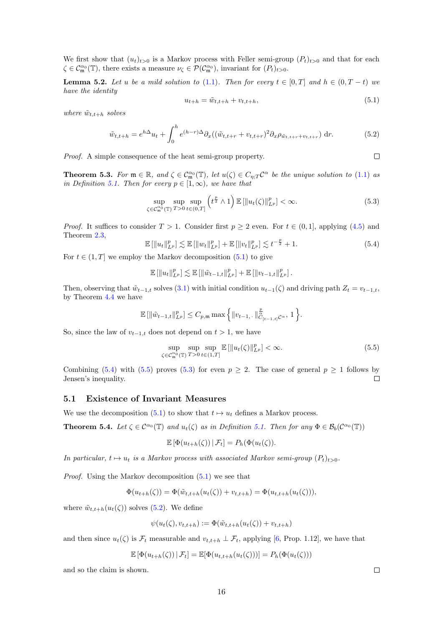We first show that  $(u_t)_{t>0}$  is a Markov process with Feller semi-group  $(P_t)_{t>0}$  and that for each  $\zeta \in \mathcal{C}_{\mathfrak{m}}^{\alpha_0}(\mathbb{T})$ , there exists a measure  $\nu_{\zeta} \in \mathcal{P}(\mathcal{C}_{\mathfrak{m}}^{\alpha_0})$ , invariant for  $(P_t)_{t>0}$ .

**Lemma 5.2.** Let u be a mild solution to [\(1.1\)](#page-1-0). Then for every  $t \in [0, T]$  and  $h \in (0, T - t)$  we have the identity

<span id="page-16-0"></span>
$$
u_{t+h} = \tilde{w}_{t,t+h} + v_{t,t+h},
$$
\n(5.1)

where  $\tilde{w}_{t,t+h}$  solves

<span id="page-16-4"></span>
$$
\tilde{w}_{t,t+h} = e^{h\Delta}u_t + \int_0^h e^{(h-r)\Delta} \partial_x((\tilde{w}_{t,t+r} + v_{t,t+r})^2 \partial_x \rho_{\tilde{w}_{t,t+r} + v_{t,t+r}}) dr.
$$
\n(5.2)

Proof. A simple consequence of the heat semi-group property.

<span id="page-16-5"></span>**Theorem 5.3.** For  $\mathfrak{m} \in \mathbb{R}$ , and  $\zeta \in C_{\mathfrak{m}}^{\alpha_0}(\mathbb{T})$ , let  $u(\zeta) \in C_{\eta;T}C^{\alpha}$  be the unique solution to [\(1.1\)](#page-1-0) as in Definition [5.1.](#page-15-1) Then for every  $p \in [1,\infty)$ , we have that

<span id="page-16-3"></span>
$$
\sup_{\zeta \in \mathcal{C}_{\mathfrak{m}}^{\alpha_0}(\mathbb{T})} \sup_{T > 0} \sup_{t \in (0,T]} \left( t^{\frac{p}{2}} \wedge 1 \right) \mathbb{E} \left[ \| u_t(\zeta) \|_{L^p}^p \right] < \infty. \tag{5.3}
$$

*Proof.* It suffices to consider  $T > 1$ . Consider first  $p \ge 2$  even. For  $t \in (0,1]$ , applying [\(4.5\)](#page-11-5) and Theorem [2.3,](#page-5-1)

<span id="page-16-1"></span>
$$
\mathbb{E} \left[ \|u_t\|_{L^p}^p \right] \lesssim \mathbb{E} \left[ \|w_t\|_{L^p}^p \right] + \mathbb{E} \left[ \|v_t\|_{L^p}^p \right] \lesssim t^{-\frac{p}{2}} + 1. \tag{5.4}
$$

For  $t \in (1, T]$  we employ the Markov decomposition  $(5.1)$  to give

$$
\mathbb{E} \left[ \|u_t\|_{L^p}^p \right] \lesssim \mathbb{E} \left[ \left\| \tilde{w}_{t-1,t} \right\|_{L^p}^p \right] + \mathbb{E} \left[ \left\| v_{t-1,t} \right\|_{L^p}^p \right].
$$

Then, observing that  $\tilde{w}_{t-1,t}$  solves  $(3.1)$  with initial condition  $u_{t-1}(\zeta)$  and driving path  $Z_t = v_{t-1,t}$ , by Theorem [4.4](#page-11-0) we have

$$
\mathbb{E} [\|\tilde{w}_{t-1,t}\|_{L^p}^p] \leq C_{p,\mathfrak{m}} \max \Big\{ \|v_{t-1,+}\|_{C_{[t-1,t]}C^{\alpha}}^{\frac{p}{\alpha}}, 1 \Big\}.
$$

So, since the law of  $v_{t-1,t}$  does not depend on  $t > 1$ , we have

<span id="page-16-2"></span>
$$
\sup_{\zeta \in \mathcal{C}_{\mathfrak{m}}^{\alpha_0}(\mathbb{T})} \sup_{T > 0} \sup_{t \in (1,T]} \mathbb{E} \left[ \| u_t(\zeta) \|_{L^p}^p \right] < \infty. \tag{5.5}
$$

Combining [\(5.4\)](#page-16-1) with [\(5.5\)](#page-16-2) proves [\(5.3\)](#page-16-3) for even  $p \ge 2$ . The case of general  $p \ge 1$  follows by Jensen's inequality.  $\Box$ 

#### 5.1 Existence of Invariant Measures

We use the decomposition [\(5.1\)](#page-16-0) to show that  $t \mapsto u_t$  defines a Markov process.

**Theorem 5.4.** Let  $\zeta \in C^{\alpha_0}(\mathbb{T})$  and  $u_t(\zeta)$  as in Definition [5.1.](#page-15-1) Then for any  $\Phi \in \mathcal{B}_b(C^{\alpha_0}(\mathbb{T}))$ 

$$
\mathbb{E}\left[\Phi(u_{t+h}(\zeta))\,|\,\mathcal{F}_t\right] = P_h(\Phi(u_t(\zeta)).
$$

In particular,  $t \mapsto u_t$  is a Markov process with associated Markov semi-group  $(P_t)_{t>0}$ .

*Proof.* Using the Markov decomposition  $(5.1)$  we see that

$$
\Phi(u_{t+h}(\zeta)) = \Phi(\tilde{w}_{t,t+h}(u_t(\zeta)) + v_{t,t+h}) = \Phi(u_{t,t+h}(u_t(\zeta))),
$$

where  $\tilde{w}_{t,t+h}(u_t(\zeta))$  solves [\(5.2\)](#page-16-4). We define

$$
\psi(u_t(\zeta), v_{t,t+h}) := \Phi(\tilde{w}_{t,t+h}(u_t(\zeta)) + v_{t,t+h})
$$

and then since  $u_t(\zeta)$  is  $\mathcal{F}_t$  measurable and  $v_{t,t+h} \perp \mathcal{F}_t$ , applying [\[6,](#page-30-17) Prop. 1.12], we have that

$$
\mathbb{E}\left[\Phi(u_{t+h}(\zeta))\,|\,\mathcal{F}_t\right] = \mathbb{E}[\Phi(u_{t,t+h}(u_t(\zeta)))] = P_h(\Phi(u_t(\zeta)))
$$

and so the claim is shown.

 $\Box$ 

 $\Box$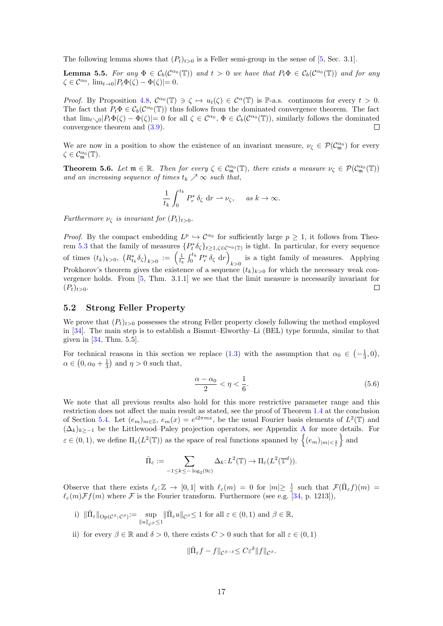The following lemma shows that  $(P_t)_{t>0}$  is a Feller semi-group in the sense of [\[5,](#page-30-18) Sec. 3.1].

**Lemma 5.5.** For any  $\Phi \in C_b(C^{\alpha_0}(\mathbb{T}))$  and  $t > 0$  we have that  $P_t\Phi \in C_b(C^{\alpha_0}(\mathbb{T}))$  and for any  $\zeta \in \mathcal{C}^{\alpha_0}$ ,  $\lim_{t \to 0} |P_t \Phi(\zeta) - \Phi(\zeta)| = 0$ .

Proof. By Proposition [4.8,](#page-14-3)  $\mathcal{C}^{\alpha_0}(\mathbb{T}) \ni \zeta \mapsto u_t(\zeta) \in \mathcal{C}^{\alpha}(\mathbb{T})$  is P-a.s. continuous for every  $t > 0$ . The fact that  $P_t \Phi \in C_b(C^{\alpha_0}(\mathbb{T}))$  thus follows from the dominated convergence theorem. The fact that  $\lim_{t\searrow0}$   $|P_t\Phi(\zeta) - \Phi(\zeta)| = 0$  for all  $\zeta \in C^{\alpha_0}$ ,  $\Phi \in C_b(C^{\alpha_0}(\mathbb{T}))$ , similarly follows the dominated convergence theorem and [\(3.9\)](#page-6-5).

We are now in a position to show the existence of an invariant measure,  $\nu_{\zeta} \in \mathcal{P}(\mathcal{C}_{\mathfrak{m}}^{\alpha_0})$  for every  $\zeta \in \mathcal{C}_{\mathfrak{m}}^{\alpha_0}(\mathbb{T}).$ 

<span id="page-17-3"></span>**Theorem 5.6.** Let  $\mathfrak{m} \in \mathbb{R}$ . Then for every  $\zeta \in C^{\alpha_0}_{\mathfrak{m}}(\mathbb{T})$ , there exists a measure  $\nu_{\zeta} \in \mathcal{P}(C^{\alpha_0}_{\mathfrak{m}}(\mathbb{T}))$ and an increasing sequence of times  $t_k \nearrow \infty$  such that,

$$
\frac{1}{t_k} \int_0^{t_k} P_r^* \, \delta_\zeta \, \mathrm{d}r \rightharpoonup \nu_\zeta, \quad \text{as } k \to \infty.
$$

Furthermore  $\nu_{\zeta}$  is invariant for  $(P_t)_{t>0}$ .

*Proof.* By the compact embedding  $L^p \hookrightarrow C^{\alpha_0}$  for sufficiently large  $p \ge 1$ , it follows from Theo-rem [5.3](#page-16-5) that the family of measures  $\{P_t^*\delta_{\zeta}\}_{t\geq 1,\zeta\in\mathcal{C}^{\alpha_0}(\mathbb{T})}$  is tight. In particular, for every sequence of times  $(t_k)_{k>0}$ ,  $(R_{t_k}^* \delta_{\zeta})_{k>0} := \left(\frac{1}{t_k} \int_0^{t_k} P_r^* \delta_{\zeta} dr\right)$ is a tight family of measures. Applying  $k>0$ Prokhorov's theorem gives the existence of a sequence  $(t_k)_{k>0}$  for which the necessary weak convergence holds. From [\[5,](#page-30-18) Thm. 3.1.1] we see that the limit measure is necessarily invariant for  $(P_t)_{t>0}.$  $\Box$ 

### <span id="page-17-4"></span>5.2 Strong Feller Property

We prove that  $(P_t)_{t>0}$  possesses the strong Feller property closely following the method employed in [\[34\]](#page-31-5). The main step is to establish a Bismut–Elworthy–Li (BEL) type formula, similar to that given in [\[34,](#page-31-5) Thm. 5.5].

For technical reasons in this section we replace [\(1.3\)](#page-4-6) with the assumption that  $\alpha_0 \in \left(-\frac{1}{3},0\right)$ ,  $\alpha \in (0, \alpha_0 + \frac{1}{3})$  and  $\eta > 0$  such that,

<span id="page-17-0"></span>
$$
\frac{\alpha - \alpha_0}{2} < \eta < \frac{1}{6}.\tag{5.6}
$$

We note that all previous results also hold for this more restrictive parameter range and this restriction does not affect the main result as stated, see the proof of Theorem [1.4](#page-4-4) at the conclusion of Section [5.4.](#page-26-0) Let  $(e_m)_{m\in\mathbb{Z}}$ ,  $e_m(x) = e^{i2\pi mx}$ , be the usual Fourier basis elements of  $L^2(\mathbb{T})$  and  $(\Delta_k)_{k≥-1}$  be the Littlewood–Paley projection operators, see [A](#page-27-0)ppendix A for more details. For  $\varepsilon \in (0,1)$ , we define  $\Pi_{\varepsilon}(L^2(\mathbb{T}))$  as the space of real functions spanned by  $\left\{ (e_m)_{|m| < \frac{1}{\varepsilon}} \right\}$  and

$$
\hat{\Pi}_{\varepsilon} := \sum_{-1 \leq k \leq -\log_2(9\varepsilon)} \Delta_k : L^2(\mathbb{T}) \to \Pi_{\varepsilon}(L^2(\mathbb{T}^d)).
$$

Observe that there exists  $\ell_{\varepsilon}:\mathbb{Z} \to [0,1]$  with  $\ell_{\varepsilon}(m) = 0$  for  $|m| \geq \frac{1}{\varepsilon}$  such that  $\mathcal{F}(\hat{\Pi}_{\varepsilon}f)(m) =$  $\ell_{\varepsilon}(m)\mathcal{F}f(m)$  where  $\mathcal F$  is the Fourier transform. Furthermore (see e.g. [\[34,](#page-31-5) p. 1213]),

- <span id="page-17-1"></span>i)  $\|\hat{\Pi}_{\varepsilon}\|_{\text{Op}(\mathcal{C}^{\beta};\mathcal{C}^{\beta})}:=\text{sup}$  $||u||_{\mathcal{C}^{\beta}} \leq 1$  $\|\hat{\Pi}_{\varepsilon}u\|_{\mathcal{C}^{\beta}} \leq 1$  for all  $\varepsilon \in (0,1)$  and  $\beta \in \mathbb{R}$ ,
- <span id="page-17-2"></span>ii) for every  $\beta \in \mathbb{R}$  and  $\delta > 0$ , there exists  $C > 0$  such that for all  $\varepsilon \in (0, 1)$

$$
\|\hat{\Pi}_{\varepsilon}f - f\|_{\mathcal{C}^{\beta-\delta}} \leq C\varepsilon^{\delta} \|f\|_{\mathcal{C}^{\beta}}.
$$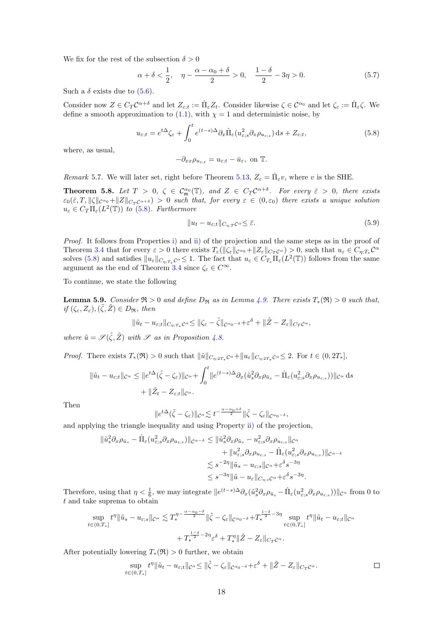We fix for the rest of the subsection  $\delta > 0$ 

$$
\alpha + \delta < \frac{1}{2}, \quad \eta - \frac{\alpha - \alpha_0 + \delta}{2} > 0, \quad \frac{1 - \delta}{2} - 3\eta > 0. \tag{5.7}
$$

Such a  $\delta$  exists due to  $(5.6)$ .

Consider now  $Z \in C_T C^{\alpha+\delta}$  and let  $Z_{\varepsilon;t} := \hat{\Pi}_{\varepsilon} Z_t$ . Consider likewise  $\zeta \in C^{\alpha_0}$  and let  $\zeta_{\varepsilon} := \hat{\Pi}_{\varepsilon} \zeta$ . We define a smooth approximation to  $(1.1)$ , with  $\chi = 1$  and deterministic noise, by

<span id="page-18-0"></span>
$$
u_{\varepsilon;t} = e^{t\Delta}\zeta_{\varepsilon} + \int_0^t e^{(t-s)\Delta}\partial_x \hat{\Pi}_{\varepsilon}(u_{\varepsilon,s}^2 \partial_x \rho_{u_{\varepsilon,s}}) ds + Z_{\varepsilon;t},
$$
\n(5.8)

where, as usual,

$$
-\partial_{xx}\rho_{u_{\varepsilon;t}} = u_{\varepsilon;t} - \bar{u}_{\varepsilon}, \text{ on } \mathbb{T}.
$$

Remark 5.7. We will later set, right before Theorem [5.13,](#page-22-0)  $Z_{\varepsilon} = \hat{\Pi}_{\varepsilon}v$ , where v is the SHE.

<span id="page-18-1"></span>**Theorem 5.8.** Let  $T > 0$ ,  $\zeta \in C_{\mathfrak{m}}^{\alpha_0}(\mathbb{T})$ , and  $Z \in C_T C^{\alpha+\delta}$ . For every  $\bar{\varepsilon} > 0$ , there exists  $\varepsilon_0(\bar{\varepsilon},T,\|\zeta\|_{C^{\alpha_0}}+\|Z\|_{C_T C^{\alpha+\delta}}) > 0$  such that, for every  $\varepsilon \in (0,\varepsilon_0)$  there exists a unique solution  $u_{\varepsilon} \in C_T \Pi_{\varepsilon}(L^2(\mathbb{T}))$  to [\(5.8\)](#page-18-0). Furthermore

<span id="page-18-3"></span>
$$
||u_t - u_{\varepsilon;t}||_{C_{\eta;T}C^{\alpha}} \le \bar{\varepsilon}.\tag{5.9}
$$

Proof. It follows from Properties [i\)](#page-17-1) and [ii\)](#page-17-2) of the projection and the same steps as in the proof of Theorem [3.4](#page-6-7) that for every  $\varepsilon > 0$  there exists  $T_{\varepsilon}(\|\zeta_{\varepsilon}\|_{C^{\alpha_0}} + \|Z_{\varepsilon}\|_{C_T C^{\alpha}}) > 0$ , such that  $u_{\varepsilon} \in C_{\eta;T_{\varepsilon}} C^{\alpha}$ solves [\(5.8\)](#page-18-0) and satisfies  $||u_{\varepsilon}||_{C_{\eta,T_{\varepsilon}}C^{\alpha}} \leq 1$ . The fact that  $u_{\varepsilon} \in C_{T_{\varepsilon}}\Pi_{\varepsilon}(L^2(\mathbb{T}))$  follows from the same argument as the end of Theorem [3.4](#page-6-7) since  $\zeta_{\varepsilon} \in C^{\infty}$ .

To continue, we state the following

<span id="page-18-2"></span>**Lemma 5.9.** Consider  $\Re$  > 0 and define  $D_{\Re}$  as in Lemma [4.9.](#page-14-5) There exists  $T_*(\Re) > 0$  such that, if  $(\zeta_{\varepsilon}, Z_{\varepsilon}), (\tilde{\zeta}, \tilde{Z}) \in D_{\Re}$ , then

$$
\|\tilde u_t-u_{\varepsilon;t}\|_{C_{\eta;T_*}\mathcal C^\alpha}\leq \|\zeta_\varepsilon-\tilde\zeta\|_{\mathcal C^\alpha\circ^{-\delta}}+\varepsilon^\delta+\|\tilde Z-Z_\varepsilon\|_{C_T\mathcal C^\alpha},
$$

where  $\tilde{u} = \mathscr{S}(\tilde{\zeta}, \tilde{Z})$  with  $\mathscr{S}$  as in Proposition [4.8.](#page-14-3)

*Proof.* There exists  $T_*(\mathfrak{R}) > 0$  such that  $\|\tilde{u}\|_{C_{n:2T_*}C^{\alpha}} + \|u_{\varepsilon}\|_{C_{n:2T_*}C^{\alpha}} \leq 2$ . For  $t \in (0, 2T_*],$ 

$$
\|\tilde{u}_t - u_{\varepsilon;t}\|_{\mathcal{C}^\alpha} \le \|e^{t\Delta}(\tilde{\zeta} - \zeta_{\varepsilon})\|_{\mathcal{C}^\alpha} + \int_0^t \|e^{(t-s)\Delta}\partial_x(\tilde{u}_s^2\partial_x\rho_{\bar{u}_s} - \hat{\Pi}_{\varepsilon}(u_{\varepsilon,s}^2\partial_x\rho_{u_{\varepsilon,s}}))\|_{\mathcal{C}^\alpha} ds
$$
  
+  $\|\tilde{Z}_t - Z_{\varepsilon;t}\|_{\mathcal{C}^\alpha}.$ 

Then

$$
||e^{t\Delta}(\tilde{\zeta}-\zeta_{\varepsilon})||_{\mathcal{C}^{\alpha}}\lesssim t^{-\frac{\alpha-\alpha_0+\delta}{2}}||\tilde{\zeta}-\zeta_{\varepsilon}||_{\mathcal{C}^{\alpha_0-\delta}},
$$

and applying the triangle inequality and using Property [ii\)](#page-17-2) of the projection,

$$
\begin{split} \|\tilde{u}_s^2 \partial_x \rho_{\bar{u}_s} - \hat{\Pi}_{\varepsilon} (u_{\varepsilon,s}^2 \partial_x \rho_{u_{\varepsilon,s}}) \|_{\mathcal{C}^{\alpha-\delta}} &\leq \|\tilde{u}_s^2 \partial_x \rho_{\tilde{u}_s} - u_{\varepsilon,s}^2 \partial_x \rho_{u_{\varepsilon,s}} \|_{\mathcal{C}^{\alpha}} \\ &+ \|u_{\varepsilon,s}^2 \partial_x \rho_{u_{\varepsilon,s}} - \hat{\Pi}_{\varepsilon} (u_{\varepsilon,s}^2 \partial_x \rho_{u_{\varepsilon,s}}) \|_{\mathcal{C}^{\alpha-\delta}} \\ &\lesssim s^{-2\eta} \|\tilde{u}_s - u_{\varepsilon,s} \|_{\mathcal{C}^{\alpha}} + \varepsilon^{\delta} s^{-3\eta} \\ &\leq s^{-3\eta} \|\tilde{u} - u_{\varepsilon} \|_{C_{\eta,s} \mathcal{C}^{\alpha}} + \varepsilon^{\delta} s^{-3\eta}. \end{split}
$$

Therefore, using that  $\eta < \frac{1}{6}$ , we may integrate  $||e^{(t-s)\Delta}\partial_x(\tilde{u}_s^2 \partial_x \rho_{\bar{u}_s} - \hat{\Pi}_{\varepsilon}(u_{\varepsilon,s}^2 \partial_x \rho_{u_{\varepsilon,s}}))||_{\mathcal{C}^{\alpha}}$  from 0 to t and take suprema to obtain

$$
\sup_{t \in (0,T_*)} t^{\eta} \|\tilde{u}_s - u_{\varepsilon,s}\|_{\mathcal{C}^{\alpha}} \lesssim T_*^{\eta - \frac{\alpha - \alpha_0 - \delta}{2}} \|\tilde{\zeta} - \zeta_{\varepsilon}\|_{\mathcal{C}^{\alpha_0 - \delta}} + T_*^{\frac{1 - \delta}{2} - 3\eta} \sup_{t \in (0,T_*)} t^{\eta} \|\tilde{u}_t - u_{\varepsilon,t}\|_{\mathcal{C}^{\alpha}} + T_*^{\frac{1 - \delta}{2} - 2\eta} \varepsilon^{\delta} + T_*^{\eta} \|\tilde{Z} - Z_{\varepsilon}\|_{C_T \mathcal{C}^{\alpha}}.
$$

After potentially lowering  $T_*(\mathfrak{R}) > 0$  further, we obtain

$$
\sup_{t\in(0,T_*]} t^{\eta} \|\tilde{u}_t - u_{\varepsilon;t}\|_{\mathcal{C}^{\alpha}} \le \|\tilde{\zeta} - \zeta_{\varepsilon}\|_{\mathcal{C}^{\alpha_0-\delta}} + \varepsilon^{\delta} + \|\tilde{Z} - Z_{\varepsilon}\|_{C_T\mathcal{C}^{\alpha}}.
$$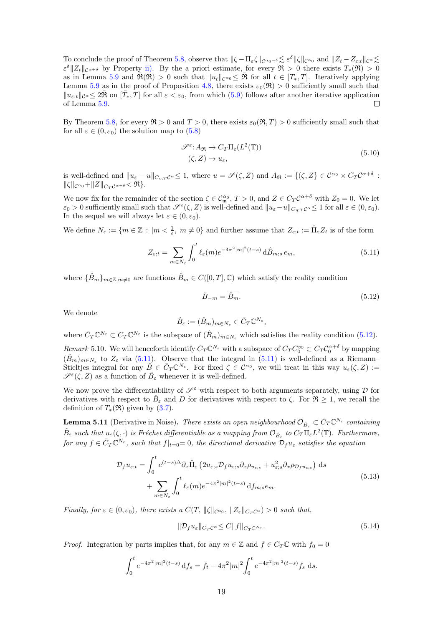To conclude the proof of Theorem [5.8,](#page-18-1) observe that  $\|\zeta - \Pi_{\varepsilon}\zeta\|_{\mathcal{C}^{\alpha_0-\delta}} \lesssim \varepsilon^{\delta} \|\zeta\|_{\mathcal{C}^{\alpha_0}}$  and  $\|Z_t - Z_{\varepsilon,t}\|_{\mathcal{C}^{\alpha}} \lesssim$  $\varepsilon^{\delta}||Z_t||_{\mathcal{C}^{\alpha+\delta}}$  by Property [ii\).](#page-17-2) By the a priori estimate, for every  $\mathfrak{R} > 0$  there exists  $T_*(\mathfrak{R}) > 0$ as in Lemma [5.9](#page-18-2) and  $\mathfrak{R}(\mathfrak{R}) > 0$  such that  $||u_t||_{\mathcal{C}^{\alpha_0}} \leq \mathfrak{R}$  for all  $t \in [T_*, T]$ . Iteratively applying Lemma [5.9](#page-18-2) as in the proof of Proposition [4.8,](#page-14-3) there exists  $\varepsilon_0(\mathfrak{R}) > 0$  sufficiently small such that  $||u_{\varepsilon;t}||_{\mathcal{C}^{\alpha}} \leq 2\bar{\mathfrak{R}}$  on  $[\bar{T}_*,\bar{T}]$  for all  $\varepsilon < \varepsilon_0$ , from which [\(5.9\)](#page-18-3) follows after another iterative application of Lemma [5.9.](#page-18-2)  $\Box$ 

By Theorem [5.8,](#page-18-1) for every  $\Re > 0$  and  $T > 0$ , there exists  $\varepsilon_0(\Re, T) > 0$  sufficiently small such that for all  $\varepsilon \in (0, \varepsilon_0)$  the solution map to  $(5.8)$ 

$$
\mathcal{S}^{\varepsilon} : A_{\mathfrak{R}} \to C_T \Pi_{\varepsilon}(L^2(\mathbb{T}))
$$
  

$$
(\zeta, Z) \mapsto u_{\varepsilon},
$$
 (5.10)

is well-defined and  $||u_{\varepsilon} - u||_{C_{\eta;T} \mathcal{C}^{\alpha}} \leq 1$ , where  $u = \mathscr{S}(\zeta, Z)$  and  $A_{\Re} := \{(\zeta, Z) \in C^{\alpha_0} \times C_T C^{\alpha + \delta} :$  $\|\zeta\|_{\mathcal{C}^{\alpha_0}}+\|Z\|_{C_T\mathcal{C}^{\alpha+\delta}}\leq \Re\}.$ 

We now fix for the remainder of the section  $\zeta \in \mathcal{C}_{\mathfrak{m}}^{\alpha_0}$ ,  $T > 0$ , and  $Z \in C_T \mathcal{C}^{\alpha+\delta}$  with  $Z_0 = 0$ . We let  $\varepsilon_0 > 0$  sufficiently small such that  $\mathscr{S}^{\varepsilon}(\zeta, Z)$  is well-defined and  $||u_{\varepsilon} - u||_{C_{\eta;T}C^{\alpha}} \leq 1$  for all  $\varepsilon \in (0, \varepsilon_0)$ . In the sequel we will always let  $\varepsilon \in (0, \varepsilon_0)$ .

We define  $N_{\varepsilon} := \{ m \in \mathbb{Z} : |m| < \frac{1}{\varepsilon}, m \neq 0 \}$  and further assume that  $Z_{\varepsilon,t} := \hat{\Pi}_{\varepsilon} Z_t$  is of the form

<span id="page-19-1"></span>
$$
Z_{\varepsilon;t} = \sum_{m \in N_{\varepsilon}} \int_0^t \ell_{\varepsilon}(m) e^{-4\pi^2 |m|^2 (t-s)} d\hat{B}_{m;s} e_m,
$$
\n(5.11)

where  $\{\hat{B}_m\}_{m\in\mathbb{Z},m\neq0}$  are functions  $\hat{B}_m\in C([0,T],\mathbb{C})$  which satisfy the reality condition

<span id="page-19-0"></span>
$$
\hat{B}_{-m} = \overline{\hat{B}_m}.\tag{5.12}
$$

We denote

$$
\hat{B}_{\varepsilon} := (\hat{B}_m)_{m \in N_{\varepsilon}} \in \bar{C}_T \mathbb{C}^{N_{\varepsilon}},
$$

where  $\bar{C}_T \mathbb{C}^{N_{\varepsilon}} \subset C_T \mathbb{C}^{N_{\varepsilon}}$  is the subspace of  $(\hat{B}_m)_{m \in N_{\varepsilon}}$  which satisfies the reality condition [\(5.12\)](#page-19-0).

<span id="page-19-5"></span>Remark 5.10. We will henceforth identify  $\bar{C}_T \mathbb{C}^{N_{\varepsilon}}$  with a subspace of  $C_T C_0^{\infty} \subset C_T C_0^{\alpha+\delta}$  by mapping  $(\hat{B}_m)_{m\in N_{\varepsilon}}$  to  $Z_{\varepsilon}$  via [\(5.11\)](#page-19-1). Observe that the integral in (5.11) is well-defined as a Riemann– Stieltjes integral for any  $\hat{B} \in \bar{C}_T \mathbb{C}^{N_{\varepsilon}}$ . For fixed  $\zeta \in \mathcal{C}^{\alpha_0}$ , we will treat in this way  $u_{\varepsilon}(\zeta, Z) :=$  $\mathscr{S}^{\varepsilon}(\zeta, Z)$  as a function of  $\hat{B}_{\varepsilon}$  whenever it is well-defined.

We now prove the differentiability of  $\mathscr{S}^{\varepsilon}$  with respect to both arguments separately, using  $\mathcal D$  for derivatives with respect to  $\hat{B}_{\varepsilon}$  and D for derivatives with respect to  $\zeta$ . For  $\Re \geq 1$ , we recall the definition of  $T_*(\mathfrak{R})$  given by  $(3.7)$ .

<span id="page-19-4"></span>**Lemma 5.11** (Derivative in Noise). There exists an open neighbourhood  $\mathcal{O}_{\hat{B}_{\varepsilon}} \subset \bar{C}_T \mathbb{C}^{N_{\varepsilon}}$  containing  $\hat{B}_\varepsilon$  such that  $u_\varepsilon(\zeta, \cdot)$  is Fréchet differentiable as a mapping from  $\mathcal{O}_{\hat{B}_\varepsilon}$  to  $C_T\Pi_\varepsilon L^2(\mathbb{T})$ . Furthermore, for any  $f \in \bar{C}_T \mathbb{C}^{N_{\varepsilon}}$ , such that  $f|_{t=0} = 0$ , the directional derivative  $\mathcal{D}_f u_{\varepsilon}$  satisfies the equation

<span id="page-19-2"></span>
$$
\mathcal{D}_{f} u_{\varepsilon;t} = \int_{0}^{t} e^{(t-s)\Delta} \partial_{x} \hat{\Pi}_{\varepsilon} \left( 2u_{\varepsilon;s} \mathcal{D}_{f} u_{\varepsilon;s} \partial_{x} \rho_{u_{\varepsilon;s}} + u_{\varepsilon;s}^{2} \partial_{x} \rho_{\mathcal{D}_{f} u_{\varepsilon;s}} \right) ds + \sum_{m \in N_{\varepsilon}} \int_{0}^{t} \ell_{\varepsilon}(m) e^{-4\pi^{2} |m|^{2} (t-s)} d f_{m;s} e_{m}.
$$
\n(5.13)

Finally, for  $\varepsilon \in (0, \varepsilon_0)$ , there exists a  $C(T, ||\zeta||_{C^{\alpha_0}}, ||Z_{\varepsilon}||_{C_TC^{\alpha}}) > 0$  such that,

<span id="page-19-3"></span>
$$
\|\mathcal{D}_f u_{\varepsilon}\|_{C_T C^{\alpha}} \le C \|f\|_{C_T \mathbb{C}^{N_{\varepsilon}}}.
$$
\n(5.14)

*Proof.* Integration by parts implies that, for any  $m \in \mathbb{Z}$  and  $f \in C_T \mathbb{C}$  with  $f_0 = 0$ 

$$
\int_0^t e^{-4\pi^2|m|^2(t-s)} \, \mathrm{d}f_s = f_t - 4\pi^2|m|^2 \int_0^t e^{-4\pi^2|m|^2(t-s)} f_s \, \mathrm{d}s.
$$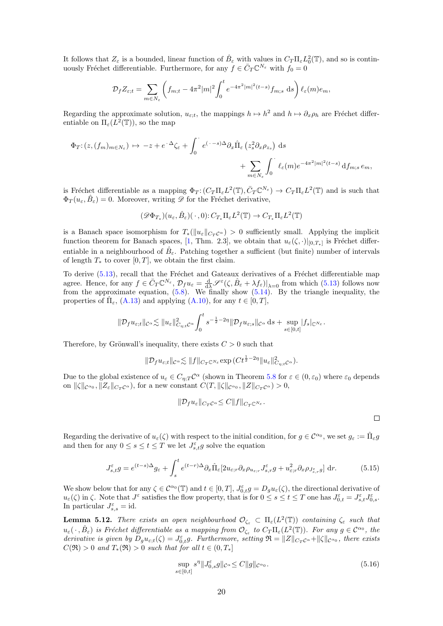It follows that  $Z_{\varepsilon}$  is a bounded, linear function of  $\hat{B}_{\varepsilon}$  with values in  $C_T \Pi_{\varepsilon} L_0^2(\mathbb{T})$ , and so is continuously Fréchet differentiable. Furthermore, for any  $f \in \overline{C}_T \mathbb{C}^{N_{\varepsilon}}$  with  $f_0 = 0$ 

$$
\mathcal{D}_f Z_{\varepsilon;t} = \sum_{m \in N_{\varepsilon}} \left( f_{m;t} - 4\pi^2 |m|^2 \int_0^t e^{-4\pi^2 |m|^2 (t-s)} f_{m;s} \, ds \right) \ell_{\varepsilon}(m) e_m,
$$

Regarding the approximate solution,  $u_{\varepsilon;t}$ , the mappings  $h \mapsto h^2$  and  $h \mapsto \partial_x \rho_h$  are Fréchet differentiable on  $\Pi_{\varepsilon}(L^2(\mathbb{T}))$ , so the map

$$
\Phi_T: (z, (f_m)_{m \in N_{\varepsilon}}) \mapsto -z + e^{-\Delta} \zeta_{\varepsilon} + \int_0^{\cdot} e^{(-s)\Delta} \partial_x \hat{\Pi}_{\varepsilon} (z_s^2 \partial_x \rho_{z_s}) ds \n+ \sum_{m \in N_{\varepsilon}} \int_0^{\cdot} \ell_{\varepsilon}(m) e^{-4\pi^2 |m|^2 (t-s)} df_{m;s} e_m,
$$

is Fréchet differentiable as a mapping  $\Phi_T: (C_T \Pi_\varepsilon L^2(\mathbb{T}), \bar{C}_T \mathbb{C}^{N_{\varepsilon}}) \to C_T \Pi_\varepsilon L^2(\mathbb{T})$  and is such that  $\Phi_T(u_\varepsilon, \hat{B}_\varepsilon) = 0$ . Moreover, writing  $\mathscr D$  for the Fréchet derivative,

$$
(\mathscr{D}\Phi_{T_*})(u_{\varepsilon},\hat{B}_{\varepsilon})(\,\cdot\,,0)\colon C_{T_*}\Pi_{\varepsilon}L^2(\mathbb{T})\to C_{T_*}\Pi_{\varepsilon}L^2(\mathbb{T})
$$

is a Banach space isomorphism for  $T_*(||u_\varepsilon||_{C_T C^\alpha}) > 0$  sufficiently small. Applying the implicit function theorem for Banach spaces, [\[1,](#page-29-1) Thm. 2.3], we obtain that  $u_{\varepsilon}(\zeta, \cdot)|_{[0,T_*]}$  is Fréchet differentiable in a neighbourhood of  $\hat{B}_{\varepsilon}$ . Patching together a sufficient (but finite) number of intervals of length  $T_*$  to cover [0, T], we obtain the first claim.

To derive [\(5.13\)](#page-19-2), recall that the Fréchet and Gateaux derivatives of a Fréchet differentiable map agree. Hence, for any  $f \in \overline{C}_T \mathbb{C}^{N_{\varepsilon}}, \mathcal{D}_f u_{\varepsilon} = \frac{d}{d\lambda} \mathscr{S}^{\varepsilon}(\zeta, \hat{B}_{\varepsilon} + \lambda f_{\varepsilon})|_{\lambda=0}$  from which [\(5.13\)](#page-19-2) follows now from the approximate equation,  $(5.8)$ . We finally show  $(5.14)$ . By the triangle inequality, the properties of  $\hat{\Pi}_{\varepsilon}$ , [\(A.13\)](#page-28-7) and applying [\(A.10\)](#page-28-2), for any  $t \in [0, T]$ ,

$$
\|\mathcal{D}_f u_{\varepsilon;t}\|_{\mathcal{C}^\alpha}\lesssim \|u_\varepsilon\|_{C_{\eta;t}\mathcal{C}^\alpha}^2 \int_0^t s^{-\frac12-2\eta}\|\mathcal{D}_f u_{\varepsilon;s}\|_{\mathcal{C}^\alpha}\,\mathrm{d} s+\sup_{s\in[0,t]}|f_s|_{\mathbb{C}^{N_\varepsilon}}.
$$

Therefore, by Grönwall's inequality, there exists  $C > 0$  such that

$$
\|\mathcal{D}_f u_{\varepsilon;t}\|_{\mathcal{C}^\alpha} \lesssim \|f\|_{C_T\mathbb{C}^{N_\varepsilon}} \exp\big(Ct^{\frac{1}{2}-2\eta}\|u_\varepsilon\|_{C_{\eta;t}\mathcal{C}^\alpha}^2\big).
$$

Due to the global existence of  $u_{\varepsilon} \in C_{\eta,T} C^{\alpha}$  (shown in Theorem [5.8](#page-18-1) for  $\varepsilon \in (0,\varepsilon_0)$  where  $\varepsilon_0$  depends on  $\|\zeta\|_{\mathcal{C}^{\alpha_0}}, \|Z_{\varepsilon}\|_{C_T\mathcal{C}^{\alpha}}$ , for a new constant  $C(T, \|\zeta\|_{\mathcal{C}^{\alpha_0}}, \|Z\|_{C_T\mathcal{C}^{\alpha}}) > 0$ ,

$$
\|\mathcal{D}_f u_\varepsilon\|_{C_T C^\alpha} \leq C \|f\|_{C_T C^{N_\varepsilon}}.
$$

 $\Box$ 

Regarding the derivative of  $u_\varepsilon(\zeta)$  with respect to the initial condition, for  $g \in C^{\alpha_0}$ , we set  $g_\varepsilon := \hat{\Pi}_\varepsilon g$ and then for any  $0 \leq s \leq t \leq T$  we let  $J_{s,t}^{\varepsilon} g$  solve the equation

<span id="page-20-1"></span>
$$
J_{s,t}^{\varepsilon}g = e^{(t-s)\Delta}g_{\varepsilon} + \int_{s}^{t} e^{(t-r)\Delta}\partial_{x}\hat{\Pi}_{\varepsilon}[2u_{\varepsilon;r}\partial_{x}\rho_{u_{\varepsilon;r}}J_{s,r}^{\varepsilon}g + u_{\varepsilon;r}^{2}\partial_{x}\rho_{J_{s,r}^{\varepsilon}g}] dr.
$$
 (5.15)

We show below that for any  $\zeta \in C^{\alpha_0}(\mathbb{T})$  and  $t \in [0,T]$ ,  $J_{0,t}^{\varepsilon}g = D_g u_{\varepsilon}(\zeta)$ , the directional derivative of  $u_{\varepsilon}(\zeta)$  in  $\zeta$ . Note that  $J^{\varepsilon}$  satisfies the flow property, that is for  $0 \leq s \leq t \leq T$  one has  $J^{\varepsilon}_{0,t} = J^{\varepsilon}_{s,t} J^{\varepsilon}_{0,s}$ . In particular  $J_{s,s}^{\varepsilon} = id$ .

<span id="page-20-2"></span>**Lemma 5.12.** There exists an open neighbourhood  $\mathcal{O}_{\zeta_{\varepsilon}} \subset \Pi_{\varepsilon}(L^2(\mathbb{T}))$  containing  $\zeta_{\varepsilon}$  such that  $u_\varepsilon(\,\cdot\,,\hat{B}_\varepsilon)$  is Fréchet differentiable as a mapping from  $\mathcal{O}_{\zeta_\varepsilon}$  to  $C_T\Pi_\varepsilon(L^2(\mathbb{T}))$ . For any  $g\in\mathcal{C}^{\alpha_0}$ , the derivative is given by  $D_g u_{\varepsilon,t}(\zeta) = J_{0,t}^{\varepsilon} g$ . Furthermore, setting  $\mathfrak{R} = ||Z||_{C_T} c^{\alpha} + ||\zeta||_{C^{\alpha_0}}$ , there exists  $C(\mathfrak{R}) > 0$  and  $T_*(\mathfrak{R}) > 0$  such that for all  $t \in (0, T_*]$ 

<span id="page-20-0"></span>
$$
\sup_{s \in [0,t]} s^{\eta} \| J_{0,s}^{\varepsilon} g \|_{\mathcal{C}^{\alpha}} \le C \| g \|_{\mathcal{C}^{\alpha} 0}.
$$
\n(5.16)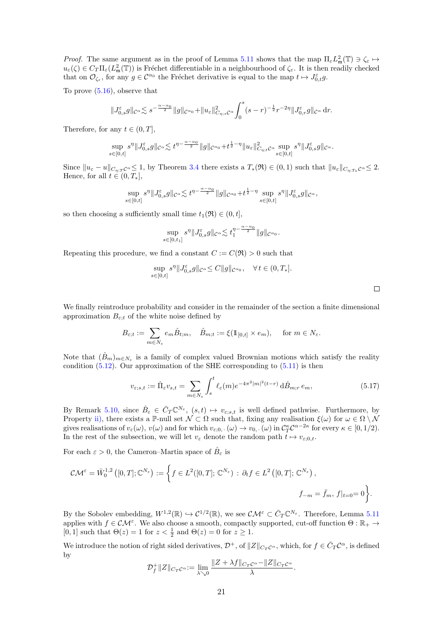*Proof.* The same argument as in the proof of Lemma [5.11](#page-19-4) shows that the map  $\Pi_{\varepsilon} L_{\mathfrak{m}}^2(\mathbb{T}) \ni \zeta_{\varepsilon} \mapsto$  $u_{\varepsilon}(\zeta) \in C_T \Pi_{\varepsilon}(L^2_{\mathfrak{m}}(\mathbb{T}))$  is Fréchet differentiable in a neighbourhood of  $\zeta_{\varepsilon}$ . It is then readily checked that on  $\mathcal{O}_{\zeta_{\varepsilon}}$ , for any  $g \in \mathcal{C}^{\alpha_0}$  the Fréchet derivative is equal to the map  $t \mapsto J_{0,t}^{\varepsilon} g$ .

To prove [\(5.16\)](#page-20-0), observe that

$$
||J_{0,s}^{\varepsilon}g||_{\mathcal{C}^{\alpha}} \lesssim s^{-\frac{\alpha-\alpha_{0}}{2}}||g||_{\mathcal{C}^{\alpha_{0}}} + ||u_{\varepsilon}||_{C_{\eta;s}\mathcal{C}^{\alpha}}^{2}\int_{0}^{s}(s-r)^{-\frac{1}{2}}r^{-2\eta}||J_{0,r}^{\varepsilon}g||_{\mathcal{C}^{\alpha}}\,dr.
$$

Therefore, for any  $t \in (0, T]$ ,

$$
\sup_{s\in[0,t]}s^\eta\|J^\varepsilon_{0,s}g\|_{\mathcal{C}^\alpha}\lesssim t^{\eta-\frac{\alpha-\alpha_0}{2}}\|g\|_{\mathcal{C}^{\alpha_0}}+t^{\frac{1}{2}-\eta}\|u_\varepsilon\|^2_{C_{\eta;t}\mathcal{C}^\alpha}\sup_{s\in[0,t]}s^\eta\|J^\varepsilon_{0,s}g\|_{\mathcal{C}^\alpha}.
$$

Since  $||u_{\varepsilon} - u||_{C_{n:T}} c^{\alpha} \leq 1$ , by Theorem [3.4](#page-6-7) there exists a  $T_*(\mathfrak{R}) \in (0,1)$  such that  $||u_{\varepsilon}||_{C_{n:T_*}} c^{\alpha} \leq 2$ . Hence, for all  $t \in (0, T_*],$ 

$$
\sup_{s\in[0,t]}s^{\eta}\|\bar{J}_{0,s}^{\varepsilon}g\|_{\mathcal{C}^{\alpha}}\lesssim t^{\eta-\frac{\alpha-\alpha_0}{2}}\|g\|_{\mathcal{C}^{\alpha_0}}+t^{\frac{1}{2}-\eta}\sup_{s\in[0,t]}s^{\eta}\|\bar{J}_{0,s}^{\varepsilon}g\|_{\mathcal{C}^{\alpha}},
$$

so then choosing a sufficiently small time  $t_1(\mathfrak{R}) \in (0, t],$ 

$$
\sup_{s\in[0,t_1]}s^\eta\|J^\varepsilon_{0,s}g\|_{\mathcal{C}^\alpha}{\lesssim t_1^{\eta-\frac{\alpha-\alpha_0}{2}}\|g\|_{\mathcal{C}^{\alpha_0}}}.
$$

Repeating this procedure, we find a constant  $C := C(\mathfrak{R}) > 0$  such that

$$
\sup_{s\in[0,t]} s^{\eta} \|J_{0,s}^{\varepsilon}g\|_{\mathcal{C}^{\alpha}} \leq C \|g\|_{\mathcal{C}^{\alpha_0}}, \quad \forall \, t\in(0,T_*].
$$

 $\Box$ 

We finally reintroduce probability and consider in the remainder of the section a finite dimensional approximation  $B_{\varepsilon:t}$  of the white noise defined by

$$
B_{\varepsilon;t} := \sum_{m \in N_{\varepsilon}} e_m \hat{B}_{t;m}, \quad \hat{B}_{m;t} := \xi(\mathbb{1}_{[0,t]} \times e_m), \quad \text{ for } m \in N_{\varepsilon}.
$$

Note that  $(\hat{B}_m)_{m \in N_{\varepsilon}}$  is a family of complex valued Brownian motions which satisfy the reality condition  $(5.12)$ . Our approximation of the SHE corresponding to  $(5.11)$  is then

$$
v_{\varepsilon;s,t} := \hat{\Pi}_{\varepsilon} v_{s,t} = \sum_{m \in N_{\varepsilon}} \int_s^t \ell_{\varepsilon}(m) e^{-4\pi^2 |m|^2 (t-r)} \, d\hat{B}_{m;r} \, e_m,\tag{5.17}
$$

By Remark [5.10,](#page-19-5) since  $\hat{B}_{\varepsilon} \in \overline{C}_T \mathbb{C}^{N_{\varepsilon}}, (s,t) \mapsto v_{\varepsilon;s,t}$  is well defined pathwise. Furthermore, by Property [ii\),](#page-17-2) there exists a P-null set  $\mathcal{N} \subset \Omega$  such that, fixing any realisation  $\xi(\omega)$  for  $\omega \in \Omega \setminus \mathcal{N}$ gives realisations of  $v_{\varepsilon}(\omega)$ ,  $v(\omega)$  and for which  $v_{\varepsilon,0}$ ,  $(\omega) \to v_{0}$ ,  $(\omega)$  in  $C_T^{\kappa} C^{\alpha-2\kappa}$  for every  $\kappa \in [0,1/2)$ . In the rest of the subsection, we will let  $v_{\varepsilon}$  denote the random path  $t \mapsto v_{\varepsilon;0,t}$ .

For each  $\varepsilon > 0$ , the Cameron–Martin space of  $\hat{B}_{\varepsilon}$  is

$$
\mathcal{CM}^{\varepsilon} = \overline{W}_0^{1,2}([0,T];\mathbb{C}^{N_{\varepsilon}}) := \left\{ f \in L^2([0,T];\mathbb{C}^{N_{\varepsilon}}) : \partial_t f \in L^2([0,T];\mathbb{C}^{N_{\varepsilon}}), \right\}
$$
  

$$
f_{-m} = \overline{f}_m, f|_{t=0} = 0 \right\}.
$$

By the Sobolev embedding,  $W^{1,2}(\mathbb{R}) \hookrightarrow C^{1/2}(\mathbb{R})$ , we see  $\mathcal{CM}^{\varepsilon} \subset \overline{C}_T \mathbb{C}^{N_{\varepsilon}}$ . Therefore, Lemma [5.11](#page-19-4) applies with  $f \in \mathcal{CM}^{\varepsilon}$ . We also choose a smooth, compactly supported, cut-off function  $\Theta : \mathbb{R}_+ \to$ [0, 1] such that  $\Theta(z) = 1$  for  $z < \frac{1}{2}$  and  $\Theta(z) = 0$  for  $z \ge 1$ .

We introduce the notion of right sided derivatives,  $\mathcal{D}^+$ , of  $||Z||_{C_TC^{\alpha}}$ , which, for  $f \in \overline{C}_T C^{\alpha}$ , is defined by

$$
\mathcal{D}_f^+\|Z\|_{C_T\mathcal{C}^\alpha}:=\lim_{\lambda\searrow 0}\frac{\|Z+\lambda f\|_{C_T\mathcal{C}^\alpha}-\|Z\|_{C_T\mathcal{C}^\alpha}}{\lambda}.
$$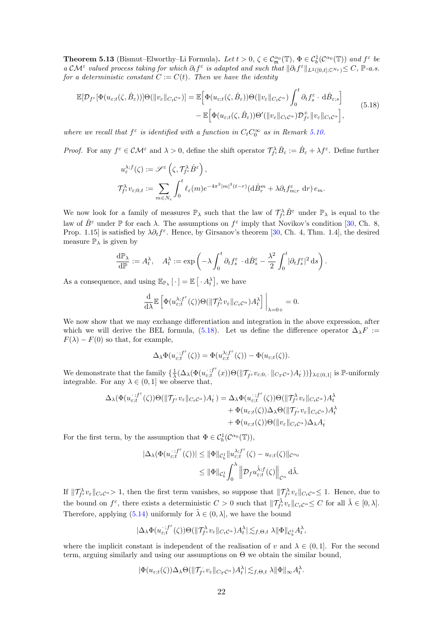<span id="page-22-0"></span>**Theorem 5.13** (Bismut–Elworthy–Li Formula). Let  $t > 0$ ,  $\zeta \in C^{\alpha_0}_{\mathfrak{m}}(\mathbb{T})$ ,  $\Phi \in C_b^1(\mathcal{C}^{\alpha_0}(\mathbb{T}))$  and  $f^{\varepsilon}$  be a  $\mathcal{CM}^{\varepsilon}$  valued process taking for which  $\partial_t f^{\varepsilon}$  is adapted and such that  $\|\partial_t f^{\varepsilon}\|_{L^2([0,t];\mathbb{C}^{N_{\varepsilon}})} \leq C$ , P-a.s. for a deterministic constant  $C := C(t)$ . Then we have the identity

<span id="page-22-1"></span>
$$
\mathbb{E}[\mathcal{D}_{f^{\varepsilon}}[\Phi(u_{\varepsilon;t}(\zeta,\hat{B}_{\varepsilon}))]\Theta(\|v_{\varepsilon}\|_{C_{t}C^{\alpha}})] = \mathbb{E}\Big[\Phi(u_{\varepsilon;t}(\zeta,\hat{B}_{\varepsilon}))\Theta(\|v_{\varepsilon}\|_{C_{t}C^{\alpha}})\int_{0}^{t}\partial_{t}f_{s}^{\varepsilon}\cdot\mathrm{d}\hat{B}_{\varepsilon;s}\Big] \n- \mathbb{E}\Big[\Phi(u_{\varepsilon;t}(\zeta,\hat{B}_{\varepsilon}))\Theta'(\|v_{\varepsilon}\|_{C_{t}C^{\alpha}})\mathcal{D}_{f^{\varepsilon}}^{+}\|v_{\varepsilon}\|_{C_{t}C^{\alpha}}\Big],
$$
\n(5.18)

where we recall that  $f^{\varepsilon}$  is identified with a function in  $C_t C_0^{\infty}$  as in Remark [5.10.](#page-19-5)

Proof. For any  $f^{\varepsilon} \in \mathcal{CM}^{\varepsilon}$  and  $\lambda > 0$ , define the shift operator  $\mathcal{T}_{f^{\varepsilon}}^{\lambda} \hat{B}_{\varepsilon} := \hat{B}_{\varepsilon} + \lambda f^{\varepsilon}$ . Define further

$$
u_{\varepsilon}^{\lambda;f}(\zeta) := \mathscr{S}^{\varepsilon}\left(\zeta, \mathcal{T}_{f^{\varepsilon}}^{\lambda} \hat{B}^{\varepsilon}\right),
$$
  

$$
\mathcal{T}_{f^{\varepsilon}}^{\lambda} v_{\varepsilon;0,t} := \sum_{m \in N_{\varepsilon}} \int_{0}^{t} \ell_{\varepsilon}(m) e^{-4\pi^{2}|m|^{2}(t-r)} (\mathrm{d}\hat{B}_{r}^{m} + \lambda \partial_{t} f_{m;r}^{\varepsilon} \mathrm{d}r) e_{m}.
$$

We now look for a family of measures  $\mathbb{P}_{\lambda}$  such that the law of  $\mathcal{T}_{f^{\varepsilon}}^{\lambda} \hat{B}^{\varepsilon}$  under  $\mathbb{P}_{\lambda}$  is equal to the law of  $\hat{B}^{\varepsilon}$  under  $\mathbb P$  for each  $\lambda$ . The assumptions on  $f^{\varepsilon}$  imply that Novikov's condition [\[30,](#page-31-6) Ch. 8, Prop. 1.15] is satisfied by  $\lambda \partial_t f^{\varepsilon}$ . Hence, by Girsanov's theorem [\[30,](#page-31-6) Ch. 4, Thm. 1.4], the desired measure  $\mathbb{P}_{\lambda}$  is given by

$$
\frac{\mathrm{d}\mathbb{P}_{\lambda}}{\mathrm{d}\mathbb{P}} := A_t^{\lambda}, \quad A_t^{\lambda} := \exp\left(-\lambda \int_0^t \partial_t f_s^{\varepsilon} \cdot \mathrm{d}\hat{B}_s^{\varepsilon} - \frac{\lambda^2}{2} \int_0^t |\partial_t f_s^{\varepsilon}|^2 \,\mathrm{d}s\right).
$$

As a consequence, and using  $\mathbb{E}_{\mathbb{P}_{\lambda}}[\cdot] = \mathbb{E}[\cdot A_t^{\lambda}],$  we have

$$
\frac{\mathrm{d}}{\mathrm{d}\lambda}\mathbb{E}\left[\Phi(u^{\lambda;f^{\varepsilon}}_{\varepsilon;t}(\zeta))\Theta(\|\mathcal{T}^{\lambda}_{f^{\varepsilon}}v_{\varepsilon}\|_{C_t\mathcal{C}^{\alpha}})A_t^{\lambda}\right]\bigg|_{\lambda=0+}=0.
$$

We now show that we may exchange differentiation and integration in the above expression, after which we will derive the BEL formula, [\(5.18\)](#page-22-1). Let us define the difference operator  $\Delta_{\lambda}F :=$  $F(\lambda) - F(0)$  so that, for example,

$$
\Delta_{\lambda} \Phi(u_{\varepsilon;t}^{\cdot,f^{\varepsilon}}(\zeta)) = \Phi(u_{\varepsilon;t}^{\lambda;f^{\varepsilon}}(\zeta)) - \Phi(u_{\varepsilon;t}(\zeta)).
$$

We demonstrate that the family  $\{\frac{1}{\lambda}(\Delta_{\lambda}(\Phi(u_{\varepsilon;t}^{-;f^{\varepsilon}}$  $\{(\forall_{\varepsilon,t}^{\cdot,f^{\varepsilon}}(x))\Theta(\|\mathcal{T}_{f^{\varepsilon}}v_{\varepsilon;0},.\,\|_{C_T\mathcal{C}^{\alpha}})A_t^{\cdot}) )\}_{\lambda\in(0,1]}$  is  $\mathbb{P}\text{-uniformly}$ integrable. For any  $\lambda \in (0,1]$  we observe that,

$$
\Delta_{\lambda}(\Phi(u_{\varepsilon;t}^{;f^{\varepsilon}}(\zeta))\Theta(\|\mathcal{T}_{f^{\varepsilon}}v_{\varepsilon}\|_{C_{t}C^{\alpha}})A_{t}^{*}) = \Delta_{\lambda}\Phi(u_{\varepsilon;t}^{;f^{\varepsilon}}(\zeta))\Theta(\|\mathcal{T}_{f^{\varepsilon}}^{{\lambda}}v_{\varepsilon}\|_{C_{t}C^{\alpha}})A_{t}^{\lambda} + \Phi(u_{\varepsilon;t}(\zeta))\Delta_{\lambda}\Theta(\|\mathcal{T}_{f^{\varepsilon}}v_{\varepsilon}\|_{C_{t}C^{\alpha}})A_{t}^{\lambda} + \Phi(u_{\varepsilon;t}(\zeta))\Theta(\|v_{\varepsilon}\|_{C_{t}C^{\alpha}})\Delta_{\lambda}A_{t}^{*}
$$

For the first term, by the assumption that  $\Phi \in C_b^1(\mathcal{C}^{\alpha_0}(\mathbb{T}))$ ,

$$
\begin{aligned} |\Delta_{\lambda}(\Phi(u_{\varepsilon;t}^{\cdot,f^{\varepsilon}}(\zeta))| &\leq \|\Phi\|_{\mathcal{C}_b^1} \|u_{\varepsilon;t}^{\lambda;f^{\varepsilon}}(\zeta) - u_{\varepsilon;t}(\zeta)\|_{\mathcal{C}^{\alpha_0}} \\ &\leq \|\Phi\|_{\mathcal{C}_b^1} \int_0^{\lambda} \left\|\mathcal{D}_f u_{\varepsilon;t}^{\tilde{\lambda};f}(\zeta)\right\|_{\mathcal{C}^{\alpha}} \mathrm{d}\tilde{\lambda} .\end{aligned}
$$

If  $\|\mathcal{T}^{\lambda}_{f^{\varepsilon}}v_{\varepsilon}\|_{C_t\mathcal{C}^{\alpha}} > 1$ , then the first term vanishes, so suppose that  $\|\mathcal{T}^{\lambda}_{f^{\varepsilon}}v_{\varepsilon}\|_{C_t\mathcal{C}^{\alpha}} \leq 1$ . Hence, due to the bound on  $f^{\varepsilon}$ , there exists a deterministic  $C > 0$  such that  $||\mathcal{T}_{f^{\varepsilon}}^{\tilde{\lambda}} v_{\varepsilon}||_{C_t C^{\alpha}} \leq C$  for all  $\tilde{\lambda} \in [0, \lambda]$ . Therefore, applying [\(5.14\)](#page-19-3) uniformly for  $\tilde{\lambda} \in (0, \lambda]$ , we have the bound

$$
|\Delta_{\lambda}\Phi(u_{\varepsilon;t}^{;f^{\varepsilon}}(\zeta))\Theta(\|\mathcal{T}^{\lambda}_{f^{\varepsilon}}v_{\varepsilon}\|_{C_{t}C^{\alpha}})A_{t}^{\lambda}|\lesssim_{f,\Theta,t}\lambda\|\Phi\|_{C_{b}^{1}}A_{t}^{\lambda},
$$

where the implicit constant is independent of the realisation of v and  $\lambda \in (0,1]$ . For the second term, arguing similarly and using our assumptions on Θ we obtain the similar bound,

$$
|\Phi(u_{\varepsilon;t}(\zeta))\Delta_\lambda\Theta(\|{\mathcal T}_{f^\varepsilon}v_\varepsilon\|_{C_T\mathcal{C}^\alpha})A_t^\lambda|\lesssim_{f,\Theta,t}\lambda\|\Phi\|_\infty A_t^\lambda.
$$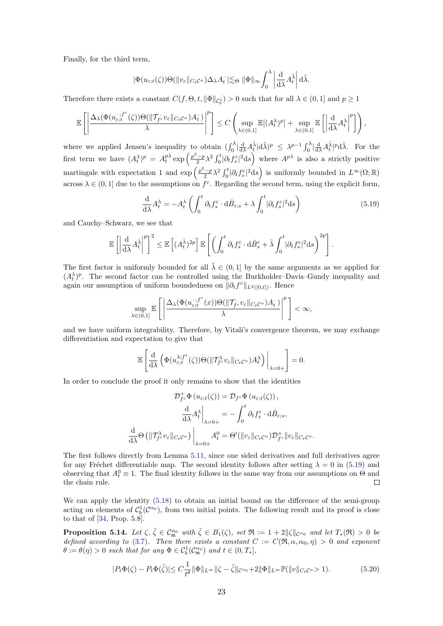Finally, for the third term,

$$
|\Phi(u_{\varepsilon;t}(\zeta))\Theta(\|v_{\varepsilon}\|_{C_tC^\alpha})\Delta_\lambda A_t| \lesssim_{\Theta} \|\Phi\|_{\infty} \int_0^\lambda \left|\frac{\mathrm{d}}{\mathrm{d}\lambda}A_t^{\tilde{\lambda}}\right| \mathrm{d}\tilde{\lambda}.
$$

Therefore there exists a constant  $C(f, \Theta, t, \|\Phi\|_{C_b^1}) > 0$  such that for all  $\lambda \in (0, 1]$  and  $p \ge 1$ 

$$
\mathbb{E}\left[\left|\frac{\Delta_{\lambda}(\Phi(u_{\varepsilon;t}^{.,f^{\varepsilon}}(\zeta))\Theta(\|\mathcal{T}_{f^{\varepsilon}}v_{\varepsilon}\|_{C_{t}C^{\alpha}})A_{t})}{\lambda}\right|^{p}\right]\leq C\left(\sup_{\lambda\in(0,1]}\mathbb{E}[(A_{t}^{\lambda})^{p}]+\sup_{\lambda\in(0,1]}\mathbb{E}\left[\left|\frac{\mathrm{d}}{\mathrm{d}\lambda}A_{t}^{\lambda}\right|^{p}\right]\right),
$$

where we applied Jensen's inequality to obtain  $(\int_0^{\lambda} |\frac{d}{d\lambda} A_t^{\tilde{\lambda}} | d\tilde{\lambda})^p \leq \lambda^{p-1} \int_0^{\lambda} |\frac{d}{d\lambda} A_t^{\tilde{\lambda}} |^p d\tilde{\lambda}$ . For the first term we have  $(A_t^{\lambda})^p = A_t^{p\lambda} \exp\left(\frac{p^2-p}{2}\lambda^2 \int_0^t |\partial_t f_s^{\varepsilon}|^2 ds\right)$  where  $A^{p\lambda}$  is also a strictly positive martingale with expectation 1 and  $\exp\left(\frac{p^2-p}{2}\lambda^2\int_0^t\big|\partial_t f_s^{\varepsilon}\big|^2\mathrm{d}s\right)$  is uniformly bounded in  $L^{\infty}(\Omega;\mathbb{R})$ across  $\lambda \in (0,1]$  due to the assumptions on  $f^{\varepsilon}$ . Regarding the second term, using the explicit form,

<span id="page-23-0"></span>
$$
\frac{\mathrm{d}}{\mathrm{d}\lambda}A_t^{\lambda} = -A_t^{\lambda} \left( \int_0^t \partial_t f_s^{\varepsilon} \cdot \mathrm{d}\hat{B}_{\varepsilon;s} + \lambda \int_0^t |\partial_t f_s^{\varepsilon}|^2 \mathrm{d}s \right) \tag{5.19}
$$

and Cauchy–Schwarz, we see that

$$
\mathbb{E}\left[\left|\frac{\mathrm{d}}{\mathrm{d}\lambda}A_t^{\tilde{\lambda}}\right|^p\right]^2 \leq \mathbb{E}\left[(A_t^{\tilde{\lambda}})^{2p}\right]\mathbb{E}\left[\left(\int_0^t \partial_t f_s^{\varepsilon} \cdot d\hat{B}_s^{\varepsilon} + \tilde{\lambda} \int_0^t |\partial_t f_s^{\varepsilon}|^2 \mathrm{d} s\right)^{2p}\right].
$$

The first factor is uniformly bounded for all  $\tilde{\lambda} \in (0,1]$  by the same arguments as we applied for  $(A_t^{\lambda})^p$ . The second factor can be controlled using the Burkholder–Davis–Gundy inequality and again our assumption of uniform boundedness on  $\|\partial_t f^{\varepsilon}\|_{L^2([0,t])}$ . Hence

$$
\sup_{\lambda\in(0,1]}\mathbb{E}\left[\left|\frac{\Delta_\lambda(\Phi(u_{\varepsilon;t}^{\cdot;f^\varepsilon}(x))\Theta(\|\mathcal{T}_{f^\varepsilon}v_\varepsilon\|_{C_t\mathcal{C}^\alpha})A_t^{\cdot})}{\lambda}\right|^p\right]<\infty,
$$

and we have uniform integrability. Therefore, by Vitali's convergence theorem, we may exchange differentiation and expectation to give that

$$
\mathbb{E}\left[\frac{\mathrm{d}}{\mathrm{d}\lambda}\left(\Phi(u^{\lambda;f^{\varepsilon}}_{\varepsilon;t}(\zeta))\Theta(\|\mathcal{T}^{\lambda}_{f^{\varepsilon}}v_{\varepsilon}\|_{C_t\mathcal{C}^{\alpha}})A_t^{\lambda}\right)\bigg|_{\lambda=0+}\right]=0.
$$

In order to conclude the proof it only remains to show that the identities

$$
\mathcal{D}_{f^{\varepsilon}}^{+} \Phi (u_{\varepsilon;t}(\zeta)) = \mathcal{D}_{f^{\varepsilon}} \Phi (u_{\varepsilon;t}(\zeta)),
$$
\n
$$
\frac{d}{d\lambda} A_{t}^{\lambda} \Big|_{\lambda=0+} = -\int_{0}^{t} \partial_{t} f_{s}^{\varepsilon} \cdot d\hat{B}_{\varepsilon;s},
$$
\n
$$
\frac{d}{d\lambda} \Theta (\|\mathcal{T}_{f^{\varepsilon}}^{\lambda} v_{\varepsilon}\|_{C_{t}C^{\alpha}}) \Big|_{\lambda=0+} A_{t}^{0} = \Theta' (\|v_{\varepsilon}\|_{C_{t}C^{\alpha}}) \mathcal{D}_{f^{\varepsilon}}^{+} \|v_{\varepsilon}\|_{C_{t}C^{\alpha}}.
$$

The first follows directly from Lemma [5.11,](#page-19-4) since one sided derivatives and full derivatives agree for any Fréchet differentiable map. The second identity follows after setting  $\lambda = 0$  in [\(5.19\)](#page-23-0) and observing that  $A_t^0 \equiv 1$ . The final identity follows in the same way from our assumptions on  $\Theta$  and the chain rule.

We can apply the identity  $(5.18)$  to obtain an initial bound on the difference of the semi-group acting on elements of  $C_b^1(\mathcal{C}^{\alpha_0})$ , from two initial points. The following result and its proof is close to that of  $[34,$  Prop. 5.8].

**Proposition 5.14.** Let  $\zeta$ ,  $\tilde{\zeta} \in \mathcal{C}_{\mathfrak{m}}^{\alpha_0}$  with  $\tilde{\zeta} \in B_1(\zeta)$ , set  $\mathfrak{R} := 1 + 2||\zeta||_{\mathcal{C}^{\alpha_0}}$  and let  $T_*(\mathfrak{R}) > 0$  be defined according to [\(3.7\)](#page-6-1). Then there exists a constant  $C := C(\mathfrak{R}, \alpha, \alpha_0, \eta) > 0$  and exponent  $\theta := \theta(\eta) > 0$  such that for any  $\Phi \in C_b^1(\mathcal{C}_{\mathfrak{m}}^{\alpha_0})$  and  $t \in (0, T_*],$ 

<span id="page-23-1"></span>
$$
|P_t\Phi(\zeta) - P_t\Phi(\tilde{\zeta})| \le C\frac{1}{t^{\theta}} \|\Phi\|_{L^\infty} \|\zeta - \tilde{\zeta}\|_{\mathcal{C}^{\alpha_0}} + 2\|\Phi\|_{L^\infty} \mathbb{P}(\|v\|_{C_t\mathcal{C}^{\alpha}} > 1). \tag{5.20}
$$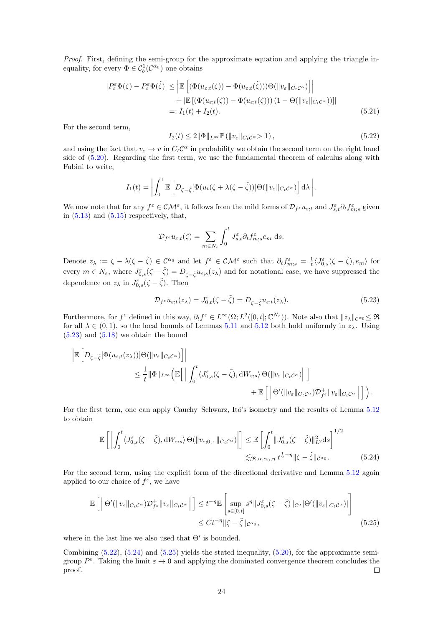Proof. First, defining the semi-group for the approximate equation and applying the triangle inequality, for every  $\Phi \in C_b^1(\mathcal{C}^{\alpha_0})$  one obtains

$$
|P_t^{\varepsilon} \Phi(\zeta) - P_t^{\varepsilon} \Phi(\tilde{\zeta})| \leq \left| \mathbb{E} \left[ (\Phi(u_{\varepsilon;t}(\zeta)) - \Phi(u_{\varepsilon;t}(\tilde{\zeta})))\Theta(\|v_{\varepsilon}\|_{C_t C^{\alpha}}) \right] \right|
$$
  
+ 
$$
| \mathbb{E} \left[ (\Phi(u_{\varepsilon;t}(\zeta)) - \Phi(u_{\varepsilon;t}(\zeta))) (1 - \Theta(\|v_{\varepsilon}\|_{C_t C^{\alpha}})) \right|
$$
  
=:  $I_1(t) + I_2(t).$  (5.21)

For the second term,

<span id="page-24-1"></span>
$$
I_2(t) \le 2\|\Phi\|_{L^\infty} \mathbb{P}\left(\|v_\varepsilon\|_{C_t\mathcal{C}^\alpha} > 1\right),\tag{5.22}
$$

 $\overline{a}$ 

and using the fact that  $v_{\varepsilon} \to v$  in  $C_t C^{\alpha}$  in probability we obtain the second term on the right hand side of [\(5.20\)](#page-23-1). Regarding the first term, we use the fundamental theorem of calculus along with Fubini to write,

$$
I_1(t) = \left| \int_0^1 \mathbb{E} \left[ D_{\zeta - \tilde{\zeta}} [\Phi(u_t(\zeta + \lambda(\zeta - \tilde{\zeta}))] \Theta(\|v_{\varepsilon}\|_{C_t C^\alpha}) \right] d\lambda \right|.
$$

We now note that for any  $f^{\varepsilon} \in \mathcal{CM}^{\varepsilon}$ , it follows from the mild forms of  $\mathcal{D}_{f^{\varepsilon}}u_{\varepsilon;t}$  and  $J^{\varepsilon}_{s,t}\partial_{t}f^{\varepsilon}_{m;s}$  given in  $(5.13)$  and  $(5.15)$  respectively, that,

$$
\mathcal{D}_{f^{\varepsilon}}u_{\varepsilon;t}(\zeta) = \sum_{m \in N_{\varepsilon}} \int_0^t J_{s,t}^{\varepsilon} \partial_t f_{m;s}^{\varepsilon} e_m \, ds.
$$

Denote  $z_{\lambda} := \zeta - \lambda(\zeta - \tilde{\zeta}) \in \mathcal{C}^{\alpha_0}$  and let  $f^{\varepsilon} \in \mathcal{CM}^{\varepsilon}$  such that  $\partial_t f^{\varepsilon}_{m;s} = \frac{1}{t} \langle J^{\varepsilon}_{0,s}(\zeta - \tilde{\zeta}), e_m \rangle$  for every  $m \in N_{\varepsilon}$ , where  $J_{0,s}^{\varepsilon}(\zeta - \tilde{\zeta}) = D_{\zeta - \tilde{\zeta}} u_{\varepsilon,s}(z_{\lambda})$  and for notational ease, we have suppressed the dependence on  $z_{\lambda}$  in  $J_{0,s}^{\varepsilon}(\zeta-\tilde{\zeta})$ . Then

<span id="page-24-2"></span><span id="page-24-0"></span>
$$
\mathcal{D}_{f^{\varepsilon}}u_{\varepsilon;t}(z_{\lambda})=J_{0,t}^{\varepsilon}(\zeta-\tilde{\zeta})=D_{\zeta-\tilde{\zeta}}u_{\varepsilon;t}(z_{\lambda}).
$$
\n(5.23)

Furthermore, for  $f^{\varepsilon}$  defined in this way,  $\partial_t f^{\varepsilon} \in L^{\infty}(\Omega; L^2([0, t]; \mathbb{C}^{N_{\varepsilon}}))$ . Note also that  $||z_{\lambda}||_{\mathcal{C}^{\alpha_0}} \leq \mathfrak{R}$ for all  $\lambda \in (0,1)$ , so the local bounds of Lemmas [5.11](#page-19-4) and [5.12](#page-20-2) both hold uniformly in  $z_{\lambda}$ . Using [\(5.23\)](#page-24-0) and [\(5.18\)](#page-22-1) we obtain the bound

$$
\begin{split} \left| \mathbb{E}\left[D_{\zeta-\tilde{\zeta}}[\Phi(u_{\varepsilon;t}(z_{\lambda}))]\Theta(\|v_{\varepsilon}\|_{C_{t}C^{\alpha}})\right] \right| \\ & \leq \frac{1}{t}\|\Phi\|_{L^{\infty}}\Big(\mathbb{E}\Big[\Big|\int_{0}^{t}\langle J^{\varepsilon}_{0,s}(\zeta-\tilde{\zeta}),\mathrm{d}W_{\varepsilon;s}\rangle\,\Theta(\|v_{\varepsilon}\|_{C_{t}C^{\alpha}})\Big|\Big] \\ & + \mathbb{E}\left[\Big|\Theta'(\|v_{\varepsilon}\|_{C_{t}C^{\alpha}})\mathcal{D}^{+}_{f^{\varepsilon}}\|v_{\varepsilon}\|_{C_{t}C^{\alpha}}\Big|\Big]\right). \end{split}
$$

For the first term, one can apply Cauchy–Schwarz, Itô's isometry and the results of Lemma [5.12](#page-20-2) to obtain

$$
\mathbb{E}\left[\left|\int_{0}^{t} \langle J_{0,s}^{\varepsilon}(\zeta-\tilde{\zeta}),\mathrm{d}W_{\varepsilon;s}\rangle\Theta(\|v_{\varepsilon;0,\cdot}\|_{C_{t}C^{\alpha}})\right|\right] \leq \mathbb{E}\left[\int_{0}^{t} \|\tilde{J}_{0,s}^{\varepsilon}(\zeta-\tilde{\zeta})\|_{L^{2}}^{2}\mathrm{d}s\right]^{1/2} \leq \mathfrak{R}_{,\alpha,\alpha_{0},\eta} t^{\frac{1}{2}-\eta} \|\zeta-\tilde{\zeta}\|_{C^{\alpha_{0}}}.
$$
\n(5.24)

For the second term, using the explicit form of the directional derivative and Lemma [5.12](#page-20-2) again applied to our choice of  $f^{\varepsilon}$ , we have

<span id="page-24-3"></span>
$$
\mathbb{E}\left[\left|\Theta'(\|v_{\varepsilon}\|_{C_{t}C^{\alpha}})\mathcal{D}_{f^{\varepsilon}}^{+}\|v_{\varepsilon}\|_{C_{t}C^{\alpha}}\right|\right] \leq t^{-\eta}\mathbb{E}\left[\sup_{s\in[0,t]}s^{\eta}\|J_{0,s}^{\varepsilon}(\zeta-\tilde{\zeta})\|_{C^{\alpha}}|\Theta'(\|v_{\varepsilon}\|_{C_{t}C^{\alpha}})|\right] \leq Ct^{-\eta}\|\zeta-\tilde{\zeta}\|_{C^{\alpha_{0}}},\tag{5.25}
$$

where in the last line we also used that  $\Theta'$  is bounded.

Combining  $(5.22)$ ,  $(5.24)$  and  $(5.25)$  yields the stated inequality,  $(5.20)$ , for the approximate semigroup  $P^{\varepsilon}$ . Taking the limit  $\varepsilon \to 0$  and applying the dominated convergence theorem concludes the proof.  $\Box$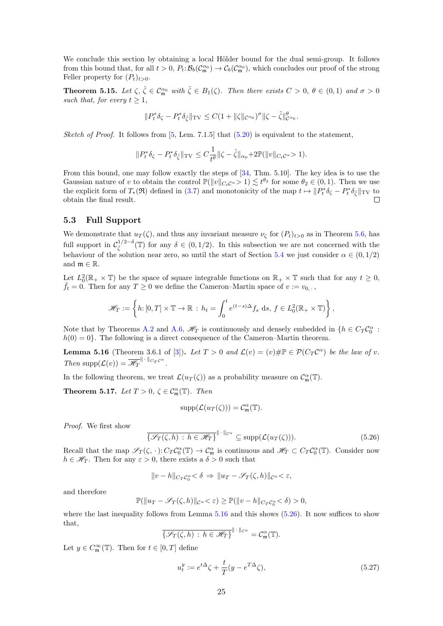We conclude this section by obtaining a local Hölder bound for the dual semi-group. It follows from this bound that, for all  $t > 0$ ,  $P_t: \mathcal{B}_b(\mathcal{C}_{\mathfrak{m}}^{\alpha_0}) \to \mathcal{C}_b(\mathcal{C}_{\mathfrak{m}}^{\alpha_0})$ , which concludes our proof of the strong Feller property for  $(P_t)_{t>0}$ .

<span id="page-25-3"></span>**Theorem 5.15.** Let  $\zeta$ ,  $\tilde{\zeta} \in \mathcal{C}_{\mathfrak{m}}^{\alpha_0}$  with  $\tilde{\zeta} \in B_1(\zeta)$ . Then there exists  $C > 0$ ,  $\theta \in (0,1)$  and  $\sigma > 0$ such that, for every  $t > 1$ ,

$$
\|P_t^*\delta_{\zeta}-P_t^*\delta_{\tilde{\zeta}}\|_{\mathrm{TV}}\leq C(1+\|\zeta\|_{\mathcal{C}^{\alpha_0}})^\sigma \|\zeta-\tilde{\zeta}\|_{\mathcal{C}^{\alpha_0}}^\theta.
$$

Sketch of Proof. It follows from  $[5, \text{ Lem. } 7.1.5]$  $[5, \text{ Lem. } 7.1.5]$  that  $(5.20)$  is equivalent to the statement,

$$
||P_t^*\delta_{\zeta} - P_t^*\delta_{\tilde{\zeta}}||_{\mathrm{TV}} \leq C \frac{1}{t^{\theta}} ||\zeta - \tilde{\zeta}||_{\alpha_0} + 2\mathbb{P}(||v||_{C_t^{\alpha}} > 1).
$$

From this bound, one may follow exactly the steps of [\[34,](#page-31-5) Thm. 5.10]. The key idea is to use the Gaussian nature of v to obtain the control  $\mathbb{P}(\|v\|_{C_tC^\alpha} > 1) \lesssim t^{\theta_2}$  for some  $\theta_2 \in (0,1)$ . Then we use the explicit form of  $T_*(\mathfrak{R})$  defined in [\(3.7\)](#page-6-1) and monotonicity of the map  $t \mapsto ||P_t^*\delta_{\zeta} - P_t^*\delta_{\tilde{\zeta}}||_{TV}$  to obtain the final result.

#### <span id="page-25-0"></span>5.3 Full Support

We demonstrate that  $u_T(\zeta)$ , and thus any invariant measure  $\nu_{\zeta}$  for  $(P_t)_{t>0}$  as in Theorem [5.6,](#page-17-3) has full support in  $\mathcal{C}_{\bar{\zeta}}^{1/2-\delta}(\mathbb{T})$  for any  $\delta \in (0,1/2)$ . In this subsection we are not concerned with the behaviour of the solution near zero, so until the start of Section [5.4](#page-26-0) we just consider  $\alpha \in (0, 1/2)$ and  $\mathfrak{m} \in \mathbb{R}$ .

Let  $L_0^2(\mathbb{R}_+ \times \mathbb{T})$  be the space of square integrable functions on  $\mathbb{R}_+ \times \mathbb{T}$  such that for any  $t \geq 0$ ,  $\bar{f}_t = 0$ . Then for any  $T \geq 0$  we define the Cameron–Martin space of  $v := v_{0,+}$ ,

$$
\mathscr{H}_T := \left\{ h : [0, T] \times \mathbb{T} \to \mathbb{R} \, : \, h_t = \int_0^t e^{(t-s)\Delta} f_s \, \, \mathrm{d}s, \, f \in L_0^2(\mathbb{R}_+ \times \mathbb{T}) \right\},
$$

Note that by Theorems [A.2](#page-27-3) and [A.6,](#page-28-8)  $\mathcal{H}_T$  is continuously and densely embedded in  $\{h \in C_T \mathcal{C}_0^{\alpha}$ :  $h(0) = 0$ . The following is a direct consequence of the Cameron–Martin theorem.

<span id="page-25-1"></span>**Lemma 5.16** (Theorem 3.6.1 of [\[3\]](#page-29-2)). Let  $T > 0$  and  $\mathcal{L}(v) = (v) \# \mathbb{P} \in \mathcal{P}(C_T C^{\alpha})$  be the law of v. Then supp $(\mathcal{L}(v)) = \mathscr{H}_T^{\|\cdot\|_{C_T C^{\alpha}}}$ .

In the following theorem, we treat  $\mathcal{L}(u_T(\zeta))$  as a probability measure on  $\mathcal{C}_{\mathfrak{m}}^{\alpha}(\mathbb{T})$ .

<span id="page-25-4"></span>**Theorem 5.17.** Let  $T > 0$ ,  $\zeta \in C_{\mathfrak{m}}^{\alpha}(\mathbb{T})$ . Then

$$
supp(\mathcal{L}(u_T(\zeta))) = C_m^{\alpha}(\mathbb{T}).
$$

Proof. We first show

<span id="page-25-2"></span>
$$
\overline{\{\mathscr{S}_T(\zeta,h)\,:\,h\in\mathscr{H}_T\}}^{\|\,\cdot\,\|_{\mathcal{C}^\alpha}}\subseteq\text{supp}(\mathcal{L}(u_T(\zeta))).\tag{5.26}
$$

Recall that the map  $\mathscr{S}_T(\zeta, \cdot): C_T \mathcal{C}_0^{\alpha}(\mathbb{T}) \to \mathcal{C}_{\mathfrak{m}}^{\alpha}$  is continuous and  $\mathscr{H}_T \subset C_T \mathcal{C}_0^{\alpha}(\mathbb{T})$ . Consider now  $h \in \mathcal{H}_T$ . Then for any  $\varepsilon > 0$ , there exists a  $\delta > 0$  such that

$$
||v - h||_{C_T C_0^{\alpha}} < \delta \Rightarrow ||u_T - \mathscr{S}_T(\zeta, h)||_{C^{\alpha}} < \varepsilon,
$$

and therefore

$$
\mathbb{P}(\|u_T - \mathscr{S}_T(\zeta,h)\|_{\mathcal{C}^{\alpha}} < \varepsilon) \ge \mathbb{P}(\|v-h\|_{C_T\mathcal{C}_0^{\alpha}} < \delta) > 0,
$$

where the last inequality follows from Lemma [5.16](#page-25-1) and this shows  $(5.26)$ . It now suffices to show that,

$$
\overline{\{\mathscr{S}_T(\zeta,h)\,:\,h\in\mathscr{H}_T\}}^{\|\,\cdot\,\|_{\mathcal{C}^{\alpha}}}=C^{\alpha}_{\mathfrak{m}}(\mathbb{T}).
$$

Let  $y \in C^{\infty}_{\mathfrak{m}}(\mathbb{T})$ . Then for  $t \in [0, T]$  define

$$
u_t^y := e^{t\Delta}\zeta + \frac{t}{T}(y - e^{T\Delta}\zeta),\tag{5.27}
$$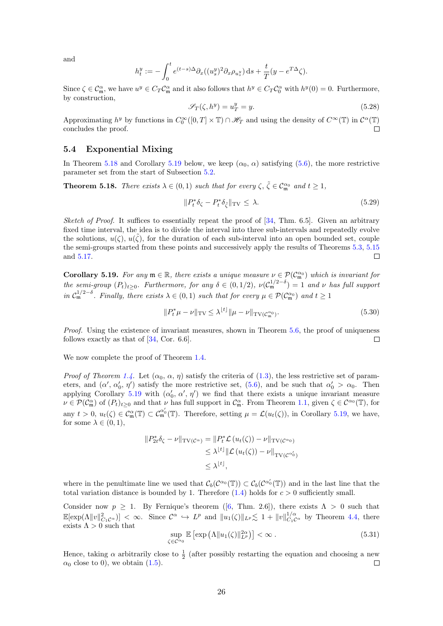and

$$
h^y_t:=-\int_0^t e^{(t-s)\Delta}\partial_x((u^y_s)^2\partial_x\rho_{u^y_s})\,\mathrm{d} s+\frac{t}{T}(y-e^{T\Delta}\zeta).
$$

Since  $\zeta \in \mathcal{C}_{\mathfrak{m}}^{\alpha}$ , we have  $u^y \in C_T \mathcal{C}_{\mathfrak{m}}^{\alpha}$  and it also follows that  $h^y \in C_T \mathcal{C}_{0}^{\alpha}$  with  $h^y(0) = 0$ . Furthermore, by construction,

$$
\mathcal{S}_T(\zeta, h^y) = u^y_T = y. \tag{5.28}
$$

Approximating  $h^y$  by functions in  $C_0^{\infty}([0,T] \times \mathbb{T}) \cap \mathscr{H}_T$  and using the density of  $C^{\infty}(\mathbb{T})$  in  $\mathcal{C}^{\alpha}(\mathbb{T})$ concludes the proof.

### <span id="page-26-0"></span>5.4 Exponential Mixing

In Theorem [5.18](#page-26-1) and Corollary [5.19](#page-26-2) below, we keep  $(\alpha_0, \alpha)$  satisfying [\(5.6\)](#page-17-0), the more restrictive parameter set from the start of Subsection [5.2.](#page-17-4)

<span id="page-26-1"></span>**Theorem 5.18.** There exists  $\lambda \in (0,1)$  such that for every  $\zeta, \tilde{\zeta} \in C_{\mathfrak{m}}^{\alpha_0}$  and  $t \geq 1$ ,

$$
||P_t^*\delta_{\zeta} - P_t^*\delta_{\tilde{\zeta}}||_{\text{TV}} \le \lambda. \tag{5.29}
$$

*Sketch of Proof.* It suffices to essentially repeat the proof of  $[34, Thm. 6.5]$  $[34, Thm. 6.5]$ . Given an arbitrary fixed time interval, the idea is to divide the interval into three sub-intervals and repeatedly evolve the solutions,  $u(\zeta), u(\tilde{\zeta})$ , for the duration of each sub-interval into an open bounded set, couple the semi-groups started from these points and successively apply the results of Theorems [5.3,](#page-16-5) [5.15](#page-25-3) and [5.17.](#page-25-4)  $\Box$ 

<span id="page-26-2"></span>**Corollary 5.19.** For any  $\mathfrak{m} \in \mathbb{R}$ , there exists a unique measure  $\nu \in \mathcal{P}(\mathcal{C}_{\mathfrak{m}}^{\alpha_0})$  which is invariant for the semi-group  $(P_t)_{t\geq0}$ . Furthermore, for any  $\delta\in(0,1/2)$ ,  $\nu(\mathcal{C}_{\mathfrak{m}}^{1/2-\delta})=1$  and  $\nu$  has full support in  $C_{\mathfrak{m}}^{1/2-\delta}$ . Finally, there exists  $\lambda \in (0,1)$  such that for every  $\mu \in \mathcal{P}(C_{\mathfrak{m}}^{\alpha_0})$  and  $t \geq 1$ 

$$
||P_t^*\mu - \nu||_{\text{TV}} \le \lambda^{\lfloor t \rfloor} ||\mu - \nu||_{\text{TV}(\mathcal{C}_{\mathfrak{m}}^{\alpha_0})}.
$$
\n(5.30)

Proof. Using the existence of invariant measures, shown in Theorem [5.6,](#page-17-3) the proof of uniqueness follows exactly as that of [\[34,](#page-31-5) Cor. 6.6].  $\Box$ 

We now complete the proof of Theorem [1.4.](#page-4-4)

*Proof of Theorem [1.4.](#page-4-4)* Let  $(\alpha_0, \alpha, \eta)$  satisfy the criteria of [\(1.3\)](#page-4-6), the less restrictive set of parameters, and  $(\alpha', \alpha'_0, \eta')$  satisfy the more restrictive set,  $(5.6)$ , and be such that  $\alpha'_0 > \alpha_0$ . Then applying Corollary [5.19](#page-26-2) with  $(\alpha_0, \alpha', \eta')$  we find that there exists a unique invariant measure  $\nu \in \mathcal{P}(\mathcal{C}_{\mathfrak{m}}^{\alpha})$  of  $(P_t)_{t \geq 0}$  and that  $\nu$  has full support in  $\mathcal{C}_{\mathfrak{m}}^{\alpha}$ . From Theorem [1.1,](#page-4-3) given  $\zeta \in \mathcal{C}^{\alpha_0}(\mathbb{T})$ , for any  $t > 0$ ,  $u_t(\zeta) \in C_m^{\alpha'}(\mathbb{T}) \subset C_m^{\alpha'}(\mathbb{T})$ . Therefore, setting  $\mu = \mathcal{L}(u_t(\zeta))$ , in Corollary [5.19,](#page-26-2) we have, for some  $\lambda \in (0,1)$ ,

$$
||P_{2t}^* \delta_{\zeta} - \nu||_{\text{TV}(\mathcal{C}^{\alpha})} = ||P_t^* \mathcal{L} (u_t(\zeta)) - \nu||_{\text{TV}(\mathcal{C}^{\alpha_0})}
$$
  
\$\leq \lambda^{[t]} ||\mathcal{L} (u\_t(\zeta)) - \nu||\_{\text{TV}(\mathcal{C}^{\alpha\_0'})}\$  
\$\leq \lambda^{[t]},

where in the penultimate line we used that  $\mathcal{C}_b(\mathcal{C}^{\alpha_0}(\mathbb{T})) \subset \mathcal{C}_b(\mathcal{C}^{\alpha'_0}(\mathbb{T}))$  and in the last line that the total variation distance is bounded by 1. Therefore  $(1.4)$  holds for  $c > 0$  sufficiently small.

Consider now  $p \geq 1$ . By Fernique's theorem ([\[6,](#page-30-17) Thm. 2.6]), there exists  $\Lambda > 0$  such that  $\mathbb{E}[\exp(\Lambda \|v\|_{C_1C^{\alpha}}^2)] < \infty$ . Since  $C^{\alpha} \hookrightarrow L^p$  and  $\|u_1(\zeta)\|_{L^p} \lesssim 1 + \|v\|_{C_1C^{\alpha}}^{1/\alpha}$  by Theorem [4.4,](#page-11-0) there exists  $\Lambda > 0$  such that

$$
\sup_{\zeta \in \mathcal{C}^{\alpha_0}} \mathbb{E} \left[ \exp \left( \Lambda \| u_1(\zeta) \|_{L^p}^{2\alpha} \right) \right] < \infty \,. \tag{5.31}
$$

Hence, taking  $\alpha$  arbitrarily close to  $\frac{1}{2}$  (after possibly restarting the equation and choosing a new  $\alpha_0$  close to 0), we obtain [\(1.5\)](#page-4-2).  $\Box$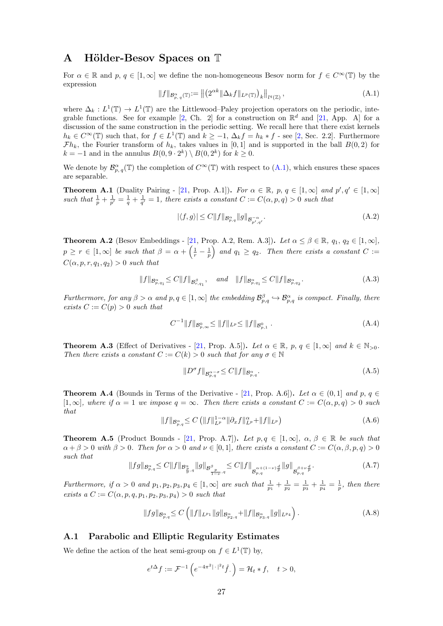## <span id="page-27-0"></span>A Hölder-Besov Spaces on T

For  $\alpha \in \mathbb{R}$  and  $p, q \in [1,\infty]$  we define the non-homogeneous Besov norm for  $f \in C^{\infty}(\mathbb{T})$  by the expression

<span id="page-27-11"></span>
$$
||f||_{\mathcal{B}_{p,\,q}^{\alpha}(\mathbb{T})} := ||(2^{\alpha k} || \Delta_k f||_{L^p(\mathbb{T})})_k||_{l^q(\mathbb{Z})},\tag{A.1}
$$

where  $\Delta_k : L^1(\mathbb{T}) \to L^1(\mathbb{T})$  are the Littlewood–Paley projection operators on the periodic, inte-grable functions. See for example [\[2,](#page-29-3) Ch. 2] for a construction on  $\mathbb{R}^d$  and [\[21,](#page-30-19) App. A] for a discussion of the same construction in the periodic setting. We recall here that there exist kernels  $h_k \in C^{\infty}(\mathbb{T})$  such that, for  $f \in L^1(\mathbb{T})$  and  $k \geq -1$ ,  $\Delta_k f = h_k * f$  - see [\[2,](#page-29-3) Sec. 2.2]. Furthermore  $\mathcal{F}h_k$ , the Fourier transform of  $h_k$ , takes values in [0, 1] and is supported in the ball  $B(0, 2)$  for  $k = -1$  and in the annulus  $B(0, 9 \cdot 2^k) \setminus B(0, 2^k)$  for  $k \geq 0$ .

We denote by  $\mathcal{B}_{p,q}^{\alpha}(\mathbb{T})$  the completion of  $C^{\infty}(\mathbb{T})$  with respect to  $(A.1)$ , which ensures these spaces are separable.

**Theorem A.1** (Duality Pairing - [\[21,](#page-30-19) Prop. A.1]). For  $\alpha \in \mathbb{R}$ ,  $p, q \in [1, \infty]$  and  $p', q' \in [1, \infty]$ such that  $\frac{1}{p} + \frac{1}{p'} = \frac{1}{q} + \frac{1}{q'} = 1$ , there exists a constant  $C := C(\alpha, p, q) > 0$  such that

<span id="page-27-4"></span>
$$
|\langle f, g \rangle| \le C \|f\|_{\mathcal{B}^{\alpha}_{p,q}} \|g\|_{\mathcal{B}^{-\alpha}_{p',q'}}.
$$
\n(A.2)

<span id="page-27-3"></span>**Theorem A.2** (Besov Embeddings - [\[21,](#page-30-19) Prop. A.2, Rem. A.3]). Let  $\alpha \leq \beta \in \mathbb{R}$ ,  $q_1, q_2 \in [1, \infty]$ ,  $p \geq r \in [1, \infty]$  be such that  $\beta = \alpha + \left(\frac{1}{r} - \frac{1}{p}\right)$  and  $q_1 \geq q_2$ . Then there exists a constant  $C :=$  $C(\alpha, p, r, q_1, q_2) > 0$  such that

<span id="page-27-8"></span>
$$
||f||_{\mathcal{B}_{p,q_1}^{\alpha}} \le C||f||_{\mathcal{B}_{r,q_1}^{\beta}}, \quad \text{and} \quad ||f||_{\mathcal{B}_{p,q_1}^{\alpha}} \le C||f||_{\mathcal{B}_{p,q_2}^{\alpha}}.
$$
 (A.3)

Furthermore, for any  $\beta > \alpha$  and  $p, q \in [1, \infty]$  the embedding  $\mathcal{B}_{p,q}^{\beta} \hookrightarrow \mathcal{B}_{p,q}^{\alpha}$  is compact. Finally, there exists  $C := C(p) > 0$  such that

<span id="page-27-9"></span>
$$
C^{-1}||f||_{\mathcal{B}_{p,\infty}^{0}} \leq ||f||_{L^{p}} \leq ||f||_{\mathcal{B}_{p,1}^{0}}.
$$
\n(A.4)

<span id="page-27-12"></span>**Theorem A.3** (Effect of Derivatives - [\[21,](#page-30-19) Prop. A.5]). Let  $\alpha \in \mathbb{R}$ ,  $p, q \in [1, \infty]$  and  $k \in \mathbb{N}_{>0}$ . Then there exists a constant  $C := C(k) > 0$  such that for any  $\sigma \in \mathbb{N}$ 

<span id="page-27-2"></span>
$$
||D^{\sigma}f||_{\mathcal{B}_{p,q}^{\alpha-\sigma}} \leq C||f||_{\mathcal{B}_{p,q}^{\alpha}}.
$$
\n(A.5)

<span id="page-27-6"></span>**Theorem A.4** (Bounds in Terms of the Derivative - [\[21,](#page-30-19) Prop. A.6]). Let  $\alpha \in (0,1]$  and p,  $q \in$  $[1,\infty]$ , where if  $\alpha = 1$  we impose  $q = \infty$ . Then there exists a constant  $C := C(\alpha, p, q) > 0$  such that

<span id="page-27-10"></span>
$$
||f||_{\mathcal{B}_{p,q}^{\alpha}} \leq C \left( ||f||_{L^{p}}^{1-\alpha} ||\partial_x f||_{L^{p}}^{\alpha} + ||f||_{L^{p}} \right) \tag{A.6}
$$

<span id="page-27-1"></span>**Theorem A.5** (Product Bounds - [\[21,](#page-30-19) Prop. A.7]). Let  $p, q \in [1, \infty]$ ,  $\alpha, \beta \in \mathbb{R}$  be such that  $\alpha + \beta > 0$  with  $\beta > 0$ . Then for  $\alpha > 0$  and  $\nu \in [0,1]$ , there exists a constant  $C := C(\alpha, \beta, p, q) > 0$ such that

<span id="page-27-5"></span>
$$
||fg||_{\mathcal{B}^{\alpha}_{p,q}} \leq C||f||_{\mathcal{B}^{\alpha}_{\frac{p}{\nu},q}}||g||_{\mathcal{B}^{\beta}_{\frac{p}{1-\nu},q}} \leq C||f||_{\mathcal{B}^{\alpha+(1-\nu)\frac{d}{p}}_{p,q}}||g||_{\mathcal{B}^{\beta+\nu\frac{d}{p}}_{p,q}}.
$$
\n(A.7)

Furthermore, if  $\alpha > 0$  and  $p_1, p_2, p_3, p_4 \in [1, \infty]$  are such that  $\frac{1}{p_1} + \frac{1}{p_2} = \frac{1}{p_3} + \frac{1}{p_4} = \frac{1}{p}$ , then there exists  $a C := C(\alpha, p, q, p_1, p_2, p_3, p_4) > 0$  such that

<span id="page-27-7"></span>
$$
||fg||_{\mathcal{B}_{p,q}^{\alpha}} \leq C \left( ||f||_{L^{p_1}} ||g||_{\mathcal{B}_{p_2,q}^{\alpha}} + ||f||_{\mathcal{B}_{p_3,q}^{\alpha}} ||g||_{L^{p_4}} \right).
$$
 (A.8)

### A.1 Parabolic and Elliptic Regularity Estimates

We define the action of the heat semi-group on  $f \in L^1(\mathbb{T})$  by,

$$
e^{t\Delta}f := \mathcal{F}^{-1}\left(e^{-4\pi^2|\cdot|^2t}\hat{f}\right) = \mathcal{H}_t * f, \quad t > 0,
$$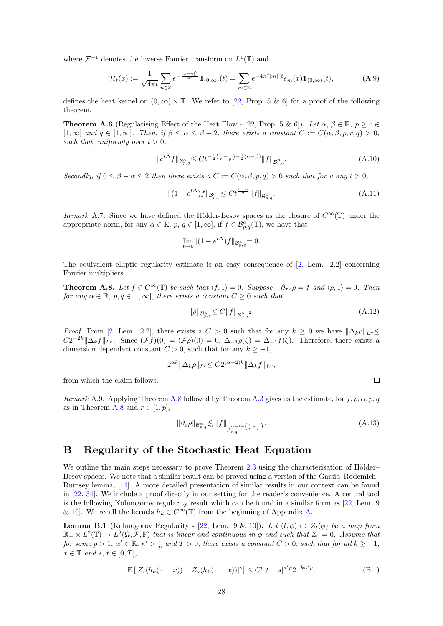where  $\mathcal{F}^{-1}$  denotes the inverse Fourier transform on  $L^1(\mathbb{T})$  and

<span id="page-28-1"></span>
$$
\mathcal{H}_t(x) := \frac{1}{\sqrt{4\pi t}} \sum_{n \in \mathbb{Z}} e^{-\frac{|x - n|^2}{4t}} \mathbb{1}_{(0,\infty)}(t) = \sum_{m \in \mathbb{Z}} e^{-4\pi^2 |m|^2 t} e_m(x) \mathbb{1}_{(0,\infty)}(t),\tag{A.9}
$$

defines the heat kernel on  $(0, \infty) \times \mathbb{T}$ . We refer to [\[22,](#page-30-20) Prop. 5 & 6] for a proof of the following theorem.

<span id="page-28-8"></span>**Theorem A.6** (Regularising Effect of the Heat Flow - [\[22,](#page-30-20) Prop. 5 & 6]). Let  $\alpha, \beta \in \mathbb{R}, p \ge r \in$  $[1,\infty]$  and  $q \in [1,\infty]$ . Then, if  $\beta \leq \alpha \leq \beta + 2$ , there exists a constant  $C := C(\alpha, \beta, p, r, q) > 0$ , such that, uniformly over  $t > 0$ ,

<span id="page-28-2"></span>
$$
||e^{t\Delta}f||_{\mathcal{B}^{\alpha}_{p,q}} \leq C t^{-\frac{1}{2}\left(\frac{1}{r}-\frac{1}{p}\right)-\frac{1}{2}(\alpha-\beta)} \|f\|_{\mathcal{B}^{\beta}_{r,q}}.
$$
\n(A.10)

Secondly, if  $0 \le \beta - \alpha \le 2$  then there exists  $a C := C(\alpha, \beta, p, q) > 0$  such that for a any  $t > 0$ ,

<span id="page-28-5"></span>
$$
\|(1 - e^{t\Delta})f\|_{\mathcal{B}^{\alpha}_{p,q}} \leq C t^{\frac{\beta - \alpha}{2}} \|f\|_{\mathcal{B}^{\beta}_{p,q}}.
$$
\n(A.11)

<span id="page-28-4"></span>Remark A.7. Since we have defined the Hölder-Besov spaces as the closure of  $C^{\infty}(\mathbb{T})$  under the appropriate norm, for any  $\alpha \in \mathbb{R}$ ,  $p, q \in [1, \infty]$ , if  $f \in \mathcal{B}_{p,q}^{\alpha}(\mathbb{T})$ , we have that

$$
\lim_{t \to 0} \|(1 - e^{t\Delta})f\|_{\mathcal{B}^{\alpha}_{p,q}} = 0.
$$

The equivalent elliptic regularity estimate is an easy consequence of [\[2,](#page-29-3) Lem. 2.2] concerning Fourier multipliers.

<span id="page-28-6"></span>**Theorem A.8.** Let  $f \in C^{\infty}(\mathbb{T})$  be such that  $\langle f, 1 \rangle = 0$ . Suppose  $-\partial_{xx}\rho = f$  and  $\langle \rho, 1 \rangle = 0$ . Then for any  $\alpha \in \mathbb{R}$ ,  $p, q \in [1, \infty]$ , there exists a constant  $C \geq 0$  such that

<span id="page-28-3"></span>
$$
\|\rho\|_{\mathcal{B}^{\alpha}_{p,q}} \le C \|f\|_{\mathcal{B}^{\alpha-2}_{p,q}}.\tag{A.12}
$$

*Proof.* From [\[2,](#page-29-3) Lem. 2.2], there exists a  $C > 0$  such that for any  $k \geq 0$  we have  $||\Delta_k \rho||_{L^p} \leq$  $C2^{-2k}\|\Delta_k f\|_{L^p}$ . Since  $(\mathcal{F}f)(0) = (\mathcal{F}\rho)(0) = 0$ ,  $\Delta_{-1}\rho(\zeta) = \Delta_{-1}f(\zeta)$ . Therefore, there exists a dimension dependent constant  $C > 0$ , such that for any  $k \ge -1$ ,

$$
2^{\alpha k} \|\Delta_k \rho\|_{L^p} \le C 2^{(\alpha-2)k} \|\Delta_k f\|_{L^p},
$$

from which the claim follows.

Remark A.9. Applying Theorem [A.8](#page-28-6) followed by Theorem [A.3](#page-27-12) gives us the estimate, for  $f, \rho, \alpha, p, q$ as in Theorem [A.8](#page-28-6) and  $r \in [1, p]$ ,

<span id="page-28-7"></span>
$$
\|\partial_x \rho\|_{\mathcal{B}^{\alpha}_{p,q}} \lesssim \|f\|_{\mathcal{B}^{\alpha-1+\left(\frac{1}{r}-\frac{1}{p}\right)-}}.\tag{A.13}
$$

## <span id="page-28-0"></span>B Regularity of the Stochastic Heat Equation

We outline the main steps necessary to prove Theorem  $2.3$  using the characterisation of Hölder– Besov spaces. We note that a similar result can be proved using a version of the Garsia–Rodemich– Rumsey lemma, [\[14\]](#page-30-21). A more detailed presentation of similar results in our context can be found in [\[22,](#page-30-20) [34\]](#page-31-5). We include a proof directly in our setting for the reader's convenience. A central tool is the following Kolmogorov regularity result which can be found in a similar form as [\[22,](#page-30-20) Lem. 9 & 10]. We recall the kernels  $h_k \in C^{\infty}(\mathbb{T})$  from the beginning of Appendix [A.](#page-27-0)

<span id="page-28-10"></span>**Lemma B.1** (Kolmogorov Regularity - [\[22,](#page-30-20) Lem. 9 & 10]). Let  $(t, \phi) \mapsto Z_t(\phi)$  be a map from  $\mathbb{R}_+ \times L^2(\mathbb{T}) \to L^2(\Omega, \mathcal{F}, \mathbb{P})$  that is linear and continuous in  $\phi$  and such that  $Z_0 = 0$ . Assume that for some  $p > 1$ ,  $\alpha' \in \mathbb{R}$ ,  $\kappa' > \frac{1}{p}$  and  $T > 0$ , there exists a constant  $C > 0$ , such that for all  $k \ge -1$ ,  $x \in \mathbb{T}$  and  $s, t \in [0, T],$ 

<span id="page-28-9"></span>
$$
\mathbb{E}\left[|Z_t(h_k(\cdot - x)) - Z_s(h_k(\cdot - x))|^p\right] \le C^p|t - s|^{\kappa'p}2^{-k\alpha'p}.\tag{B.1}
$$

 $\Box$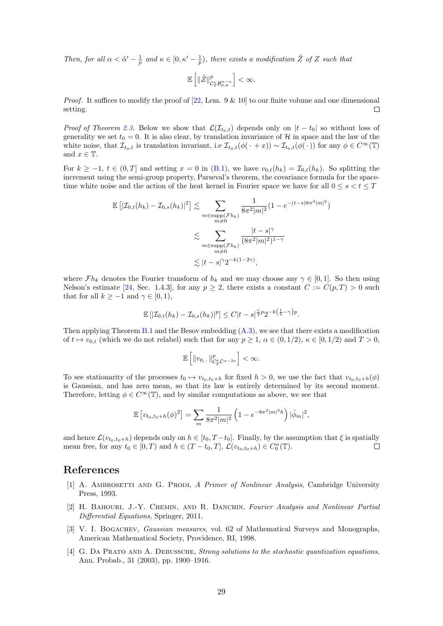Then, for all  $\alpha < \tilde{\alpha}' - \frac{1}{p}$  and  $\kappa \in [0, \kappa' - \frac{1}{p})$ , there exists a modification  $\tilde{Z}$  of Z such that

$$
\mathbb{E}\left[\|\tilde{Z}\|_{\mathcal{C}^\kappa_T\mathcal{B}^{\alpha-r}_{p,p}}^{p}\right]<\infty.
$$

*Proof.* It suffices to modify the proof of  $[22, \text{ Lem. } 9 \& 10]$  $[22, \text{ Lem. } 9 \& 10]$  to our finite volume and one dimensional setting.  $\Box$ 

*Proof of Theorem [2.3.](#page-5-1)* Below we show that  $\mathcal{L}(\mathcal{I}_{t_0,t})$  depends only on  $|t-t_0|$  so without loss of generality we set  $t_0 = 0$ . It is also clear, by translation invariance of H in space and the law of the white noise, that  $\mathcal{I}_{t_0,t}$  is translation invariant, i.e  $\mathcal{I}_{t_0,t}(\phi(\cdot + x)) \sim \mathcal{I}_{t_0,t}(\phi(\cdot))$  for any  $\phi \in C^{\infty}(\mathbb{T})$ and  $x \in \mathbb{T}$ .

For  $k > -1$ ,  $t \in (0, T]$  and setting  $x = 0$  in [\(B.1\)](#page-28-9), we have  $v_{0,t}(h_k) = \mathcal{I}_{0,t}(h_k)$ . So splitting the increment using the semi-group property, Parseval's theorem, the covariance formula for the spacetime white noise and the action of the heat kernel in Fourier space we have for all  $0 \leq s < t \leq T$ 

$$
\mathbb{E}\left[|\mathcal{I}_{0,t}(h_k) - \mathcal{I}_{0,s}(h_k)|^2\right] \lesssim \sum_{\substack{m \in \text{supp}(\mathcal{F}h_k) \\ m \neq 0}} \frac{1}{8\pi^2 |m|^2} (1 - e^{-(t-s)8\pi^2 |m|^2})
$$

$$
\lesssim \sum_{\substack{m \in \text{supp}(\mathcal{F}h_k) \\ m \neq 0}} \frac{|t-s|^\gamma}{(8\pi^2 |m|^2)^{1-\gamma}}
$$

$$
\lesssim |t-s|^\gamma 2^{-k(1-2\gamma)},
$$

where  $\mathcal{F}h_k$  denotes the Fourier transform of  $h_k$  and we may choose any  $\gamma \in [0,1]$ . So then using Nelson's estimate [\[24,](#page-30-22) Sec. 1.4.3], for any  $p \ge 2$ , there exists a constant  $C := C(p,T) > 0$  such that for all  $k \ge -1$  and  $\gamma \in [0, 1)$ ,

$$
\mathbb{E} [|\mathcal{I}_{0,t}(h_k) - \mathcal{I}_{0,s}(h_k)|^p] \le C|t-s|^{\frac{\gamma}{2}p} 2^{-k(\frac{1}{2}-\gamma)p}.
$$

Then applying Theorem [B.1](#page-28-10) and the Besov embedding  $(A.3)$ , we see that there exists a modification of  $t \mapsto v_{0,t}$  (which we do not relabel) such that for any  $p \ge 1$ ,  $\alpha \in (0, 1/2)$ ,  $\kappa \in [0, 1/2)$  and  $T > 0$ ,

$$
\mathbb{E}\left[\|v_{0,\cdot}\|^p_{\mathcal{C}^\kappa_T\mathcal{C}^{\alpha-2\kappa}}\right]<\infty.
$$

To see stationarity of the processes  $t_0 \mapsto v_{t_0,t_0+h}$  for fixed  $h > 0$ , we use the fact that  $v_{t_0,t_0+h}(\phi)$ is Gaussian, and has zero mean, so that its law is entirely determined by its second moment. Therefore, letting  $\phi \in C^{\infty}(\mathbb{T})$ , and by similar computations as above, we see that

$$
\mathbb{E}\left[v_{t_0,t_0+h}(\phi)^2\right] = \sum_m \frac{1}{8\pi^2|m|^2} \left(1 - e^{-8\pi^2|m|^2h}\right) |\hat{\phi}_m|^2,
$$

and hence  $\mathcal{L}(v_{t_0,t_0+h})$  depends only on  $h \in [t_0, T-t_0]$ . Finally, by the assumption that  $\xi$  is spatially mean free, for any  $t_0 \in [0, T)$  and  $h \in (T - t_0, T], \mathcal{L}(v_{t_0, t_0 + h}) \in C_0^{\alpha}(\mathbb{T}).$  $\Box$ 

## References

- <span id="page-29-1"></span>[1] A. AMBROSETTI AND G. PRODI, A Primer of Nonlinear Analysis, Cambridge University Press, 1993.
- <span id="page-29-3"></span>[2] H. BAHOURI, J.-Y. CHEMIN, AND R. DANCHIN, Fourier Analysis and Nonlinear Partial Differential Equations, Springer, 2011.
- <span id="page-29-2"></span>[3] V. I. BOGACHEV, *Gaussian measures*, vol. 62 of Mathematical Surveys and Monographs, American Mathematical Society, Providence, RI, 1998.
- <span id="page-29-0"></span>[4] G. DA PRATO AND A. DEBUSSCHE, Strong solutions to the stochastic quantization equations, Ann. Probab., 31 (2003), pp. 1900–1916.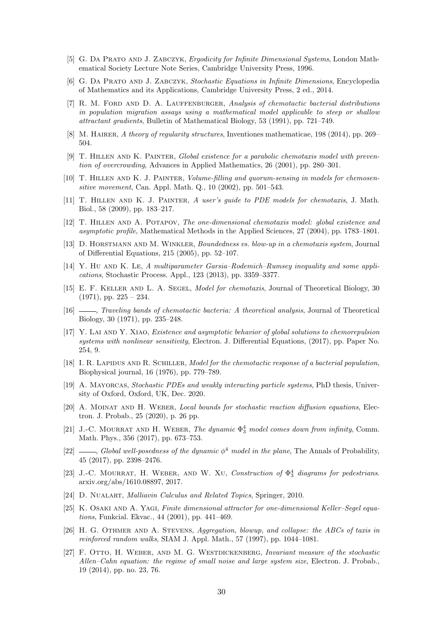- <span id="page-30-18"></span>[5] G. DA PRATO AND J. ZABCZYK, Ergodicity for Infinite Dimensional Systems, London Mathematical Society Lecture Note Series, Cambridge University Press, 1996.
- <span id="page-30-17"></span>[6] G. Da Prato and J. Zabczyk, Stochastic Equations in Infinite Dimensions, Encyclopedia of Mathematics and its Applications, Cambridge University Press, 2 ed., 2014.
- <span id="page-30-4"></span>[7] R. M. FORD AND D. A. LAUFFENBURGER, Analysis of chemotactic bacterial distributions in population migration assays using a mathematical model applicable to steep or shallow attractant gradients, Bulletin of Mathematical Biology, 53 (1991), pp. 721–749.
- <span id="page-30-15"></span>[8] M. HAIRER, A theory of regularity structures, Inventiones mathematicae, 198 (2014), pp. 269– 504.
- <span id="page-30-8"></span>[9] T. Hillen and K. Painter, Global existence for a parabolic chemotaxis model with prevention of overcrowding, Advances in Applied Mathematics, 26 (2001), pp. 280–301.
- <span id="page-30-9"></span>[10] T. Hillen and K. J. Painter, Volume-filling and quorum-sensing in models for chemosensitive movement, Can. Appl. Math. Q., 10 (2002), pp. 501–543.
- <span id="page-30-1"></span>[11] T. Hillen and K. J. Painter, A user's guide to PDE models for chemotaxis, J. Math. Biol., 58 (2009), pp. 183–217.
- <span id="page-30-2"></span>[12] T. Hillen and A. Potapov, The one-dimensional chemotaxis model: global existence and asymptotic profile, Mathematical Methods in the Applied Sciences, 27 (2004), pp. 1783–1801.
- <span id="page-30-10"></span>[13] D. Horstmann and M. Winkler, Boundedness vs. blow-up in a chemotaxis system, Journal of Differential Equations, 215 (2005), pp. 52–107.
- <span id="page-30-21"></span>[14] Y. HU AND K. LE, A multiparameter Garsia–Rodemich–Rumsey inequality and some applications, Stochastic Process. Appl., 123 (2013), pp. 3359–3377.
- <span id="page-30-0"></span>[15] E. F. KELLER AND L. A. SEGEL, *Model for chemotaxis*, Journal of Theoretical Biology, 30  $(1971)$ , pp.  $225 - 234$ .
- <span id="page-30-5"></span>[16]  $\_\_\_\_\$  Traveling bands of chemotactic bacteria: A theoretical analysis, Journal of Theoretical Biology, 30 (1971), pp. 235–248.
- <span id="page-30-11"></span>[17] Y. LAI AND Y. XIAO, *Existence and asymptotic behavior of global solutions to chemorepulsion* systems with nonlinear sensitivity, Electron. J. Differential Equations, (2017), pp. Paper No. 254, 9.
- <span id="page-30-6"></span>[18] I. R. Lapidus and R. Schiller, Model for the chemotactic response of a bacterial population, Biophysical journal, 16 (1976), pp. 779–789.
- <span id="page-30-16"></span>[19] A. MAYORCAS, Stochastic PDEs and weakly interacting particle systems, PhD thesis, University of Oxford, Oxford, UK, Dec. 2020.
- <span id="page-30-12"></span>[20] A. MOINAT AND H. WEBER, Local bounds for stochastic reaction diffusion equations, Electron. J. Probab., 25 (2020), p. 26 pp.
- <span id="page-30-19"></span>[21] J.-C. MOURRAT AND H. WEBER, The dynamic  $\Phi_3^4$  model comes down from infinity, Comm. Math. Phys., 356 (2017), pp. 673–753.
- <span id="page-30-20"></span>[22]  $\_\_\_\_\_$  Global well-posedness of the dynamic  $\phi^4$  model in the plane, The Annals of Probability, 45 (2017), pp. 2398–2476.
- <span id="page-30-13"></span>[23] J.-C. MOURRAT, H. WEBER, AND W. XU, Construction of  $\Phi_3^4$  diagrams for pedestrians. arxiv.org/abs/1610.08897, 2017.
- <span id="page-30-22"></span>[24] D. NUALART, *Malliavin Calculus and Related Topics*, Springer, 2010.
- <span id="page-30-3"></span>[25] K. OSAKI AND A. YAGI, Finite dimensional attractor for one-dimensional Keller–Segel equations, Funkcial. Ekvac., 44 (2001), pp. 441–469.
- <span id="page-30-7"></span>[26] H. G. OTHMER AND A. STEVENS, Aggregation, blowup, and collapse: the ABCs of taxis in reinforced random walks, SIAM J. Appl. Math., 57 (1997), pp. 1044–1081.
- <span id="page-30-14"></span>[27] F. OTTO, H. WEBER, AND M. G. WESTDICKENBERG, Invariant measure of the stochastic Allen–Cahn equation: the regime of small noise and large system size, Electron. J. Probab., 19 (2014), pp. no. 23, 76.